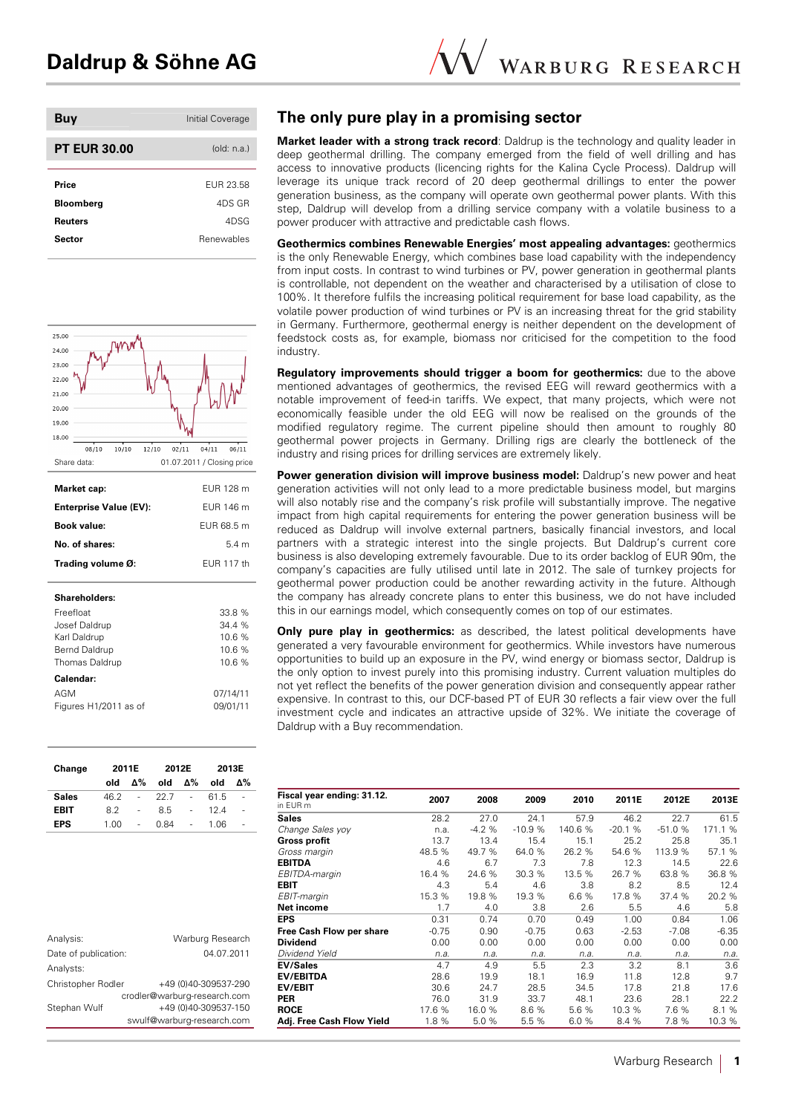| Buy                 | Initial Coverage |
|---------------------|------------------|
| <b>PT EUR 30.00</b> | oldim: n.a.      |
| Price               | FUR 23.58        |
| <b>Bloomberg</b>    | 4DS GR           |
| <b>Reuters</b>      | 4DSG             |
| Sector              | Renewables       |
|                     |                  |



| Change       | 2011E |    | 2012E |                | 2013E |    |  |
|--------------|-------|----|-------|----------------|-------|----|--|
|              | old   | Δ% | old   | Δ%             | old   | Δ% |  |
| <b>Sales</b> | 46.2  | ۰  | 22.7  | ÷,             | 61.5  | ÷  |  |
| <b>EBIT</b>  | 82    | ٠  | 8.5   | $\overline{a}$ | 124   | ÷, |  |
| EPS          | 1.00  |    | 0.84  | ٠              | 1.06  | i. |  |

| Analysis:            | Warburg Research             |
|----------------------|------------------------------|
| Date of publication: | 04.07.2011                   |
| Analysts:            |                              |
| Christopher Rodler   | +49 (0)40-309537-290         |
|                      | crodler@warburg-research.com |
| Stephan Wulf         | +49 (0)40-309537-150         |
|                      | swulf@warburg-research.com   |

# **The only pure play in a promising sector**

**Market leader with a strong track record:** Daldrup is the technology and quality leader in deep geothermal drilling. The company emerged from the field of well drilling and has access to innovative products (licencing rights for the Kalina Cycle Process). Daldrup will leverage its unique track record of 20 deep geothermal drillings to enter the power generation business, as the company will operate own geothermal power plants. With this step, Daldrup will develop from a drilling service company with a volatile business to a power producer with attractive and predictable cash flows.

**Geothermics combines Renewable Energies' most appealing advantages:** geothermics is the only Renewable Energy, which combines base load capability with the independency from input costs. In contrast to wind turbines or PV, power generation in geothermal plants is controllable, not dependent on the weather and characterised by a utilisation of close to 100%. It therefore fulfils the increasing political requirement for base load capability, as the volatile power production of wind turbines or PV is an increasing threat for the grid stability in Germany. Furthermore, geothermal energy is neither dependent on the development of feedstock costs as, for example, biomass nor criticised for the competition to the food industry.

**Regulatory improvements should trigger a boom for geothermics:** due to the above mentioned advantages of geothermics, the revised EEG will reward geothermics with a notable improvement of feed-in tariffs. We expect, that many projects, which were not economically feasible under the old EEG will now be realised on the grounds of the modified regulatory regime. The current pipeline should then amount to roughly 80 geothermal power projects in Germany. Drilling rigs are clearly the bottleneck of the industry and rising prices for drilling services are extremely likely.

**Power generation division will improve business model:** Daldrup's new power and heat generation activities will not only lead to a more predictable business model, but margins will also notably rise and the company's risk profile will substantially improve. The negative impact from high capital requirements for entering the power generation business will be reduced as Daldrup will involve external partners, basically financial investors, and local partners with a strategic interest into the single projects. But Daldrup's current core business is also developing extremely favourable. Due to its order backlog of EUR 90m, the company's capacities are fully utilised until late in 2012. The sale of turnkey projects for geothermal power production could be another rewarding activity in the future. Although the company has already concrete plans to enter this business, we do not have included this in our earnings model, which consequently comes on top of our estimates.

**Only pure play in geothermics:** as described, the latest political developments have generated a very favourable environment for geothermics. While investors have numerous opportunities to build up an exposure in the PV, wind energy or biomass sector, Daldrup is the only option to invest purely into this promising industry. Current valuation multiples do not yet reflect the benefits of the power generation division and consequently appear rather expensive. In contrast to this, our DCF-based PT of EUR 30 reflects a fair view over the full investment cycle and indicates an attractive upside of 32%. We initiate the coverage of Daldrup with a Buy recommendation.

| Fiscal year ending: 31.12.<br>in EUR m | 2007    | 2008    | 2009     | 2010    | 2011E    | 2012E    | 2013E   |
|----------------------------------------|---------|---------|----------|---------|----------|----------|---------|
| Sales                                  | 28.2    | 27.0    | 24.1     | 57.9    | 46.2     | 22.7     | 61.5    |
| Change Sales yoy                       | n.a.    | $-4.2%$ | $-10.9%$ | 140.6 % | $-20.1%$ | $-51.0%$ | 171.1 % |
| Gross profit                           | 13.7    | 13.4    | 15.4     | 15.1    | 25.2     | 25.8     | 35.1    |
| Gross margin                           | 48.5 %  | 49.7 %  | 64.0 %   | 26.2 %  | 54.6 %   | 113.9 %  | 57.1 %  |
| EBITDA                                 | 4.6     | 6.7     | 7.3      | 7.8     | 12.3     | 14.5     | 22.6    |
| EBITDA-margin                          | 16.4 %  | 24.6 %  | 30.3 %   | 13.5 %  | 26.7 %   | 63.8 %   | 36.8 %  |
| EBIT                                   | 4.3     | 5.4     | 4.6      | 3.8     | 8.2      | 8.5      | 12.4    |
| EBIT-margin                            | 15.3 %  | 19.8 %  | 19.3 %   | 6.6 %   | 17.8 %   | 37.4%    | 20.2 %  |
| Net income                             | 1.7     | 4.0     | 3.8      | 2.6     | 5.5      | 4.6      | 5.8     |
| EPS                                    | 0.31    | 0.74    | 0.70     | 0.49    | 1.00     | 0.84     | 1.06    |
| Free Cash Flow per share               | $-0.75$ | 0.90    | $-0.75$  | 0.63    | $-2.53$  | $-7.08$  | $-6.35$ |
| Dividend                               | 0.00    | 0.00    | 0.00     | 0.00    | 0.00     | 0.00     | 0.00    |
| Dividend Yield                         | n.a.    | n.a.    | n.a.     | n.a.    | n.a.     | n.a.     | n.a.    |
| <b>EV/Sales</b>                        | 4.7     | 4.9     | 5.5      | 2.3     | 3.2      | 8.1      | 3.6     |
| <b>EV/EBITDA</b>                       | 28.6    | 19.9    | 18.1     | 16.9    | 11.8     | 12.8     | 9.7     |
| <b>EV/EBIT</b>                         | 30.6    | 24.7    | 28.5     | 34.5    | 17.8     | 21.8     | 17.6    |
| PER                                    | 76.0    | 31.9    | 33.7     | 48.1    | 23.6     | 28.1     | 22.2    |
| ROCE                                   | 17.6 %  | 16.0 %  | 8.6%     | 5.6 %   | 10.3 %   | 7.6 %    | 8.1 %   |
| Adj. Free Cash Flow Yield              | 1.8 %   | 5.0%    | 5.5 %    | 6.0%    | 8.4%     | 7.8 %    | 10.3 %  |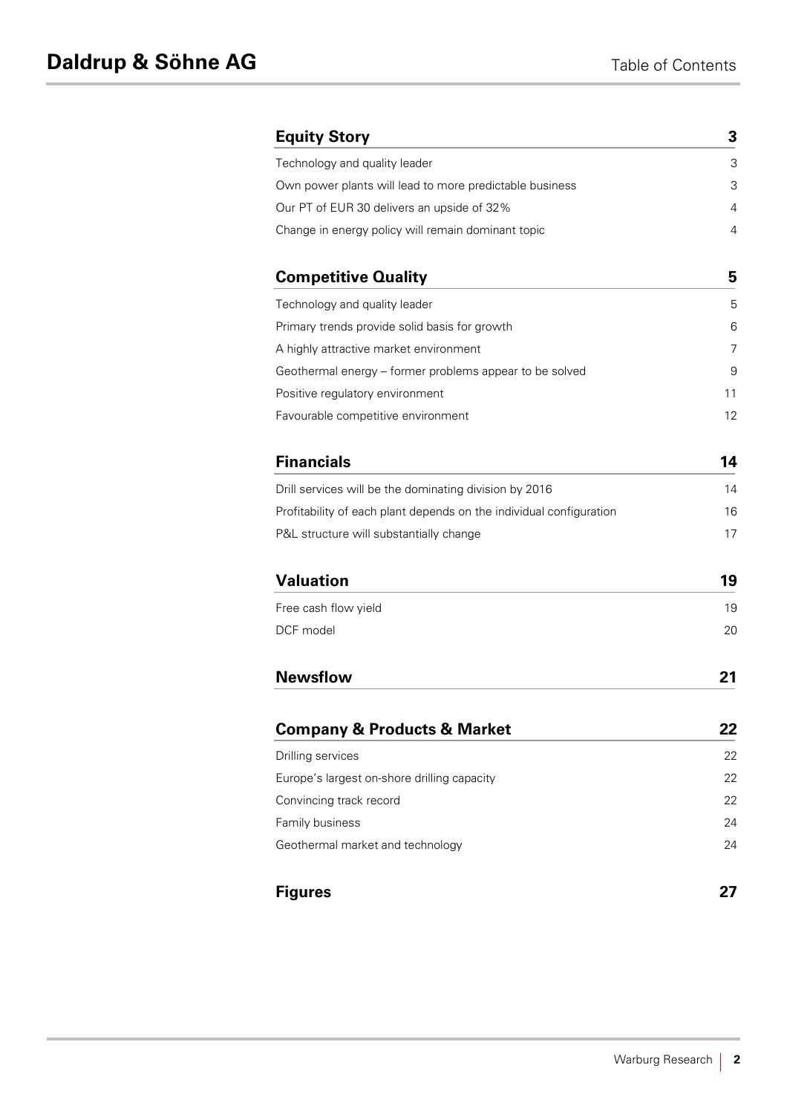| <b>Equity Story</b>                                                 | 3  |
|---------------------------------------------------------------------|----|
| Technology and quality leader                                       | 3  |
| Own power plants will lead to more predictable business             | 3  |
| Our PT of EUR 30 delivers an upside of 32%                          | 4  |
| Change in energy policy will remain dominant topic                  | 4  |
| <b>Competitive Quality</b>                                          | 5  |
| Technology and quality leader                                       | 5  |
| Primary trends provide solid basis for growth                       | 6  |
| A highly attractive market environment                              | 7  |
| Geothermal energy - former problems appear to be solved             | 9  |
| Positive regulatory environment                                     | 11 |
| Favourable competitive environment                                  | 12 |
| <b>Financials</b>                                                   | 14 |
| Drill services will be the dominating division by 2016              | 14 |
| Profitability of each plant depends on the individual configuration | 16 |
| P&L structure will substantially change                             | 17 |
| <b>Valuation</b>                                                    | 19 |
| Free cash flow yield                                                | 19 |
| DCF model                                                           | 20 |
| <b>Newsflow</b>                                                     | 21 |
| <b>Company &amp; Products &amp; Market</b>                          | 22 |
| Drilling services                                                   | 22 |
| Europe's largest on-shore drilling capacity                         | 22 |
| Convincing track record                                             | 22 |
| Family business                                                     | 24 |
| Geothermal market and technology                                    | 24 |
| <b>Figures</b>                                                      | 27 |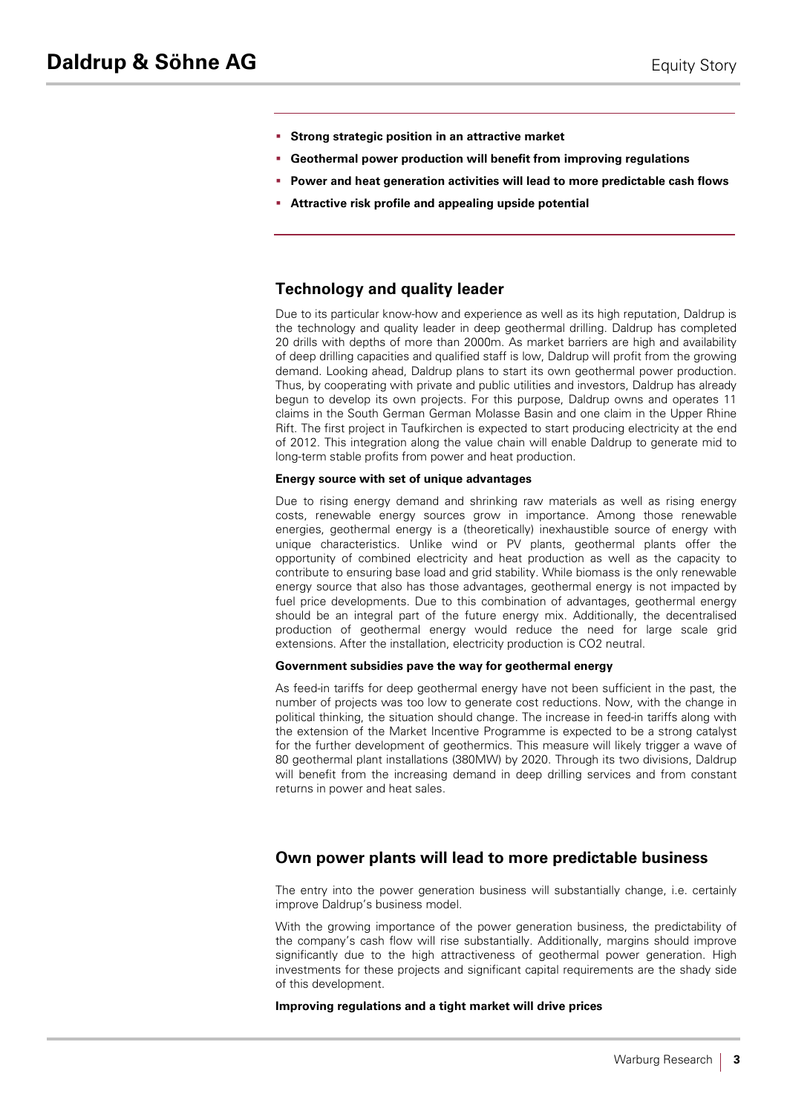- § **Strong strategic position in an attractive market**
- § **Geothermal power production will benefit from improving regulations**
- § **Power and heat generation activities will lead to more predictable cash flows**
- § **Attractive risk profile and appealing upside potential**

# **Technology and quality leader**

Due to its particular know-how and experience as well as its high reputation, Daldrup is the technology and quality leader in deep geothermal drilling. Daldrup has completed 20 drills with depths of more than 2000m. As market barriers are high and availability of deep drilling capacities and qualified staff is low, Daldrup will profit from the growing demand. Looking ahead, Daldrup plans to start its own geothermal power production. Thus, by cooperating with private and public utilities and investors, Daldrup has already begun to develop its own projects. For this purpose, Daldrup owns and operates 11 claims in the South German German Molasse Basin and one claim in the Upper Rhine Rift. The first project in Taufkirchen is expected to start producing electricity at the end of 2012. This integration along the value chain will enable Daldrup to generate mid to long-term stable profits from power and heat production.

#### **Energy source with set of unique advantages**

Due to rising energy demand and shrinking raw materials as well as rising energy costs, renewable energy sources grow in importance. Among those renewable energies, geothermal energy is a (theoretically) inexhaustible source of energy with unique characteristics. Unlike wind or PV plants, geothermal plants offer the opportunity of combined electricity and heat production as well as the capacity to contribute to ensuring base load and grid stability. While biomass is the only renewable energy source that also has those advantages, geothermal energy is not impacted by fuel price developments. Due to this combination of advantages, geothermal energy should be an integral part of the future energy mix. Additionally, the decentralised production of geothermal energy would reduce the need for large scale grid extensions. After the installation, electricity production is CO2 neutral.

#### **Government subsidies pave the way for geothermal energy**

As feed-in tariffs for deep geothermal energy have not been sufficient in the past, the number of projects was too low to generate cost reductions. Now, with the change in political thinking, the situation should change. The increase in feed-in tariffs along with the extension of the Market Incentive Programme is expected to be a strong catalyst for the further development of geothermics. This measure will likely trigger a wave of 80 geothermal plant installations (380MW) by 2020. Through its two divisions, Daldrup will benefit from the increasing demand in deep drilling services and from constant returns in power and heat sales.

# **Own power plants will lead to more predictable business**

The entry into the power generation business will substantially change, i.e. certainly improve Daldrup's business model.

With the growing importance of the power generation business, the predictability of the company's cash flow will rise substantially. Additionally, margins should improve significantly due to the high attractiveness of geothermal power generation. High investments for these projects and significant capital requirements are the shady side of this development.

#### **Improving regulations and a tight market will drive prices**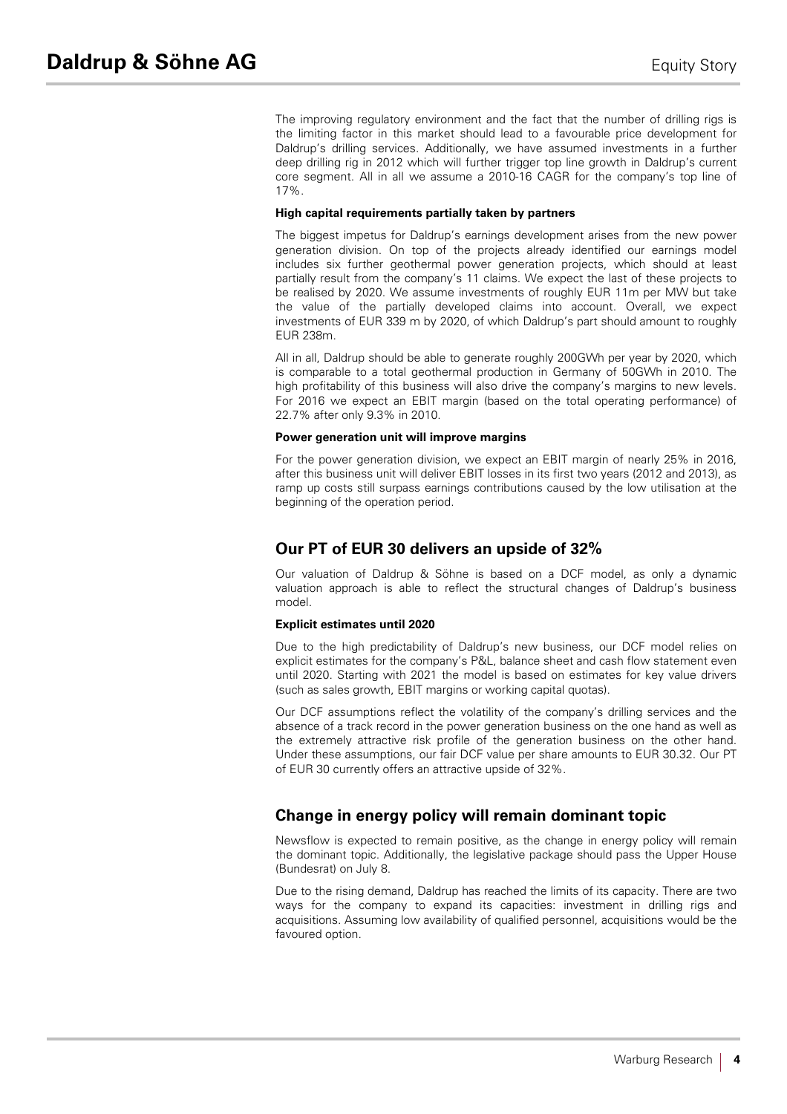The improving regulatory environment and the fact that the number of drilling rigs is the limiting factor in this market should lead to a favourable price development for Daldrup's drilling services. Additionally, we have assumed investments in a further deep drilling rig in 2012 which will further trigger top line growth in Daldrup's current core segment. All in all we assume a 2010-16 CAGR for the company's top line of 17%.

#### **High capital requirements partially taken by partners**

The biggest impetus for Daldrup's earnings development arises from the new power generation division. On top of the projects already identified our earnings model includes six further geothermal power generation projects, which should at least partially result from the company's 11 claims. We expect the last of these projects to be realised by 2020. We assume investments of roughly EUR 11m per MW but take the value of the partially developed claims into account. Overall, we expect investments of EUR 339 m by 2020, of which Daldrup's part should amount to roughly EUR 238m.

All in all, Daldrup should be able to generate roughly 200GWh per year by 2020, which is comparable to a total geothermal production in Germany of 50GWh in 2010. The high profitability of this business will also drive the company's margins to new levels. For 2016 we expect an EBIT margin (based on the total operating performance) of 22.7% after only 9.3% in 2010.

#### **Power generation unit will improve margins**

For the power generation division, we expect an EBIT margin of nearly 25% in 2016, after this business unit will deliver EBIT losses in its first two years (2012 and 2013), as ramp up costs still surpass earnings contributions caused by the low utilisation at the beginning of the operation period.

# **Our PT of EUR 30 delivers an upside of 32%**

Our valuation of Daldrup & Söhne is based on a DCF model, as only a dynamic valuation approach is able to reflect the structural changes of Daldrup's business model.

#### **Explicit estimates until 2020**

Due to the high predictability of Daldrup's new business, our DCF model relies on explicit estimates for the company's P&L, balance sheet and cash flow statement even until 2020. Starting with 2021 the model is based on estimates for key value drivers (such as sales growth, EBIT margins or working capital quotas).

Our DCF assumptions reflect the volatility of the company's drilling services and the absence of a track record in the power generation business on the one hand as well as the extremely attractive risk profile of the generation business on the other hand. Under these assumptions, our fair DCF value per share amounts to EUR 30.32. Our PT of EUR 30 currently offers an attractive upside of 32%.

# **Change in energy policy will remain dominant topic**

Newsflow is expected to remain positive, as the change in energy policy will remain the dominant topic. Additionally, the legislative package should pass the Upper House (Bundesrat) on July 8.

Due to the rising demand, Daldrup has reached the limits of its capacity. There are two ways for the company to expand its capacities: investment in drilling rigs and acquisitions. Assuming low availability of qualified personnel, acquisitions would be the favoured option.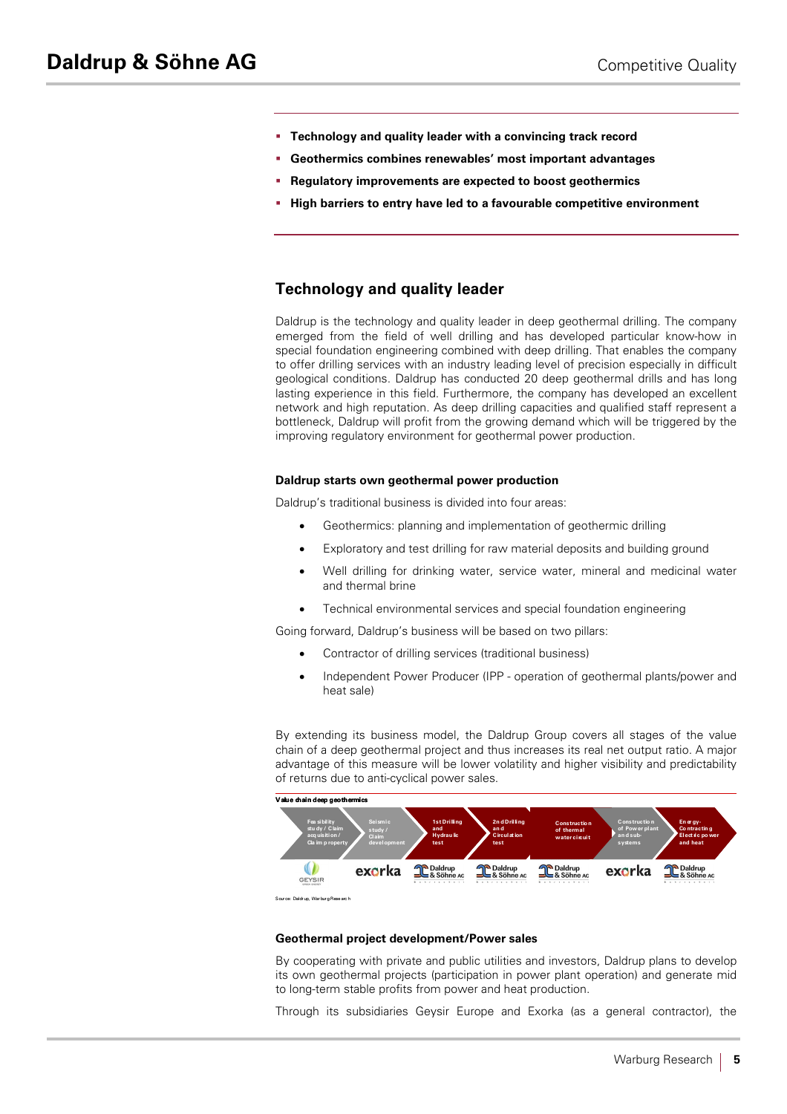- § **Technology and quality leader with a convincing track record**
- § **Geothermics combines renewables' most important advantages**
- § **Regulatory improvements are expected to boost geothermics**
- § **High barriers to entry have led to a favourable competitive environment**

# **Technology and quality leader**

Daldrup is the technology and quality leader in deep geothermal drilling. The company emerged from the field of well drilling and has developed particular know-how in special foundation engineering combined with deep drilling. That enables the company to offer drilling services with an industry leading level of precision especially in difficult geological conditions. Daldrup has conducted 20 deep geothermal drills and has long lasting experience in this field. Furthermore, the company has developed an excellent network and high reputation. As deep drilling capacities and qualified staff represent a bottleneck, Daldrup will profit from the growing demand which will be triggered by the improving regulatory environment for geothermal power production.

#### **Daldrup starts own geothermal power production**

Daldrup's traditional business is divided into four areas:

- Geothermics: planning and implementation of geothermic drilling
- Exploratory and test drilling for raw material deposits and building ground
- Well drilling for drinking water, service water, mineral and medicinal water and thermal brine
- Technical environmental services and special foundation engineering

Going forward, Daldrup's business will be based on two pillars:

- Contractor of drilling services (traditional business)
- Independent Power Producer (IPP operation of geothermal plants/power and heat sale)

By extending its business model, the Daldrup Group covers all stages of the value chain of a deep geothermal project and thus increases its real net output ratio. A major advantage of this measure will be lower volatility and higher visibility and predictability of returns due to anti-cyclical power sales.



S our ce: Daldr up, War bur g Rese arc h

#### **Geothermal project development/Power sales**

By cooperating with private and public utilities and investors, Daldrup plans to develop its own geothermal projects (participation in power plant operation) and generate mid to long-term stable profits from power and heat production.

Through its subsidiaries Geysir Europe and Exorka (as a general contractor), the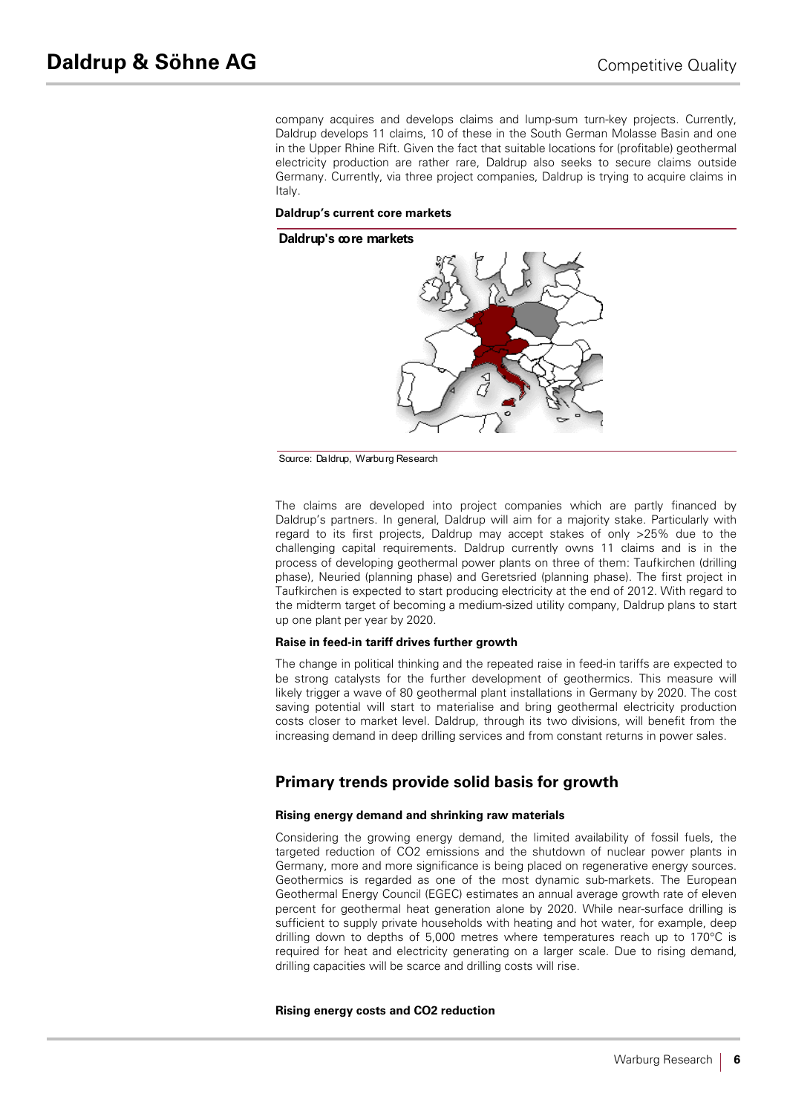company acquires and develops claims and lump-sum turn-key projects. Currently, Daldrup develops 11 claims, 10 of these in the South German Molasse Basin and one in the Upper Rhine Rift. Given the fact that suitable locations for (profitable) geothermal electricity production are rather rare, Daldrup also seeks to secure claims outside Germany. Currently, via three project companies, Daldrup is trying to acquire claims in Italy.

#### **Daldrup's current core markets**

#### **Daldrup's core markets**



Source: Daldrup, Warburg Research

The claims are developed into project companies which are partly financed by Daldrup's partners. In general, Daldrup will aim for a majority stake. Particularly with regard to its first projects, Daldrup may accept stakes of only >25% due to the challenging capital requirements. Daldrup currently owns 11 claims and is in the process of developing geothermal power plants on three of them: Taufkirchen (drilling phase), Neuried (planning phase) and Geretsried (planning phase). The first project in Taufkirchen is expected to start producing electricity at the end of 2012. With regard to the midterm target of becoming a medium-sized utility company, Daldrup plans to start up one plant per year by 2020.

#### **Raise in feed-in tariff drives further growth**

The change in political thinking and the repeated raise in feed-in tariffs are expected to be strong catalysts for the further development of geothermics. This measure will likely trigger a wave of 80 geothermal plant installations in Germany by 2020. The cost saving potential will start to materialise and bring geothermal electricity production costs closer to market level. Daldrup, through its two divisions, will benefit from the increasing demand in deep drilling services and from constant returns in power sales.

# **Primary trends provide solid basis for growth**

#### **Rising energy demand and shrinking raw materials**

Considering the growing energy demand, the limited availability of fossil fuels, the targeted reduction of CO2 emissions and the shutdown of nuclear power plants in Germany, more and more significance is being placed on regenerative energy sources. Geothermics is regarded as one of the most dynamic sub-markets. The European Geothermal Energy Council (EGEC) estimates an annual average growth rate of eleven percent for geothermal heat generation alone by 2020. While near-surface drilling is sufficient to supply private households with heating and hot water, for example, deep drilling down to depths of 5,000 metres where temperatures reach up to 170°C is required for heat and electricity generating on a larger scale. Due to rising demand, drilling capacities will be scarce and drilling costs will rise.

#### **Rising energy costs and CO2 reduction**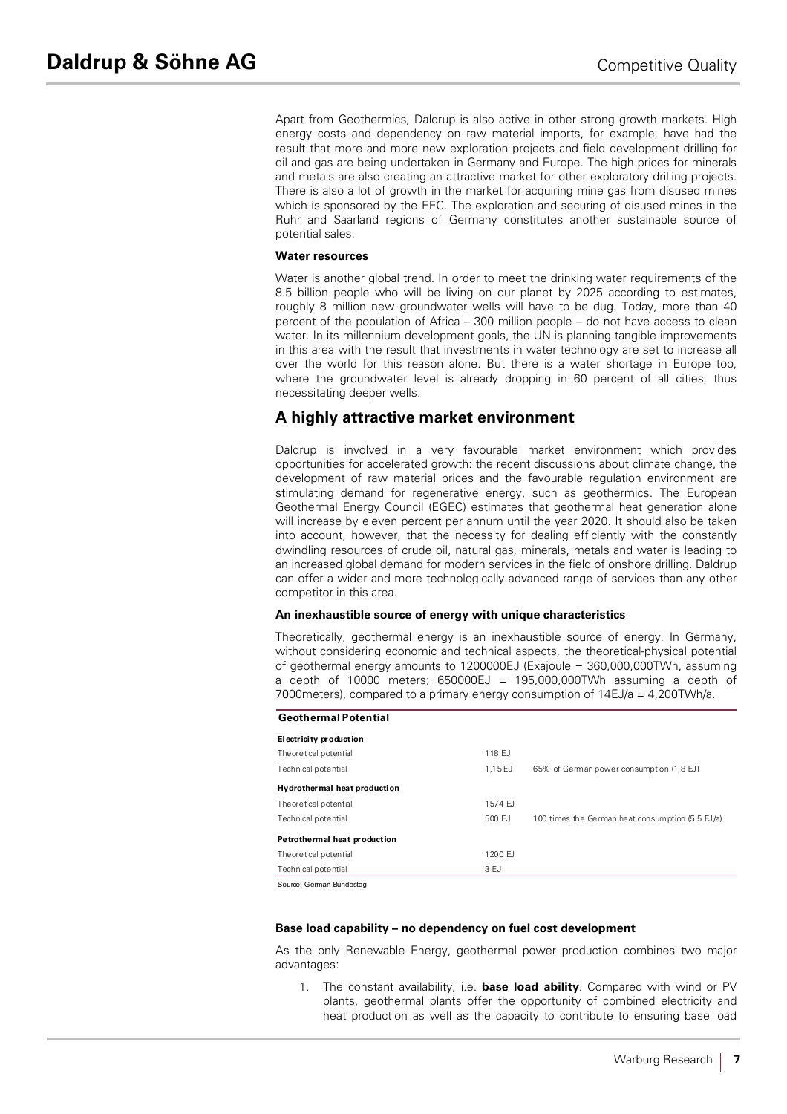Apart from Geothermics, Daldrup is also active in other strong growth markets. High energy costs and dependency on raw material imports, for example, have had the result that more and more new exploration projects and field development drilling for oil and gas are being undertaken in Germany and Europe. The high prices for minerals and metals are also creating an attractive market for other exploratory drilling projects. There is also a lot of growth in the market for acquiring mine gas from disused mines which is sponsored by the EEC. The exploration and securing of disused mines in the Ruhr and Saarland regions of Germany constitutes another sustainable source of potential sales.

#### **Water resources**

Water is another global trend. In order to meet the drinking water requirements of the 8.5 billion people who will be living on our planet by 2025 according to estimates, roughly 8 million new groundwater wells will have to be dug. Today, more than 40 percent of the population of Africa – 300 million people – do not have access to clean water. In its millennium development goals, the UN is planning tangible improvements in this area with the result that investments in water technology are set to increase all over the world for this reason alone. But there is a water shortage in Europe too, where the groundwater level is already dropping in 60 percent of all cities, thus necessitating deeper wells.

# **A highly attractive market environment**

Daldrup is involved in a very favourable market environment which provides opportunities for accelerated growth: the recent discussions about climate change, the development of raw material prices and the favourable regulation environment are stimulating demand for regenerative energy, such as geothermics. The European Geothermal Energy Council (EGEC) estimates that geothermal heat generation alone will increase by eleven percent per annum until the year 2020. It should also be taken into account, however, that the necessity for dealing efficiently with the constantly dwindling resources of crude oil, natural gas, minerals, metals and water is leading to an increased global demand for modern services in the field of onshore drilling. Daldrup can offer a wider and more technologically advanced range of services than any other competitor in this area.

#### **An inexhaustible source of energy with unique characteristics**

Theoretically, geothermal energy is an inexhaustible source of energy. In Germany, without considering economic and technical aspects, the theoretical-physical potential of geothermal energy amounts to 1200000EJ (Exajoule = 360,000,000TWh, assuming a depth of 10000 meters;  $650000EJ = 195,000,000TW$ h assuming a depth of 7000meters), compared to a primary energy consumption of 14EJ/a = 4,200TWh/a.

### **Geothermal Potential**

| Electricity production        |          |                                                  |
|-------------------------------|----------|--------------------------------------------------|
| Theoretical potential         | 118 F.J  |                                                  |
| Technical potential           | 1.15 EJ  | 65% of German power consumption (1,8 EJ)         |
| Hydrother mal heat production |          |                                                  |
| Theoretical potential         | 1574 F.J |                                                  |
| Technical potential           | 500 EJ   | 100 times the German heat consumption (5.5 EJ/a) |
| Petrothermal heat production  |          |                                                  |
| Theoretical potential         | 1200 FJ  |                                                  |
| Technical potential           | 3 EJ     |                                                  |

Source: German Bundestag

#### **Base load capability – no dependency on fuel cost development**

As the only Renewable Energy, geothermal power production combines two major advantages:

1. The constant availability, i.e. **base load ability**. Compared with wind or PV plants, geothermal plants offer the opportunity of combined electricity and heat production as well as the capacity to contribute to ensuring base load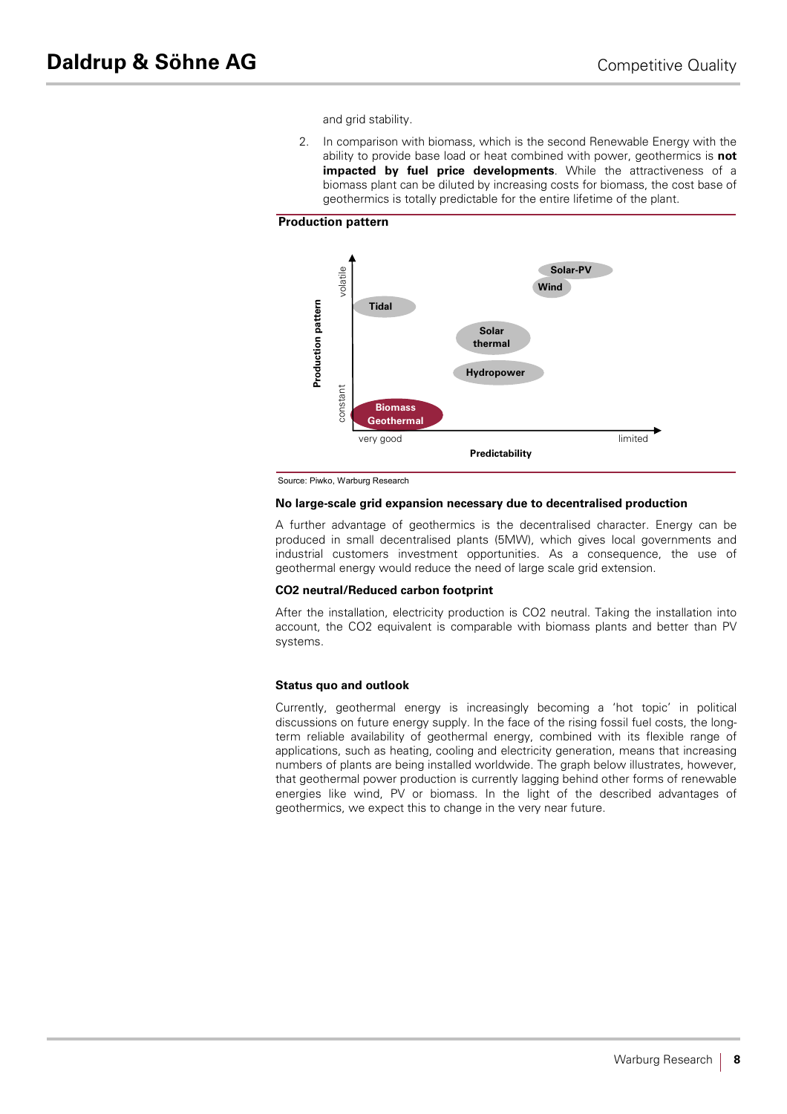and grid stability.

2. In comparison with biomass, which is the second Renewable Energy with the ability to provide base load or heat combined with power, geothermics is **not impacted by fuel price developments**. While the attractiveness of a biomass plant can be diluted by increasing costs for biomass, the cost base of geothermics is totally predictable for the entire lifetime of the plant.

#### **Production pattern**



Source: Piwko, Warburg Research

#### **No large-scale grid expansion necessary due to decentralised production**

A further advantage of geothermics is the decentralised character. Energy can be produced in small decentralised plants (5MW), which gives local governments and industrial customers investment opportunities. As a consequence, the use of geothermal energy would reduce the need of large scale grid extension.

#### **CO2 neutral/Reduced carbon footprint**

After the installation, electricity production is CO2 neutral. Taking the installation into account, the CO2 equivalent is comparable with biomass plants and better than PV systems.

#### **Status quo and outlook**

Currently, geothermal energy is increasingly becoming a 'hot topic' in political discussions on future energy supply. In the face of the rising fossil fuel costs, the longterm reliable availability of geothermal energy, combined with its flexible range of applications, such as heating, cooling and electricity generation, means that increasing numbers of plants are being installed worldwide. The graph below illustrates, however, that geothermal power production is currently lagging behind other forms of renewable energies like wind, PV or biomass. In the light of the described advantages of geothermics, we expect this to change in the very near future.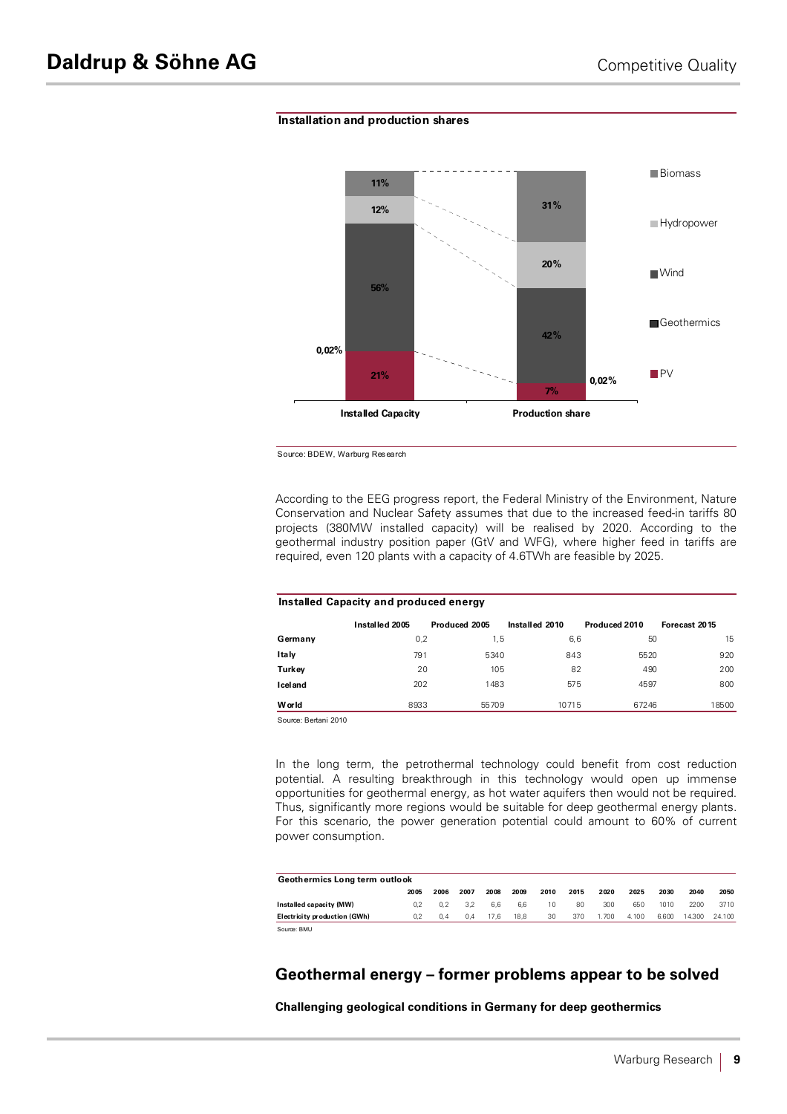#### **Installation and production shares**



Source: BDEW, Warburg Research

According to the EEG progress report, the Federal Ministry of the Environment, Nature Conservation and Nuclear Safety assumes that due to the increased feed-in tariffs 80 projects (380MW installed capacity) will be realised by 2020. According to the geothermal industry position paper (GtV and WFG), where higher feed in tariffs are required, even 120 plants with a capacity of 4.6TWh are feasible by 2025.

| Installed Capacity and produced energy |                |               |                |               |               |  |  |  |  |  |
|----------------------------------------|----------------|---------------|----------------|---------------|---------------|--|--|--|--|--|
|                                        | Installed 2005 | Produced 2005 | Installed 2010 | Produced 2010 | Forecast 2015 |  |  |  |  |  |
| Germany                                | 0,2            | 1,5           | 6,6            | 50            | 15            |  |  |  |  |  |
| Italy                                  | 791            | 5340          | 843            | 5520          | 920           |  |  |  |  |  |
| Turkey                                 | 20             | 105           | 82             | 490           | 200           |  |  |  |  |  |
| <b>Iceland</b>                         | 202            | 1483          | 575            | 4597          | 800           |  |  |  |  |  |
| <b>W</b> or Id                         | 8933           | 55709         | 10715          | 67246         | 18500         |  |  |  |  |  |

Source: Bertani 2010

In the long term, the petrothermal technology could benefit from cost reduction potential. A resulting breakthrough in this technology would open up immense opportunities for geothermal energy, as hot water aquifers then would not be required. Thus, significantly more regions would be suitable for deep geothermal energy plants. For this scenario, the power generation potential could amount to 60% of current power consumption.

| Geothermics Long term outlook |      |      |      |      |      |      |      |       |       |       |        |        |
|-------------------------------|------|------|------|------|------|------|------|-------|-------|-------|--------|--------|
|                               | 2005 | 2006 | 2007 | 2008 | 2009 | 2010 | 2015 | 2020  | 2025  | 2030  | 2040   | 2050   |
| Installed capacity (MW)       | 02   | 0.2  | 3.2  | 6.6  | 6.6  | 10   | 80   | 300   | 650   | 1010  | 2200   | 3710   |
| Electricity production (GWh)  | 0.2  | 0.4  | 0.4  | 17.6 | 18.8 | 30   | 370  | 1.700 | 4.100 | 6.600 | 14.300 | 24.100 |
| Source: BMU                   |      |      |      |      |      |      |      |       |       |       |        |        |

# **Geothermal energy – former problems appear to be solved**

**Challenging geological conditions in Germany for deep geothermics**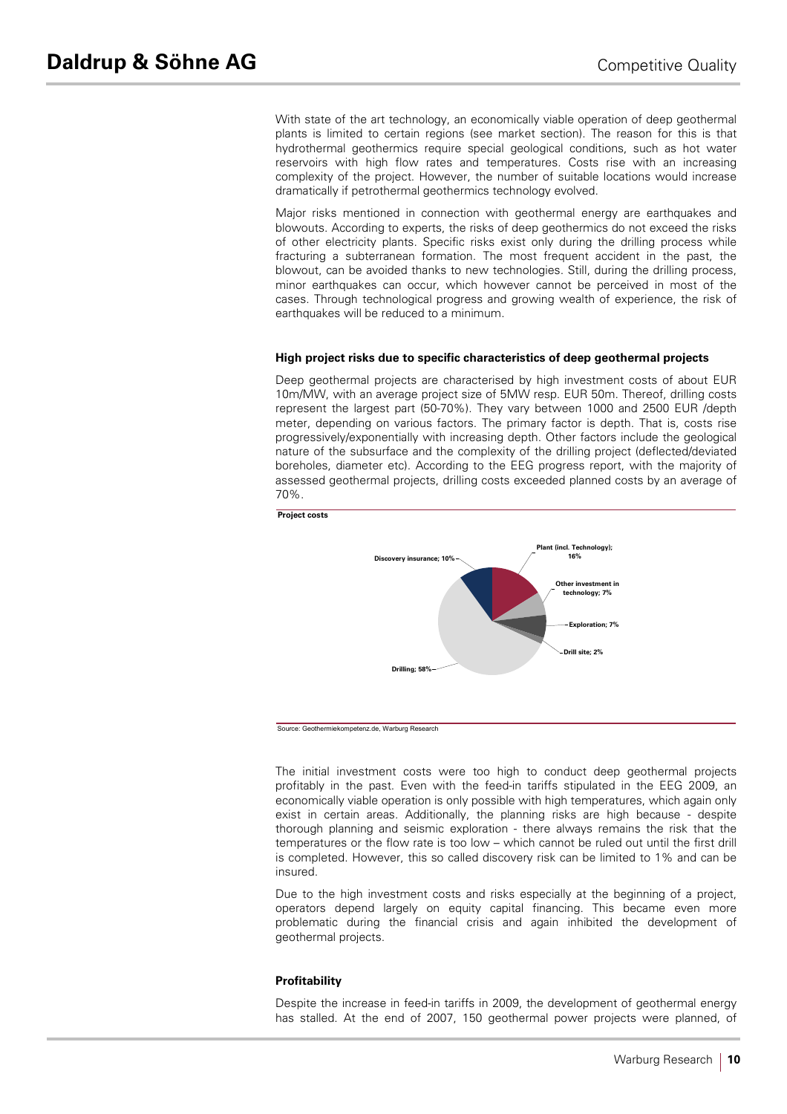With state of the art technology, an economically viable operation of deep geothermal plants is limited to certain regions (see market section). The reason for this is that hydrothermal geothermics require special geological conditions, such as hot water reservoirs with high flow rates and temperatures. Costs rise with an increasing complexity of the project. However, the number of suitable locations would increase dramatically if petrothermal geothermics technology evolved.

Major risks mentioned in connection with geothermal energy are earthquakes and blowouts. According to experts, the risks of deep geothermics do not exceed the risks of other electricity plants. Specific risks exist only during the drilling process while fracturing a subterranean formation. The most frequent accident in the past, the blowout, can be avoided thanks to new technologies. Still, during the drilling process, minor earthquakes can occur, which however cannot be perceived in most of the cases. Through technological progress and growing wealth of experience, the risk of earthquakes will be reduced to a minimum.

#### **High project risks due to specific characteristics of deep geothermal projects**

Deep geothermal projects are characterised by high investment costs of about EUR 10m/MW, with an average project size of 5MW resp. EUR 50m. Thereof, drilling costs represent the largest part (50-70%). They vary between 1000 and 2500 EUR /depth meter, depending on various factors. The primary factor is depth. That is, costs rise progressively/exponentially with increasing depth. Other factors include the geological nature of the subsurface and the complexity of the drilling project (deflected/deviated boreholes, diameter etc). According to the EEG progress report, with the majority of assessed geothermal projects, drilling costs exceeded planned costs by an average of 70%.



Source: Geothermiekompetenz.de, Warburg Research

The initial investment costs were too high to conduct deep geothermal projects profitably in the past. Even with the feed-in tariffs stipulated in the EEG 2009, an economically viable operation is only possible with high temperatures, which again only exist in certain areas. Additionally, the planning risks are high because - despite thorough planning and seismic exploration - there always remains the risk that the temperatures or the flow rate is too low – which cannot be ruled out until the first drill is completed. However, this so called discovery risk can be limited to 1% and can be insured.

Due to the high investment costs and risks especially at the beginning of a project, operators depend largely on equity capital financing. This became even more problematic during the financial crisis and again inhibited the development of geothermal projects.

#### **Profitability**

Despite the increase in feed-in tariffs in 2009, the development of geothermal energy has stalled. At the end of 2007, 150 geothermal power projects were planned, of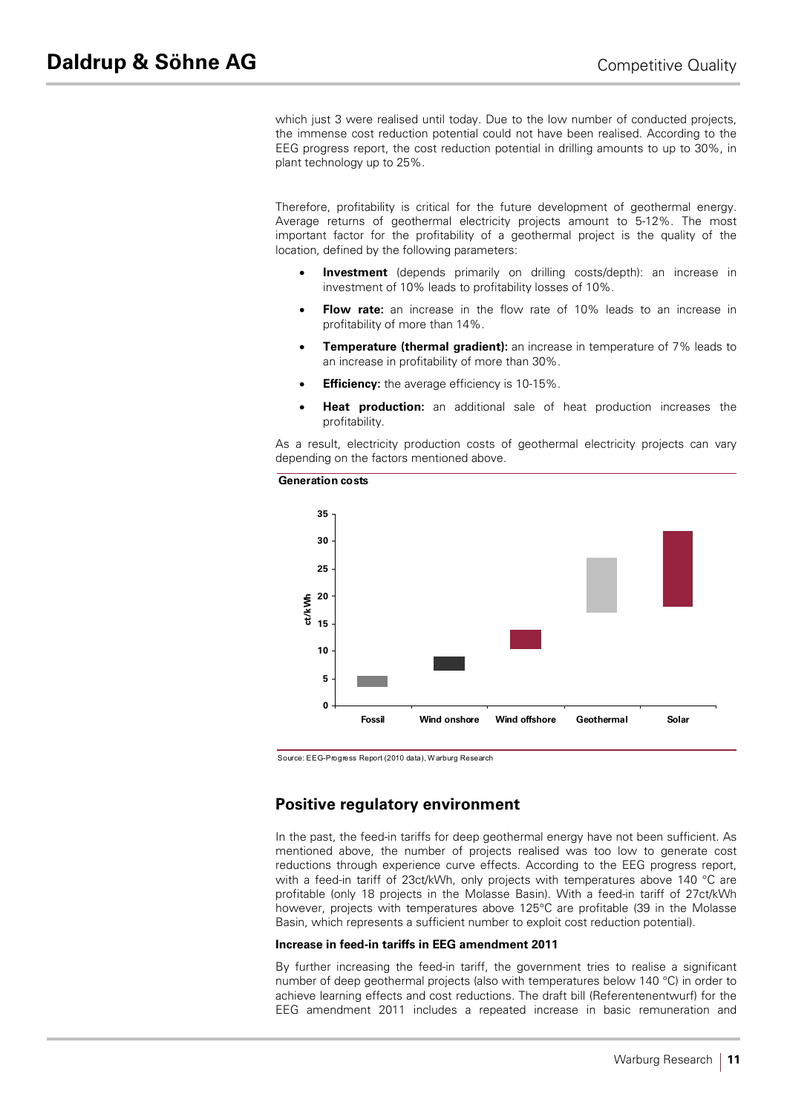which just 3 were realised until today. Due to the low number of conducted projects, the immense cost reduction potential could not have been realised. According to the EEG progress report, the cost reduction potential in drilling amounts to up to 30%, in plant technology up to 25%.

Therefore, profitability is critical for the future development of geothermal energy. Average returns of geothermal electricity projects amount to 5-12%. The most important factor for the profitability of a geothermal project is the quality of the location, defined by the following parameters:

- **Investment** (depends primarily on drilling costs/depth): an increase in investment of 10% leads to profitability losses of 10%.
- **Flow rate:** an increase in the flow rate of 10% leads to an increase in profitability of more than 14%.
- **Temperature (thermal gradient):** an increase in temperature of 7% leads to an increase in profitability of more than 30%.
- **Efficiency:** the average efficiency is 10-15%.
- **Heat production:** an additional sale of heat production increases the profitability.

As a result, electricity production costs of geothermal electricity projects can vary depending on the factors mentioned above.



Source: EEG-Progress Report (2010 data), W arburg Research

# **Positive regulatory environment**

In the past, the feed-in tariffs for deep geothermal energy have not been sufficient. As mentioned above, the number of projects realised was too low to generate cost reductions through experience curve effects. According to the EEG progress report, with a feed-in tariff of 23ct/kWh, only projects with temperatures above 140 °C are profitable (only 18 projects in the Molasse Basin). With a feed-in tariff of 27ct/kWh however, projects with temperatures above 125°C are profitable (39 in the Molasse Basin, which represents a sufficient number to exploit cost reduction potential).

#### **Increase in feed-in tariffs in EEG amendment 2011**

By further increasing the feed-in tariff, the government tries to realise a significant number of deep geothermal projects (also with temperatures below 140 °C) in order to achieve learning effects and cost reductions. The draft bill (Referentenentwurf) for the EEG amendment 2011 includes a repeated increase in basic remuneration and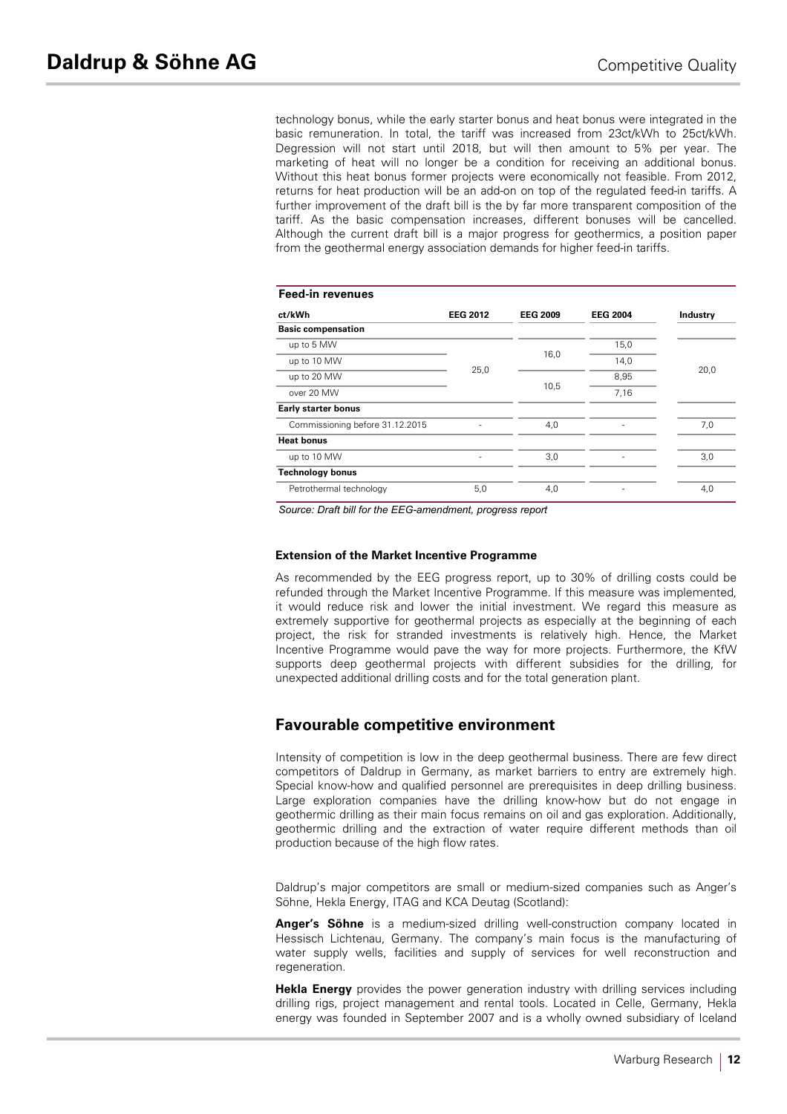technology bonus, while the early starter bonus and heat bonus were integrated in the basic remuneration. In total, the tariff was increased from 23ct/kWh to 25ct/kWh. Degression will not start until 2018, but will then amount to 5% per year. The marketing of heat will no longer be a condition for receiving an additional bonus. Without this heat bonus former projects were economically not feasible. From 2012, returns for heat production will be an add-on on top of the regulated feed-in tariffs. A further improvement of the draft bill is the by far more transparent composition of the tariff. As the basic compensation increases, different bonuses will be cancelled. Although the current draft bill is a major progress for geothermics, a position paper from the geothermal energy association demands for higher feed-in tariffs.

| <b>Feed-in revenues</b>         |                 |                 |                 |                 |
|---------------------------------|-----------------|-----------------|-----------------|-----------------|
| ct/kWh                          | <b>EEG 2012</b> | <b>EEG 2009</b> | <b>EEG 2004</b> | <b>Industry</b> |
| <b>Basic compensation</b>       |                 |                 |                 |                 |
| up to 5 MW                      |                 |                 | 15,0            |                 |
| up to 10 MW                     |                 | 16,0            | 14,0            |                 |
| up to 20 MW                     | 25,0            |                 | 8,95            | 20,0            |
| over 20 MW                      |                 | 10,5            | 7,16            |                 |
| <b>Early starter bonus</b>      |                 |                 |                 |                 |
| Commissioning before 31.12.2015 |                 | 4,0             |                 | 7,0             |
| <b>Heat bonus</b>               |                 |                 |                 |                 |
| up to 10 MW                     | ۰               | 3,0             |                 | 3,0             |
| <b>Technology bonus</b>         |                 |                 |                 |                 |
| Petrothermal technology         | 5,0             | 4,0             |                 | 4,0             |

*Source: Draft bill for the EEG-amendment, progress report*

#### **Extension of the Market Incentive Programme**

As recommended by the EEG progress report, up to 30% of drilling costs could be refunded through the Market Incentive Programme. If this measure was implemented, it would reduce risk and lower the initial investment. We regard this measure as extremely supportive for geothermal projects as especially at the beginning of each project, the risk for stranded investments is relatively high. Hence, the Market Incentive Programme would pave the way for more projects. Furthermore, the KfW supports deep geothermal projects with different subsidies for the drilling, for unexpected additional drilling costs and for the total generation plant.

# **Favourable competitive environment**

Intensity of competition is low in the deep geothermal business. There are few direct competitors of Daldrup in Germany, as market barriers to entry are extremely high. Special know-how and qualified personnel are prerequisites in deep drilling business. Large exploration companies have the drilling know-how but do not engage in geothermic drilling as their main focus remains on oil and gas exploration. Additionally, geothermic drilling and the extraction of water require different methods than oil production because of the high flow rates.

Daldrup's major competitors are small or medium-sized companies such as Anger's Söhne, Hekla Energy, ITAG and KCA Deutag (Scotland):

**Anger's Söhne** is a medium-sized drilling well-construction company located in Hessisch Lichtenau, Germany. The company's main focus is the manufacturing of water supply wells, facilities and supply of services for well reconstruction and regeneration.

**Hekla Energy** provides the power generation industry with drilling services including drilling rigs, project management and rental tools. Located in Celle, Germany, Hekla energy was founded in September 2007 and is a wholly owned subsidiary of Iceland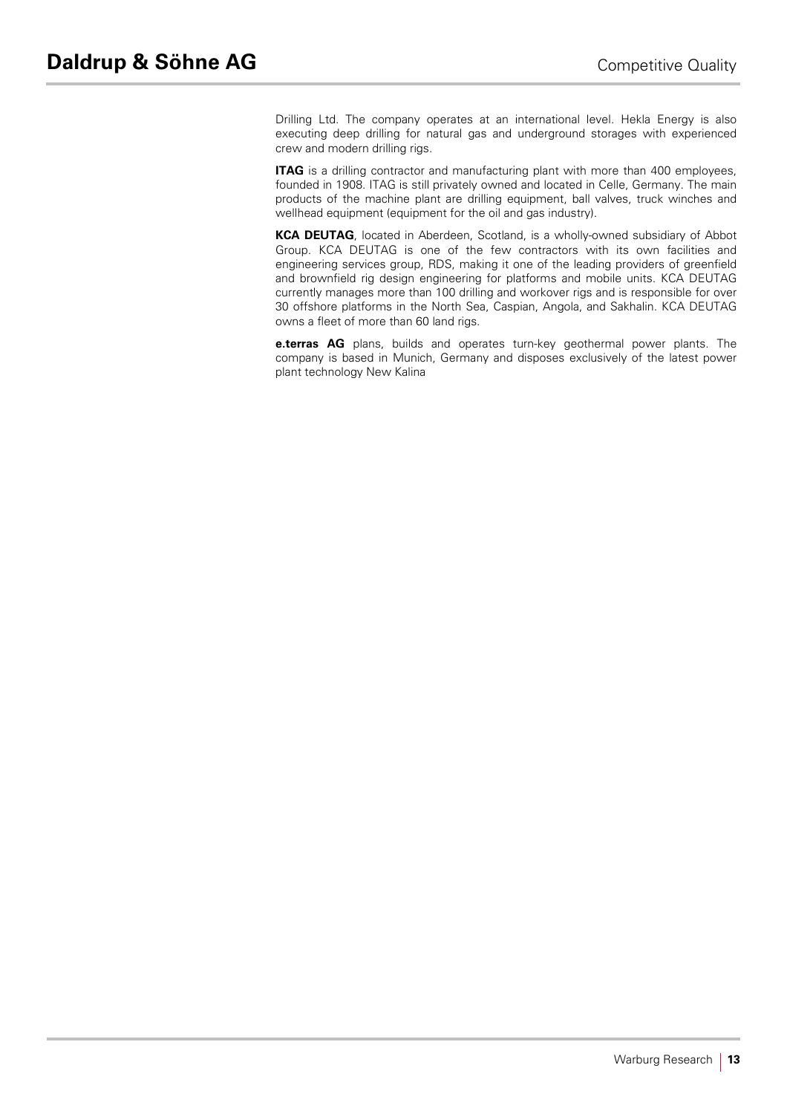Drilling Ltd. The company operates at an international level. Hekla Energy is also executing deep drilling for natural gas and underground storages with experienced crew and modern drilling rigs.

**ITAG** is a drilling contractor and manufacturing plant with more than 400 employees, founded in 1908. ITAG is still privately owned and located in Celle, Germany. The main products of the machine plant are drilling equipment, ball valves, truck winches and wellhead equipment (equipment for the oil and gas industry).

**KCA DEUTAG**, located in Aberdeen, Scotland, is a wholly-owned subsidiary of Abbot Group. KCA DEUTAG is one of the few contractors with its own facilities and engineering services group, RDS, making it one of the leading providers of greenfield and brownfield rig design engineering for platforms and mobile units. KCA DEUTAG currently manages more than 100 drilling and workover rigs and is responsible for over 30 offshore platforms in the North Sea, Caspian, Angola, and Sakhalin. KCA DEUTAG owns a fleet of more than 60 land rigs.

**e.terras AG** plans, builds and operates turn-key geothermal power plants. The company is based in Munich, Germany and disposes exclusively of the latest power plant technology New Kalina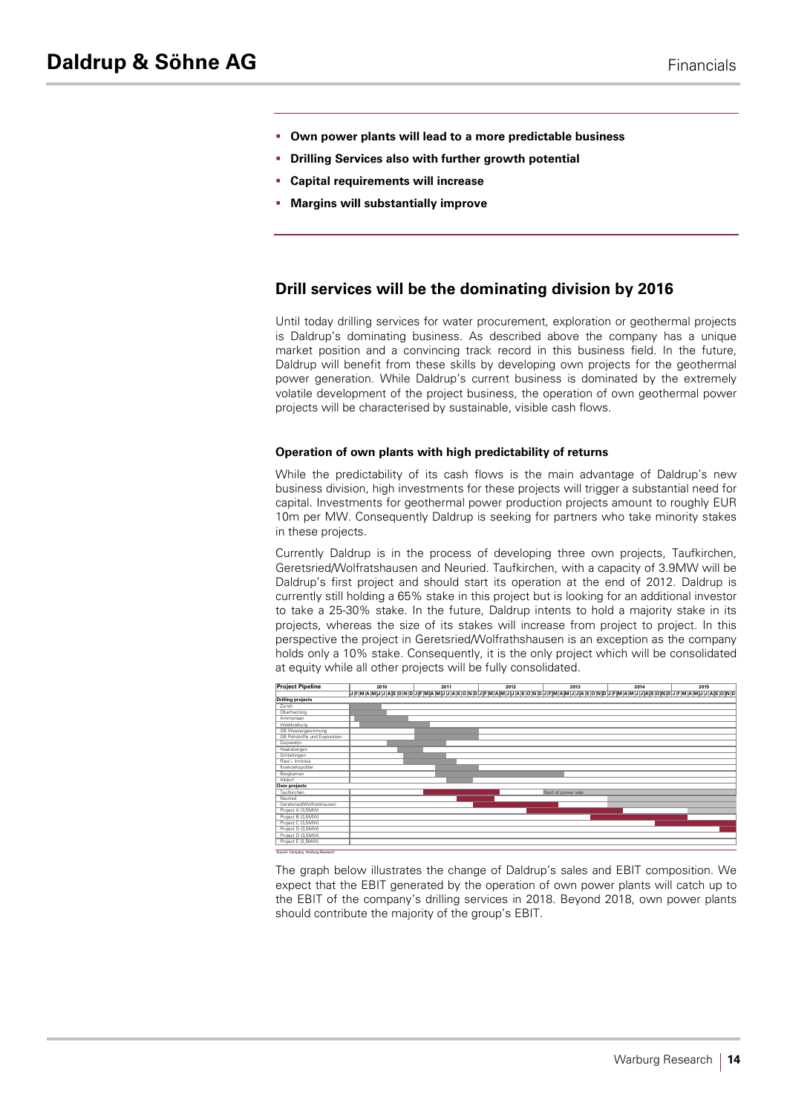- § **Own power plants will lead to a more predictable business**
- § **Drilling Services also with further growth potential**
- § **Capital requirements will increase**
- § **Margins will substantially improve**

# **Drill services will be the dominating division by 2016**

Until today drilling services for water procurement, exploration or geothermal projects is Daldrup's dominating business. As described above the company has a unique market position and a convincing track record in this business field. In the future, Daldrup will benefit from these skills by developing own projects for the geothermal power generation. While Daldrup's current business is dominated by the extremely volatile development of the project business, the operation of own geothermal power projects will be characterised by sustainable, visible cash flows.

#### **Operation of own plants with high predictability of returns**

While the predictability of its cash flows is the main advantage of Daldrup's new business division, high investments for these projects will trigger a substantial need for capital. Investments for geothermal power production projects amount to roughly EUR 10m per MW. Consequently Daldrup is seeking for partners who take minority stakes in these projects.

Currently Daldrup is in the process of developing three own projects, Taufkirchen, Geretsried/Wolfratshausen and Neuried. Taufkirchen, with a capacity of 3.9MW will be Daldrup's first project and should start its operation at the end of 2012. Daldrup is currently still holding a 65% stake in this project but is looking for an additional investor to take a 25-30% stake. In the future, Daldrup intents to hold a majority stake in its projects, whereas the size of its stakes will increase from project to project. In this perspective the project in Geretsried/Wolfrathshausen is an exception as the company holds only a 10% stake. Consequently, it is the only project which will be consolidated at equity while all other projects will be fully consolidated.



The graph below illustrates the change of Daldrup's sales and EBIT composition. We expect that the EBIT generated by the operation of own power plants will catch up to the EBIT of the company's drilling services in 2018. Beyond 2018, own power plants should contribute the majority of the group's EBIT.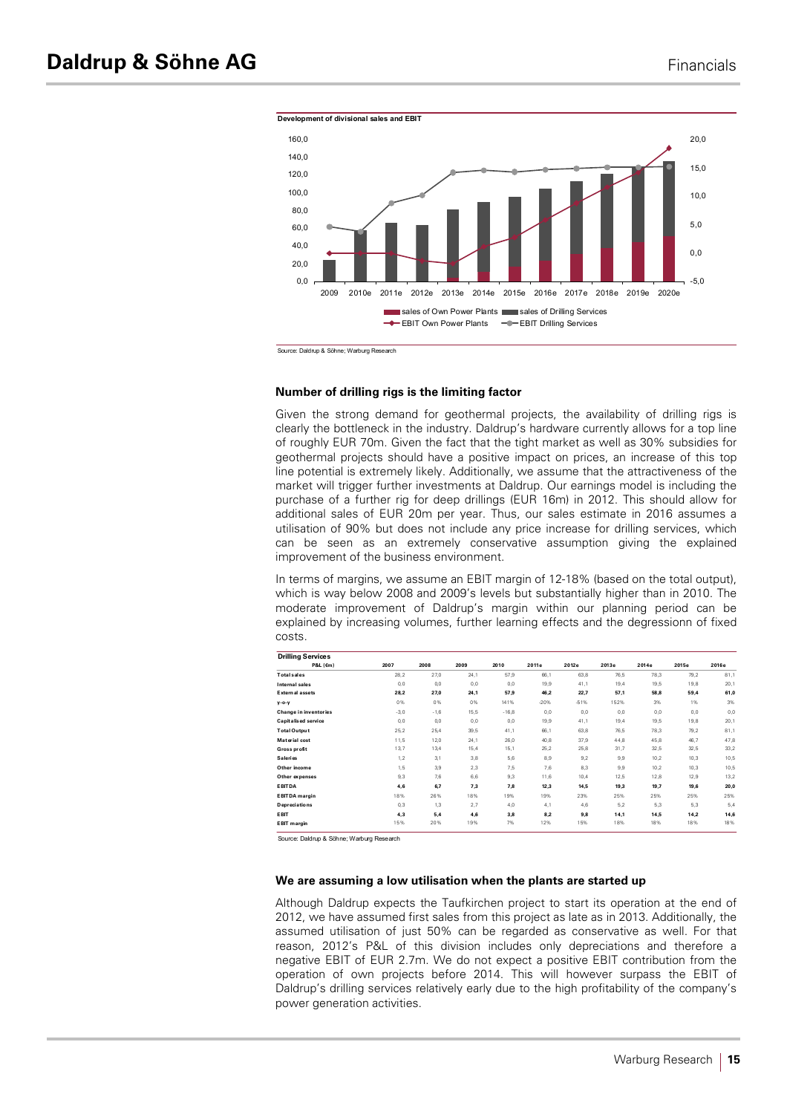

Source: Daldrup & Söhne; Warburg Research

#### **Number of drilling rigs is the limiting factor**

Given the strong demand for geothermal projects, the availability of drilling rigs is clearly the bottleneck in the industry. Daldrup's hardware currently allows for a top line of roughly EUR 70m. Given the fact that the tight market as well as 30% subsidies for geothermal projects should have a positive impact on prices, an increase of this top line potential is extremely likely. Additionally, we assume that the attractiveness of the market will trigger further investments at Daldrup. Our earnings model is including the purchase of a further rig for deep drillings (EUR 16m) in 2012. This should allow for additional sales of EUR 20m per year. Thus, our sales estimate in 2016 assumes a utilisation of 90% but does not include any price increase for drilling services, which can be seen as an extremely conservative assumption giving the explained improvement of the business environment.

In terms of margins, we assume an EBIT margin of 12-18% (based on the total output), which is way below 2008 and 2009's levels but substantially higher than in 2010. The moderate improvement of Daldrup's margin within our planning period can be explained by increasing volumes, further learning effects and the degressionn of fixed costs.

| <b>Drilling Services</b> |        |        |      |         |        |        |       |       |       |       |
|--------------------------|--------|--------|------|---------|--------|--------|-------|-------|-------|-------|
| P&L (Em)                 | 2007   | 2008   | 2009 | 2010    | 2011e  | 2012e  | 2013e | 2014e | 2015e | 2016e |
| <b>Total</b> sales       | 28, 2  | 27,0   | 24,1 | 57,9    | 66,1   | 63,8   | 76,5  | 78,3  | 79,2  | 81,1  |
| Internal sales           | 0, 0   | 0,0    | 0,0  | 0,0     | 19,9   | 41,1   | 19,4  | 19,5  | 19,8  | 20,1  |
| External assets          | 28,2   | 27,0   | 24,1 | 57,9    | 46,2   | 22,7   | 57,1  | 58,8  | 59,4  | 61,0  |
| y-o-y                    | 0%     | 0%     | 0%   | 141%    | $-20%$ | $-51%$ | 152%  | 3%    | 1%    | 3%    |
| Change in inventories    | $-3,0$ | $-1,6$ | 15,5 | $-16,8$ | 0,0    | 0,0    | 0,0   | 0,0   | 0,0   | 0,0   |
| Capitalised service      | 0, 0   | 0.0    | 0,0  | 0,0     | 19,9   | 41,1   | 19,4  | 19,5  | 19,8  | 20,1  |
| <b>Total Output</b>      | 25, 2  | 25,4   | 39,5 | 41,1    | 66,1   | 63,8   | 76,5  | 78,3  | 79,2  | 81,1  |
| Material cost            | 11,5   | 12,0   | 24,1 | 26,0    | 40,8   | 37,9   | 44,8  | 45,8  | 46,7  | 47,8  |
| Gross profit             | 13,7   | 13,4   | 15,4 | 15,1    | 25,2   | 25,8   | 31,7  | 32,5  | 32,5  | 33,2  |
| Saleries                 | 1, 2   | 3,1    | 3,8  | 5,6     | 8,9    | 9,2    | 9,9   | 10,2  | 10,3  | 10,5  |
| Other income             | 1, 5   | 3,9    | 2,3  | 7,5     | 7,6    | 8,3    | 9,9   | 10,2  | 10,3  | 10,5  |
| Other expenses           | 9,3    | 7,6    | 6,6  | 9,3     | 11,6   | 10,4   | 12,5  | 12,8  | 12,9  | 13,2  |
| <b>EBITDA</b>            | 4,6    | 6,7    | 7,3  | 7,8     | 12,3   | 14,5   | 19,3  | 19,7  | 19,6  | 20,0  |
| <b>EBITDA</b> margin     | 18%    | 26%    | 18%  | 19%     | 19%    | 23%    | 25%   | 25%   | 25%   | 25%   |
| Depreciations            | 0, 3   | 1,3    | 2,7  | 4,0     | 4,1    | 4,6    | 5,2   | 5,3   | 5,3   | 5,4   |
| <b>EBIT</b>              | 4,3    | 5,4    | 4,6  | 3,8     | 8,2    | 9,8    | 14,1  | 14,5  | 14,2  | 14,6  |
| EBIT margin              | 15%    | 20%    | 19%  | 7%      | 12%    | 15%    | 18%   | 18%   | 18%   | 18%   |

Source: Daldrup & Söhne; Warburg Research

#### **We are assuming a low utilisation when the plants are started up**

Although Daldrup expects the Taufkirchen project to start its operation at the end of 2012, we have assumed first sales from this project as late as in 2013. Additionally, the assumed utilisation of just 50% can be regarded as conservative as well. For that reason, 2012's P&L of this division includes only depreciations and therefore a negative EBIT of EUR 2.7m. We do not expect a positive EBIT contribution from the operation of own projects before 2014. This will however surpass the EBIT of Daldrup's drilling services relatively early due to the high profitability of the company's power generation activities.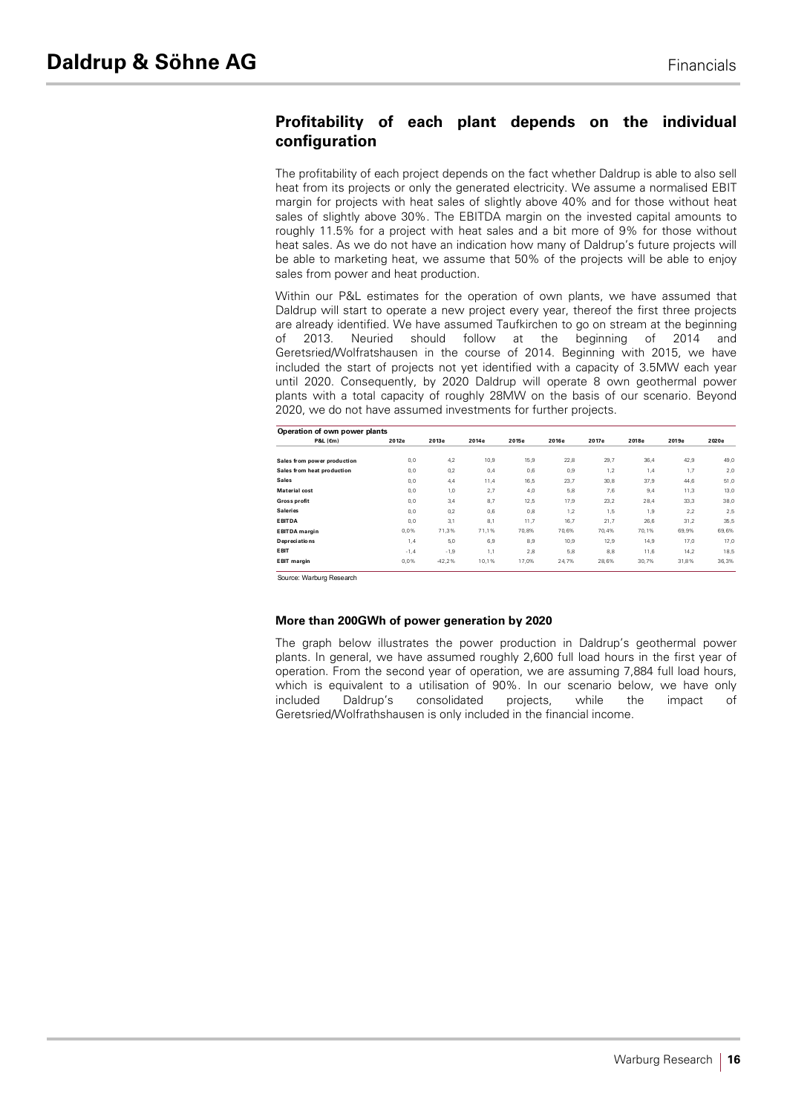# **Profitability of each plant depends on the individual configuration**

The profitability of each project depends on the fact whether Daldrup is able to also sell heat from its projects or only the generated electricity. We assume a normalised EBIT margin for projects with heat sales of slightly above 40% and for those without heat sales of slightly above 30%. The EBITDA margin on the invested capital amounts to roughly 11.5% for a project with heat sales and a bit more of 9% for those without heat sales. As we do not have an indication how many of Daldrup's future projects will be able to marketing heat, we assume that 50% of the projects will be able to enjoy sales from power and heat production.

Within our P&L estimates for the operation of own plants, we have assumed that Daldrup will start to operate a new project every year, thereof the first three projects are already identified. We have assumed Taufkirchen to go on stream at the beginning of 2013. Neuried should follow at the beginning of 2014 and Geretsried/Wolfratshausen in the course of 2014. Beginning with 2015, we have included the start of projects not yet identified with a capacity of 3.5MW each year until 2020. Consequently, by 2020 Daldrup will operate 8 own geothermal power plants with a total capacity of roughly 28MW on the basis of our scenario. Beyond 2020, we do not have assumed investments for further projects.

| Operation of own power plants |        |          |       |       |       |       |       |       |       |
|-------------------------------|--------|----------|-------|-------|-------|-------|-------|-------|-------|
| P&L (Em)                      | 2012e  | 2013e    | 2014e | 2015e | 2016e | 2017e | 2018e | 2019e | 2020e |
| Sales from power production   | 0,0    | 4,2      | 10,9  | 15,9  | 22,8  | 29,7  | 36,4  | 42,9  | 49,0  |
| Sales from heat production    | 0, 0   | 0,2      | 0,4   | 0,6   | 0,9   | 1,2   | 1,4   | 1,7   | 2,0   |
| <b>Sales</b>                  | 0.0    | 4,4      | 11,4  | 16,5  | 23,7  | 30,8  | 37,9  | 44.6  | 51,0  |
| Material cost                 | 0.0    | 1,0      | 2,7   | 4.0   | 5,8   | 7,6   | 9.4   | 11,3  | 13,0  |
| Gross profit                  | 0,0    | 3,4      | 8,7   | 12,5  | 17,9  | 23,2  | 28,4  | 33,3  | 38,0  |
| <b>Saleries</b>               | 0.0    | 0,2      | 0,6   | 0.8   | 1,2   | 1,5   | 1,9   | 2.2   | 2,5   |
| <b>EBITDA</b>                 | 0.0    | 3,1      | 8,1   | 11,7  | 16,7  | 21,7  | 26,6  | 31,2  | 35,5  |
| <b>EBITDA</b> margin          | 0.0%   | 71.3%    | 71.1% | 70.8% | 70.6% | 70.4% | 70.1% | 69.9% | 69,6% |
| Depreciations                 | 1,4    | 5,0      | 6,9   | 8,9   | 10,9  | 12,9  | 14,9  | 17,0  | 17,0  |
| <b>EBIT</b>                   | $-1,4$ | $-1,9$   | 1,1   | 2.8   | 5.8   | 8,8   | 11,6  | 14.2  | 18,5  |
| <b>EBIT</b> margin            | 0,0%   | $-42,2%$ | 10,1% | 17.0% | 24,7% | 28,6% | 30,7% | 31,8% | 36,3% |

Source: Warburg Research

#### **More than 200GWh of power generation by 2020**

The graph below illustrates the power production in Daldrup's geothermal power plants. In general, we have assumed roughly 2,600 full load hours in the first year of operation. From the second year of operation, we are assuming 7,884 full load hours, which is equivalent to a utilisation of 90%. In our scenario below, we have only included Daldrup's consolidated projects, while the impact of Geretsried/Wolfrathshausen is only included in the financial income.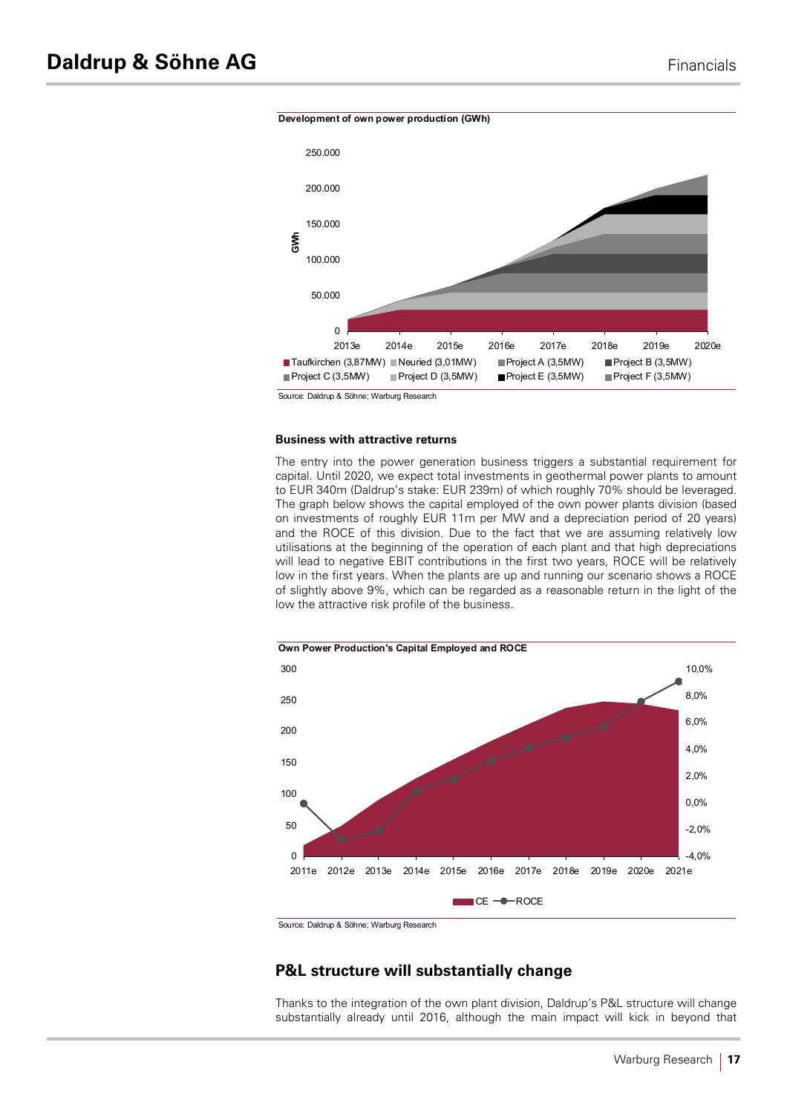



Source: Daldrup & Söhne; Warburg Research

#### **Business with attractive returns**

The entry into the power generation business triggers a substantial requirement for capital. Until 2020, we expect total investments in geothermal power plants to amount to EUR 340m (Daldrup's stake: EUR 239m) of which roughly 70% should be leveraged. The graph below shows the capital employed of the own power plants division (based on investments of roughly EUR 11m per MW and a depreciation period of 20 years) and the ROCE of this division. Due to the fact that we are assuming relatively low utilisations at the beginning of the operation of each plant and that high depreciations will lead to negative EBIT contributions in the first two years, ROCE will be relatively low in the first years. When the plants are up and running our scenario shows a ROCE of slightly above 9%, which can be regarded as a reasonable return in the light of the low the attractive risk profile of the business.



Source: Daldrup & Söhne; Warburg Research

# **P&L structure will substantially change**

Thanks to the integration of the own plant division, Daldrup's P&L structure will change substantially already until 2016, although the main impact will kick in beyond that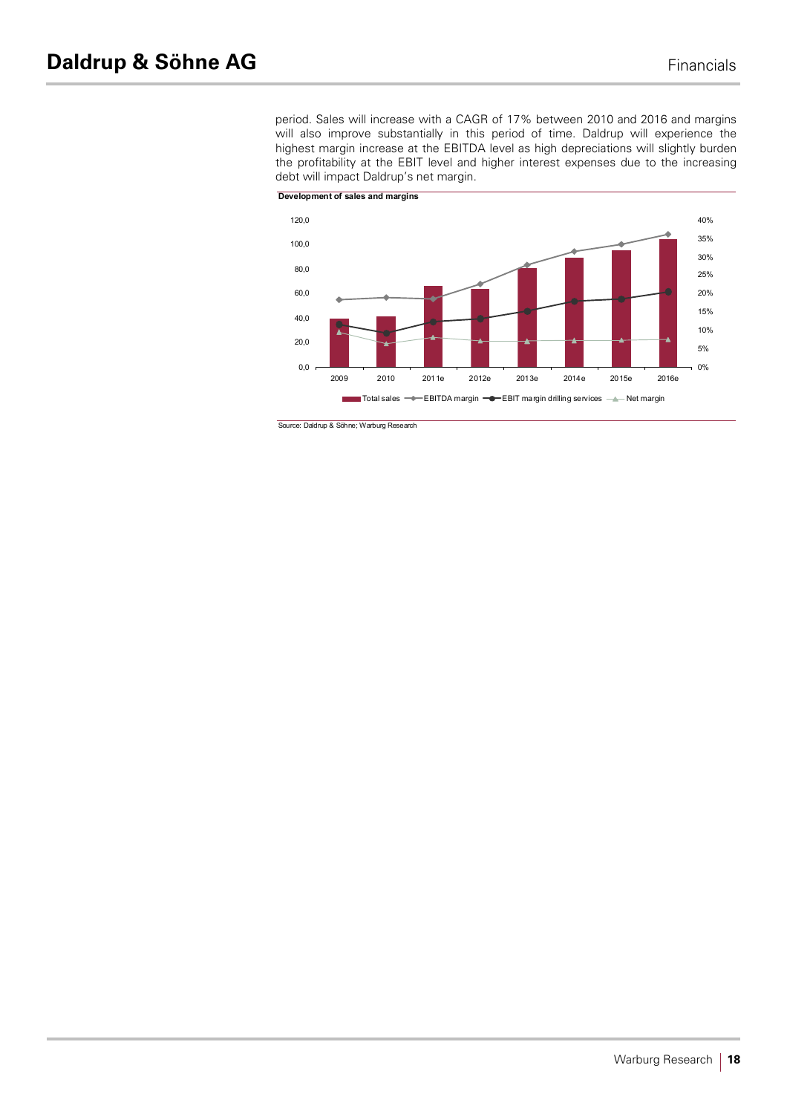period. Sales will increase with a CAGR of 17% between 2010 and 2016 and margins will also improve substantially in this period of time. Daldrup will experience the highest margin increase at the EBITDA level as high depreciations will slightly burden the profitability at the EBIT level and higher interest expenses due to the increasing debt will impact Daldrup's net margin.



Source: Daldrup & Söhne; Warburg Research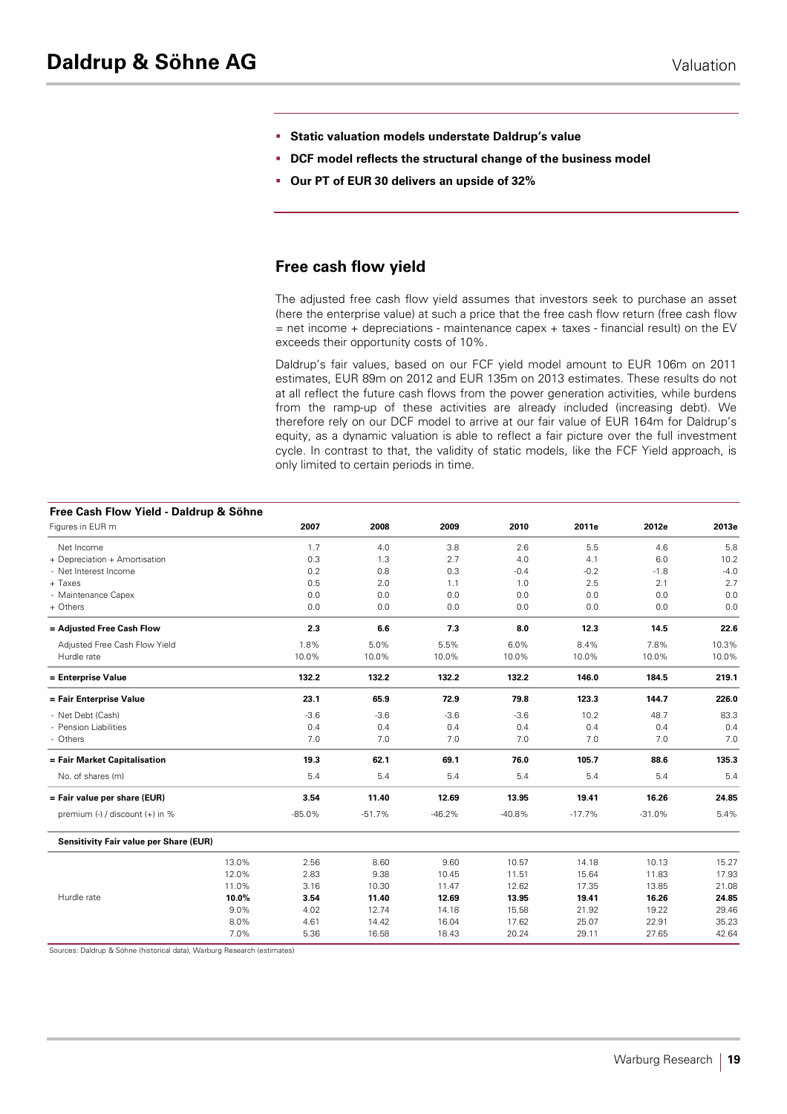- § **Static valuation models understate Daldrup's value**
- § **DCF model reflects the structural change of the business model**
- § **Our PT of EUR 30 delivers an upside of 32%**

# **Free cash flow yield**

The adjusted free cash flow yield assumes that investors seek to purchase an asset (here the enterprise value) at such a price that the free cash flow return (free cash flow  $=$  net income + depreciations - maintenance capex + taxes - financial result) on the EV exceeds their opportunity costs of 10%.

Daldrup's fair values, based on our FCF yield model amount to EUR 106m on 2011 estimates, EUR 89m on 2012 and EUR 135m on 2013 estimates. These results do not at all reflect the future cash flows from the power generation activities, while burdens from the ramp-up of these activities are already included (increasing debt). We therefore rely on our DCF model to arrive at our fair value of EUR 164m for Daldrup's equity, as a dynamic valuation is able to reflect a fair picture over the full investment cycle. In contrast to that, the validity of static models, like the FCF Yield approach, is only limited to certain periods in time.

| Free Cash Flow Yield - Daldrup & Söhne |       |          |          |          |          |          |          |        |
|----------------------------------------|-------|----------|----------|----------|----------|----------|----------|--------|
| Figures in EUR m                       |       | 2007     | 2008     | 2009     | 2010     | 2011e    | 2012e    | 2013e  |
| Net Income                             |       | 1.7      | 4.0      | 3.8      | 2.6      | 5.5      | 4.6      | 5.8    |
| + Depreciation + Amortisation          |       | 0.3      | 1.3      | 2.7      | 4.0      | 4.1      | 6.0      | 10.2   |
| - Net Interest Income                  |       | 0.2      | 0.8      | 0.3      | $-0.4$   | $-0.2$   | $-1.8$   | $-4.0$ |
| + Taxes                                |       | 0.5      | 2.0      | 1.1      | 1.0      | 2.5      | 2.1      | 2.7    |
| - Maintenance Capex                    |       | 0.0      | 0.0      | 0.0      | 0.0      | 0.0      | 0.0      | 0.0    |
| + Others                               |       | 0.0      | 0.0      | 0.0      | 0.0      | 0.0      | 0.0      | 0.0    |
| = Adjusted Free Cash Flow              |       | 2.3      | 6.6      | 7.3      | 8.0      | 12.3     | 14.5     | 22.6   |
| Adjusted Free Cash Flow Yield          |       | 1.8%     | 5.0%     | 5.5%     | 6.0%     | 8.4%     | 7.8%     | 10.3%  |
| Hurdle rate                            |       | 10.0%    | 10.0%    | 10.0%    | 10.0%    | 10.0%    | 10.0%    | 10.0%  |
| = Enterprise Value                     |       | 132.2    | 132.2    | 132.2    | 132.2    | 146.0    | 184.5    | 219.1  |
| = Fair Enterprise Value                |       | 23.1     | 65.9     | 72.9     | 79.8     | 123.3    | 144.7    | 226.0  |
| - Net Debt (Cash)                      |       | $-3.6$   | $-3.6$   | $-3.6$   | $-3.6$   | 10.2     | 48.7     | 83.3   |
| - Pension Liabilities                  |       | 0.4      | 0.4      | 0.4      | 0.4      | 0.4      | 0.4      | 0.4    |
| - Others                               |       | 7.0      | 7.0      | 7.0      | 7.0      | 7.0      | 7.0      | 7.0    |
| = Fair Market Capitalisation           |       | 19.3     | 62.1     | 69.1     | 76.0     | 105.7    | 88.6     | 135.3  |
| No. of shares (m)                      |       | 5.4      | 5.4      | 5.4      | 5.4      | 5.4      | 5.4      | 5.4    |
| = Fair value per share (EUR)           |       | 3.54     | 11.40    | 12.69    | 13.95    | 19.41    | 16.26    | 24.85  |
| premium (-) / discount (+) in %        |       | $-85.0%$ | $-51.7%$ | $-46.2%$ | $-40.8%$ | $-17.7%$ | $-31.0%$ | 5.4%   |
| Sensitivity Fair value per Share (EUR) |       |          |          |          |          |          |          |        |
|                                        | 13.0% | 2.56     | 8.60     | 9.60     | 10.57    | 14.18    | 10.13    | 15.27  |
|                                        | 12.0% | 2.83     | 9.38     | 10.45    | 11.51    | 15.64    | 11.83    | 17.93  |
|                                        | 11.0% | 3.16     | 10.30    | 11.47    | 12.62    | 17.35    | 13.85    | 21.08  |
| Hurdle rate                            | 10.0% | 3.54     | 11.40    | 12.69    | 13.95    | 19.41    | 16.26    | 24.85  |
|                                        | 9.0%  | 4.02     | 12.74    | 14.18    | 15.58    | 21.92    | 19.22    | 29.46  |
|                                        | 8.0%  | 4.61     | 14.42    | 16.04    | 17.62    | 25.07    | 22.91    | 35.23  |
|                                        | 7.0%  | 5.36     | 16.58    | 18.43    | 20.24    | 29.11    | 27.65    | 42.64  |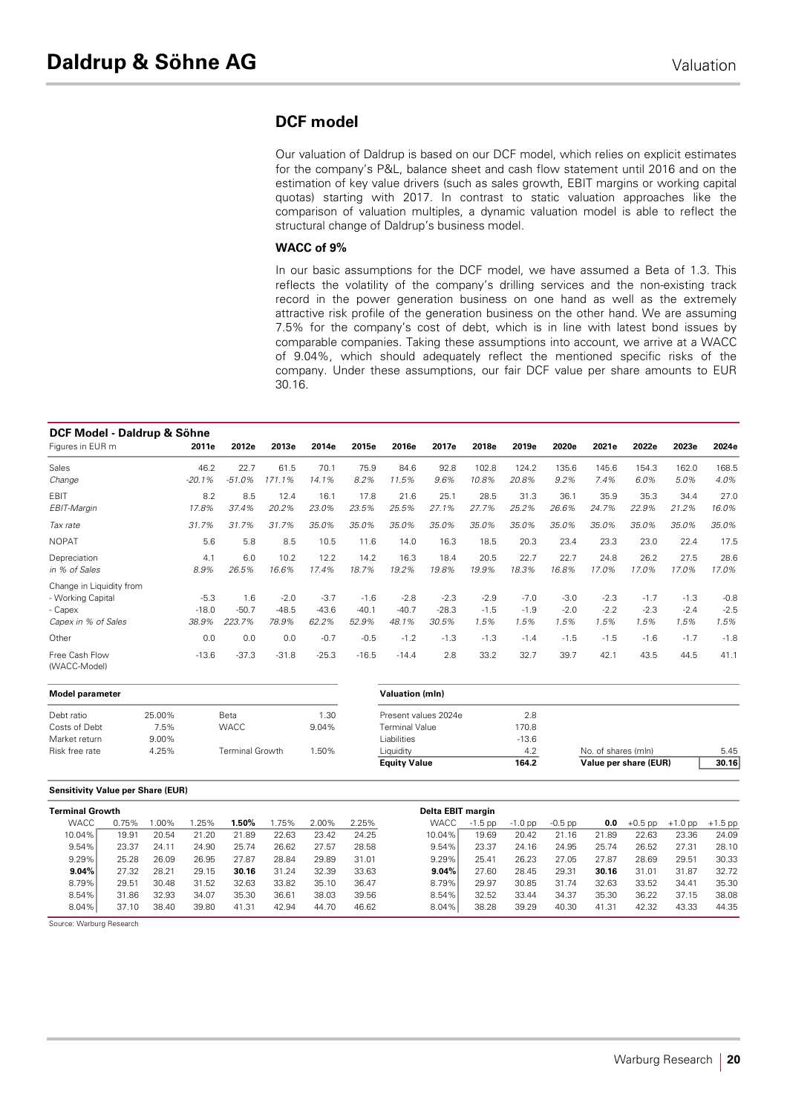# **DCF model**

Our valuation of Daldrup is based on our DCF model, which relies on explicit estimates for the company's P&L, balance sheet and cash flow statement until 2016 and on the estimation of key value drivers (such as sales growth, EBIT margins or working capital quotas) starting with 2017. In contrast to static valuation approaches like the comparison of valuation multiples, a dynamic valuation model is able to reflect the structural change of Daldrup's business model.

#### **WACC of 9%**

In our basic assumptions for the DCF model, we have assumed a Beta of 1.3. This reflects the volatility of the company's drilling services and the non-existing track record in the power generation business on one hand as well as the extremely attractive risk profile of the generation business on the other hand. We are assuming 7.5% for the company's cost of debt, which is in line with latest bond issues by comparable companies. Taking these assumptions into account, we arrive at a WACC of 9.04%, which should adequately reflect the mentioned specific risks of the company. Under these assumptions, our fair DCF value per share amounts to EUR 30.16.

| DCF Model - Daldrup & Söhne    |          |          |         |         |         |         |         |        |        |        |        |        |        |        |
|--------------------------------|----------|----------|---------|---------|---------|---------|---------|--------|--------|--------|--------|--------|--------|--------|
| Figures in EUR m               | 2011e    | 2012e    | 2013e   | 2014e   | 2015e   | 2016e   | 2017e   | 2018e  | 2019e  | 2020e  | 2021e  | 2022e  | 2023e  | 2024e  |
| Sales                          | 46.2     | 22.7     | 61.5    | 70.1    | 75.9    | 84.6    | 92.8    | 102.8  | 124.2  | 135.6  | 145.6  | 154.3  | 162.0  | 168.5  |
| Change                         | $-20.1%$ | $-51.0%$ | 171.1%  | 14.1%   | 8.2%    | 11.5%   | 9.6%    | 10.8%  | 20.8%  | 9.2%   | 7.4%   | 6.0%   | 5.0%   | 4.0%   |
| <b>EBIT</b>                    | 8.2      | 8.5      | 12.4    | 16.1    | 17.8    | 21.6    | 25.1    | 28.5   | 31.3   | 36.1   | 35.9   | 35.3   | 34.4   | 27.0   |
| EBIT-Margin                    | 17.8%    | 37.4%    | 20.2%   | 23.0%   | 23.5%   | 25.5%   | 27.1%   | 27.7%  | 25.2%  | 26.6%  | 24.7%  | 22.9%  | 21.2%  | 16.0%  |
| Tax rate                       | 31.7%    | 31.7%    | 31.7%   | 35.0%   | 35.0%   | 35.0%   | 35.0%   | 35.0%  | 35.0%  | 35.0%  | 35.0%  | 35.0%  | 35.0%  | 35.0%  |
| <b>NOPAT</b>                   | 5.6      | 5.8      | 8.5     | 10.5    | 11.6    | 14.0    | 16.3    | 18.5   | 20.3   | 23.4   | 23.3   | 23.0   | 22.4   | 17.5   |
| Depreciation                   | 4.1      | 6.0      | 10.2    | 12.2    | 14.2    | 16.3    | 18.4    | 20.5   | 22.7   | 22.7   | 24.8   | 26.2   | 27.5   | 28.6   |
| in % of Sales                  | 8.9%     | 26.5%    | 16.6%   | 17.4%   | 18.7%   | 19.2%   | 19.8%   | 19.9%  | 18.3%  | 16.8%  | 17.0%  | 17.0%  | 17.0%  | 17.0%  |
| Change in Liquidity from       |          |          |         |         |         |         |         |        |        |        |        |        |        |        |
| - Working Capital              | $-5.3$   | 1.6      | $-2.0$  | $-3.7$  | $-1.6$  | $-2.8$  | $-2.3$  | $-2.9$ | $-7.0$ | $-3.0$ | $-2.3$ | $-1.7$ | $-1.3$ | $-0.8$ |
| - Capex                        | $-18.0$  | $-50.7$  | $-48.5$ | $-43.6$ | $-40.1$ | $-40.7$ | $-28.3$ | $-1.5$ | $-1.9$ | $-2.0$ | $-2.2$ | $-2.3$ | $-2.4$ | $-2.5$ |
| Capex in % of Sales            | 38.9%    | 223.7%   | 78.9%   | 62.2%   | 52.9%   | 48.1%   | 30.5%   | 1.5%   | 1.5%   | 1.5%   | 1.5%   | 1.5%   | 1.5%   | 1.5%   |
| Other                          | 0.0      | 0.0      | 0.0     | $-0.7$  | $-0.5$  | $-1.2$  | $-1.3$  | $-1.3$ | $-1.4$ | $-1.5$ | $-1.5$ | $-1.6$ | $-1.7$ | $-1.8$ |
| Free Cash Flow<br>(WACC-Model) | $-13.6$  | $-37.3$  | $-31.8$ | $-25.3$ | $-16.5$ | $-14.4$ | 2.8     | 33.2   | 32.7   | 39.7   | 42.1   | 43.5   | 44.5   | 41.1   |

| Model parameter |        |                        |       | <b>Valuation (mln)</b> |         |                       |       |
|-----------------|--------|------------------------|-------|------------------------|---------|-----------------------|-------|
| Debt ratio      | 25.00% | Beta                   | 1.30  | Present values 2024e   | 2.8     |                       |       |
| Costs of Debt   | 7.5%   | <b>WACC</b>            | 9.04% | <b>Terminal Value</b>  | 170.8   |                       |       |
| Market return   | 9.00%  |                        |       | Liabilities            | $-13.6$ |                       |       |
| Risk free rate  | 4.25%  | <b>Terminal Growth</b> | 1.50% | Liauidity              | 4.2     | No. of shares (mln)   | 5.45  |
|                 |        |                        |       | <b>Equity Value</b>    | 164.2   | Value per share (EUR) | 30.16 |

#### **Sensitivity Value per Share (EUR)**

| <b>Terminal Growth</b> |       |         |       |       |       |       |       | Delta EBIT margin |           |           |           |       |           |           |           |
|------------------------|-------|---------|-------|-------|-------|-------|-------|-------------------|-----------|-----------|-----------|-------|-----------|-----------|-----------|
| <b>WACC</b>            | 0.75% | $.00\%$ | 25%   | l.50% | .75%  | 2.00% | 2.25% | <b>WACC</b>       | $-1.5$ pp | $-1.0$ pp | $-0.5$ pp | 0.0   | $+0.5$ pp | $+1.0$ pp | $+1.5$ pp |
| 10.04%                 | 19.91 | 20.54   | 21.20 | 21.89 | 22.63 | 23.42 | 24.25 | 10.04%            | 19.69     | 20.42     | 21.16     | 21.89 | 22.63     | 23.36     | 24.09     |
| 9.54%                  | 23.37 | 24.11   | 24.90 | 25.74 | 26.62 | 27.57 | 28.58 | 9.54%             | 23.37     | 24.16     | 24.95     | 25.74 | 26.52     | 27.31     | 28.10     |
| 9.29%                  | 25.28 | 26.09   | 26.95 | 27.87 | 28.84 | 29.89 | 31.01 | 9.29%             | 25.41     | 26.23     | 27.05     | 27.87 | 28.69     | 29.51     | 30.33     |
| 9.04%                  | 27.32 | 28.21   | 29.15 | 30.16 | 31.24 | 32.39 | 33.63 | $9.04\%$          | 27.60     | 28.45     | 29.31     | 30.16 | 31.01     | 31.87     | 32.72     |
| 8.79%                  | 29.51 | 30.48   | 31.52 | 32.63 | 33.82 | 35.10 | 36.47 | 8.79%             | 29.97     | 30.85     | 31.74     | 32.63 | 33.52     | 34.41     | 35.30     |
| 8.54%                  | 31.86 | 32.93   | 34.07 | 35.30 | 36.61 | 38.03 | 39.56 | 8.54%             | 32.52     | 33.44     | 34.37     | 35.30 | 36.22     | 37.15     | 38.08     |
| 8.04%                  | 37.10 | 38.40   | 39.80 | 41.31 | 42.94 | 44.70 | 46.62 | 8.04%             | 38.28     | 39.29     | 40.30     | 41.31 | 42.32     | 43.33     | 44.35     |

Source: Warburg Research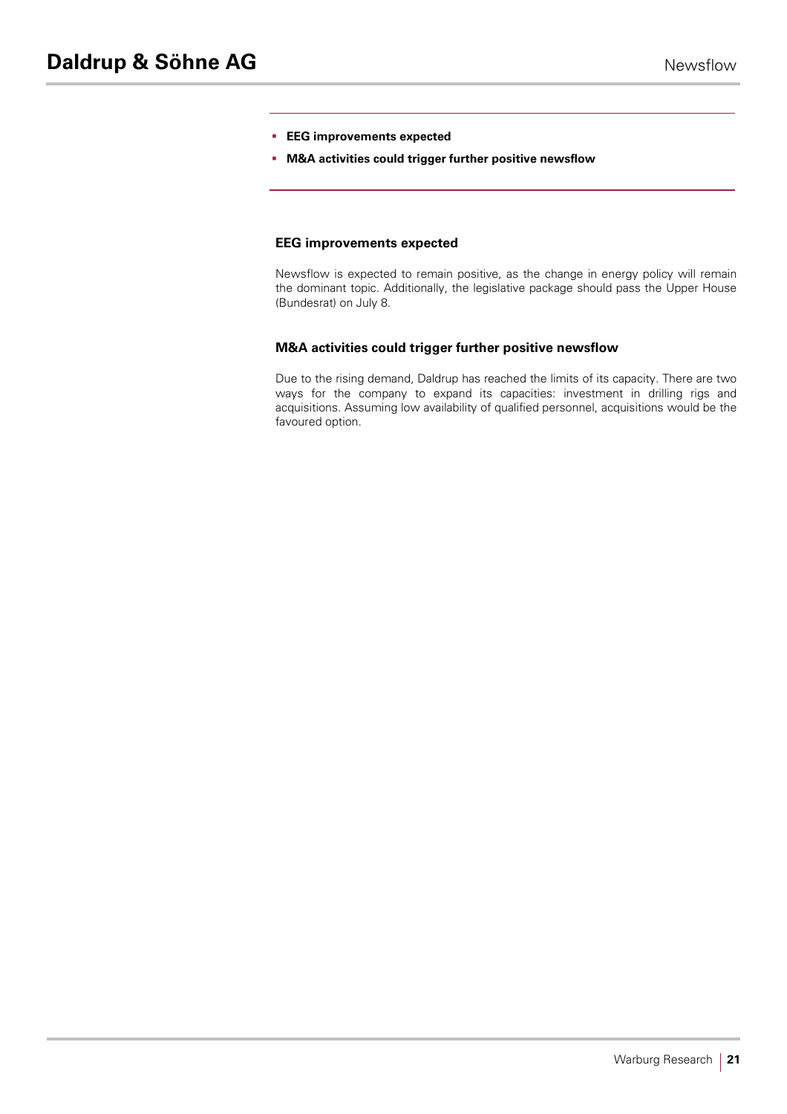- § **EEG improvements expected**
- § **M&A activities could trigger further positive newsflow**

### **EEG improvements expected**

Newsflow is expected to remain positive, as the change in energy policy will remain the dominant topic. Additionally, the legislative package should pass the Upper House (Bundesrat) on July 8.

### **M&A activities could trigger further positive newsflow**

Due to the rising demand, Daldrup has reached the limits of its capacity. There are two ways for the company to expand its capacities: investment in drilling rigs and acquisitions. Assuming low availability of qualified personnel, acquisitions would be the favoured option.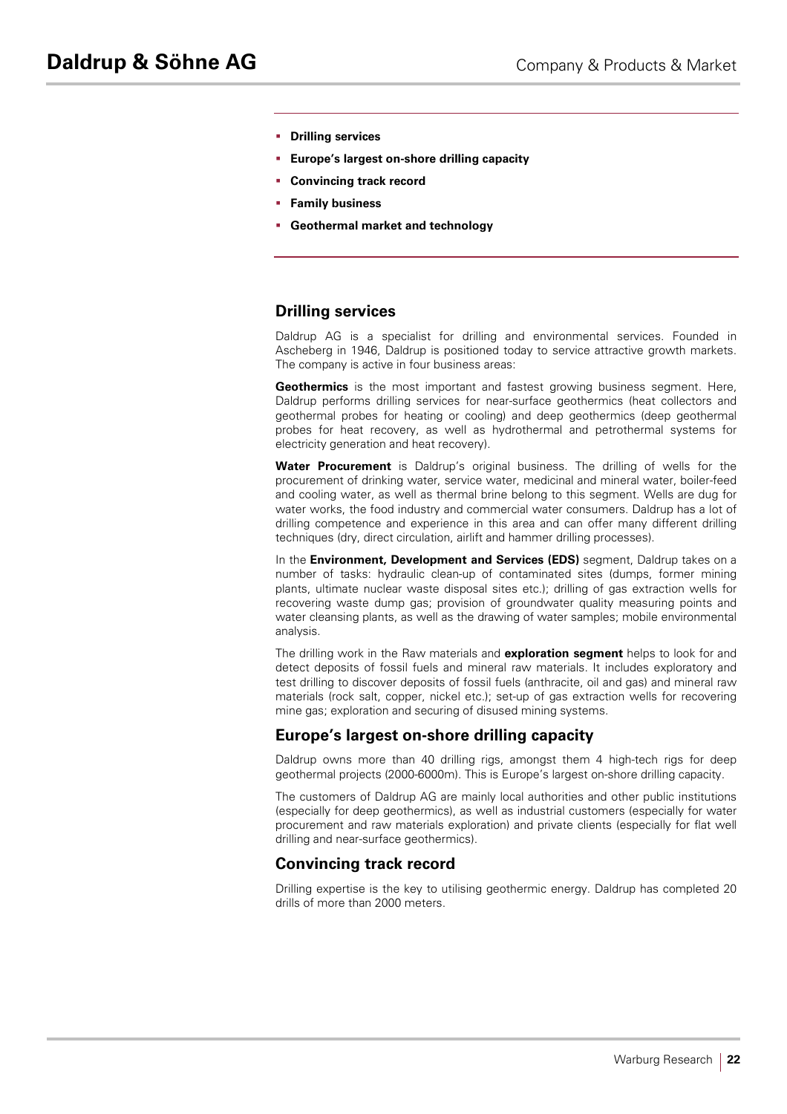- § **Drilling services**
- § **Europe's largest on-shore drilling capacity**
- § **Convincing track record**
- § **Family business**
- § **Geothermal market and technology**

# **Drilling services**

Daldrup AG is a specialist for drilling and environmental services. Founded in Ascheberg in 1946, Daldrup is positioned today to service attractive growth markets. The company is active in four business areas:

**Geothermics** is the most important and fastest growing business segment. Here, Daldrup performs drilling services for near-surface geothermics (heat collectors and geothermal probes for heating or cooling) and deep geothermics (deep geothermal probes for heat recovery, as well as hydrothermal and petrothermal systems for electricity generation and heat recovery).

**Water Procurement** is Daldrup's original business. The drilling of wells for the procurement of drinking water, service water, medicinal and mineral water, boiler-feed and cooling water, as well as thermal brine belong to this segment. Wells are dug for water works, the food industry and commercial water consumers. Daldrup has a lot of drilling competence and experience in this area and can offer many different drilling techniques (dry, direct circulation, airlift and hammer drilling processes).

In the **Environment, Development and Services (EDS)** segment, Daldrup takes on a number of tasks: hydraulic clean-up of contaminated sites (dumps, former mining plants, ultimate nuclear waste disposal sites etc.); drilling of gas extraction wells for recovering waste dump gas; provision of groundwater quality measuring points and water cleansing plants, as well as the drawing of water samples; mobile environmental analysis.

The drilling work in the Raw materials and **exploration segment** helps to look for and detect deposits of fossil fuels and mineral raw materials. It includes exploratory and test drilling to discover deposits of fossil fuels (anthracite, oil and gas) and mineral raw materials (rock salt, copper, nickel etc.); set-up of gas extraction wells for recovering mine gas; exploration and securing of disused mining systems.

# **Europe's largest on-shore drilling capacity**

Daldrup owns more than 40 drilling rigs, amongst them 4 high-tech rigs for deep geothermal projects (2000-6000m). This is Europe's largest on-shore drilling capacity.

The customers of Daldrup AG are mainly local authorities and other public institutions (especially for deep geothermics), as well as industrial customers (especially for water procurement and raw materials exploration) and private clients (especially for flat well drilling and near-surface geothermics).

# **Convincing track record**

Drilling expertise is the key to utilising geothermic energy. Daldrup has completed 20 drills of more than 2000 meters.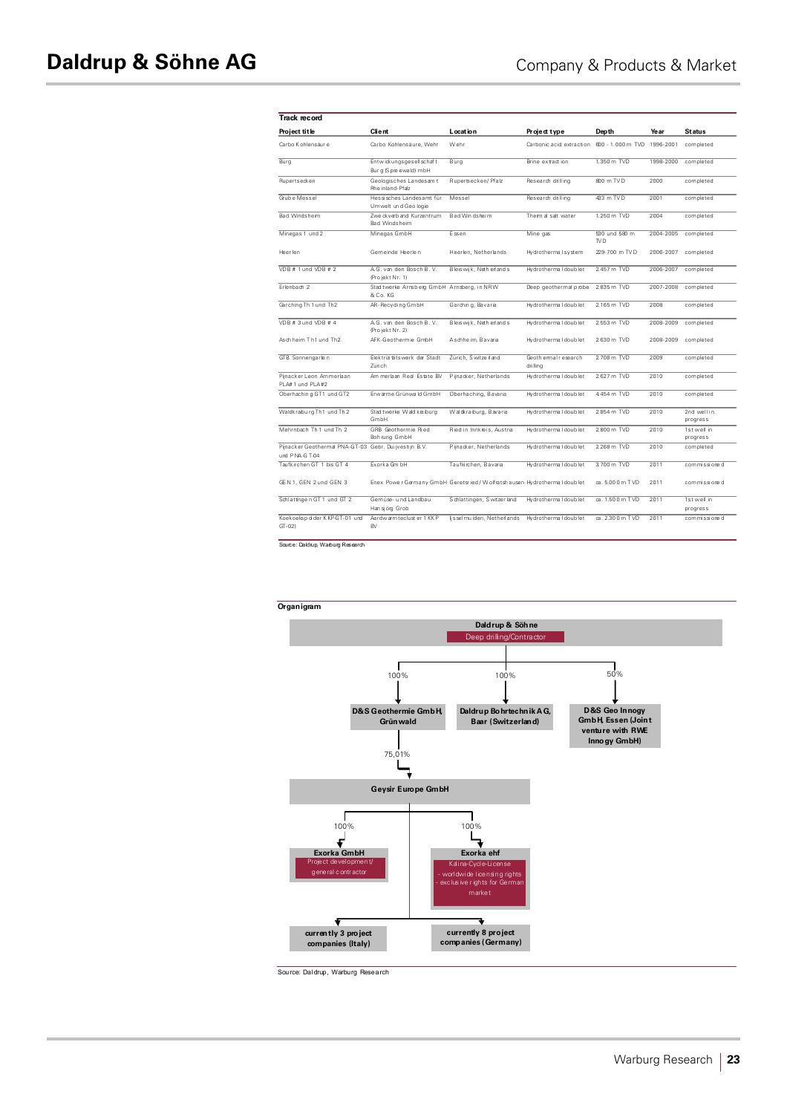| <b>Track record</b>                                                     |                                                                            |                            |                                   |                                  |           |                         |
|-------------------------------------------------------------------------|----------------------------------------------------------------------------|----------------------------|-----------------------------------|----------------------------------|-----------|-------------------------|
| Project title                                                           | <b>Client</b>                                                              | Location                   | Project type                      | Depth                            | Year      | <b>Status</b>           |
| Carbo Kohlensäur e                                                      | Carbo Kohlensäure, Wehr                                                    | Wehr                       | Carbonic acid extraction          | 600 - 1.000 m TVD 1996-2001      |           | completed               |
| Bura                                                                    | Entwickungsgesellschaft<br>Burg (Spreewald) mbH                            | Bura                       | Brine extract ion                 | 1.350 m TVD                      | 1998-2000 | completed               |
| Rupertsecken                                                            | Geologisches Landesam t<br>Rhe inland-Pfalz                                | Rupertsecken/ Pfalz        | Research drilling                 | 800 m TV D                       | 2000      | completed               |
| Grub e Messel                                                           | Hessisches Landesamt für<br>Umwelt un d Geo logie                          | Messel                     | Research drilling                 | 433 m TV D                       | 2001      | completed               |
| Bad Windsheim                                                           | Zwe ckverb and Kurzentrum<br>Bad Windsheim                                 | Bad Win dsheim             | Them al salt water                | 1.250 m TVD                      | 2004      | completed               |
| Minegas 1 und 2                                                         | Minegas GmbH                                                               | Essen                      | Mine gas                          | 530 und 580 m<br>TV <sub>D</sub> | 2004-2005 | completed               |
| Heer len                                                                | Gemeinde Heerlen                                                           | Heerlen, Netherlands       | Hydrotherma I system              | 229-700 m TVD                    | 2006-2007 | completed               |
| VDB # 1 und VDB # 2                                                     | A.G. van den Bosch B.V.<br>Projekt Nr. 1)                                  | Bleiswijk, Neth erlands    | Hydrotherma I doub let            | 2457 m TVD                       | 2006-2007 | completed               |
| Erlenbach 2                                                             | Stad twerke Arnsberg GmbH Arnsberg, in NRW<br>& Co. KG                     |                            | Deep geothermal probe             | 2835 m TVD                       | 2007-2008 | completed               |
| Garching Th 1 und Th2                                                   | AR-Recyding GmbH                                                           | Garchin g, Bavaria         | Hydrotherma I doub let            | 2165 m TVD                       | 2008      | completed               |
| VDB # $3$ und VDB # $4$                                                 | A.G. van den Bosch B.V.<br>Projekt Nr. 2)                                  | Bleiswijk, Neth erlands    | Hydrotherma I doub let            | 2553 m TVD                       | 2008-2009 | completed               |
| Asch heim Th1 und Th2                                                   | AFK-Geothermie GmbH                                                        | Aschhe im, Bavaria         | Hydrotherma I doub let            | 2630 m TVD                       | 2008-2009 | completed               |
| GTB Sonnengarten                                                        | Elektrizitätswerk der Stadt<br>Zürich.                                     | Zürich. S witze rland      | Geoth email research<br>dri llina | 2708 m TVD                       | 2009      | completed               |
| Piinacker Leon Ammerlaan<br>PI A# 1 und PI A#2                          | Am merlaan Real Estate BV                                                  | Pijnacker, Netherlands     | Hydrotherma I doub let            | 2627 m TVD                       | 2010      | completed               |
| Oberhaching GT1 und GT2                                                 | Erwärme Grünwa Id GmbH                                                     | Oberhaching, Bavaria       | Hydrotherma I doub let            | 4454 m TVD                       | 2010      | completed               |
| Waldkraburg Th1 und Th2                                                 | Stad twerke Wald kraiburg<br>GmbH                                          | Waldkraiburg, Bavaria      | Hydrotherma I doub let            | 2854 m TVD                       | 2010      | 2nd wellin<br>progress  |
| Mehrnbach Th 1 und Th 2                                                 | GRB Geothermie Ried<br>Boh rung GmbH                                       | Ried in Innkreis, Austria  | Hydrotherma I doub let            | 2800 m TVD                       | 2010      | 1st well in<br>progress |
| Pijnacker Geothermal PNA-GT-03 Gebr. Dui jvestijn B.V.<br>und PNA-GT-04 |                                                                            | Pijnacker, Netherlands     | Hydrotherma I doub let            | 2268 m TVD                       | 2010      | completed               |
| Taufkirchen GT 1 bis GT 4                                               | Exorka Gm bH                                                               | Taufki chen, Bavaria       | Hydrotherma I doub let            | 3700 m TVD                       | 2011      | commissione d           |
| GEN 1, GEN 2 und GEN 3                                                  | Enex Power Germany GmbH Geretsried / W olfratsh ausen Hydrothermal doublet |                            |                                   | ca. 5.00 0 m T VD                | 2011      | commissione d           |
| Schlattingen GT1 und GT2                                                | Gemüse- und Landbau<br>Han sjörg Grob                                      | Schlattingen, Switzer land | Hydrotherma I doub let            | ca. 1.50 0 m T VD                | 2011      | 1st well in<br>progress |
| Koekoeksp d der K KP-GT-01 und<br>$GT-02$                               | Aardwarmteclust er 1 KKP<br><b>BV</b>                                      | lisselmu iden, Netherlands | Hydrotherma I doub let            | ca. 2.30 0 m T VD                | 2011      | commissione d           |

Source: Daldrup, Warburg Research



Source: Daldrup, Warburg Research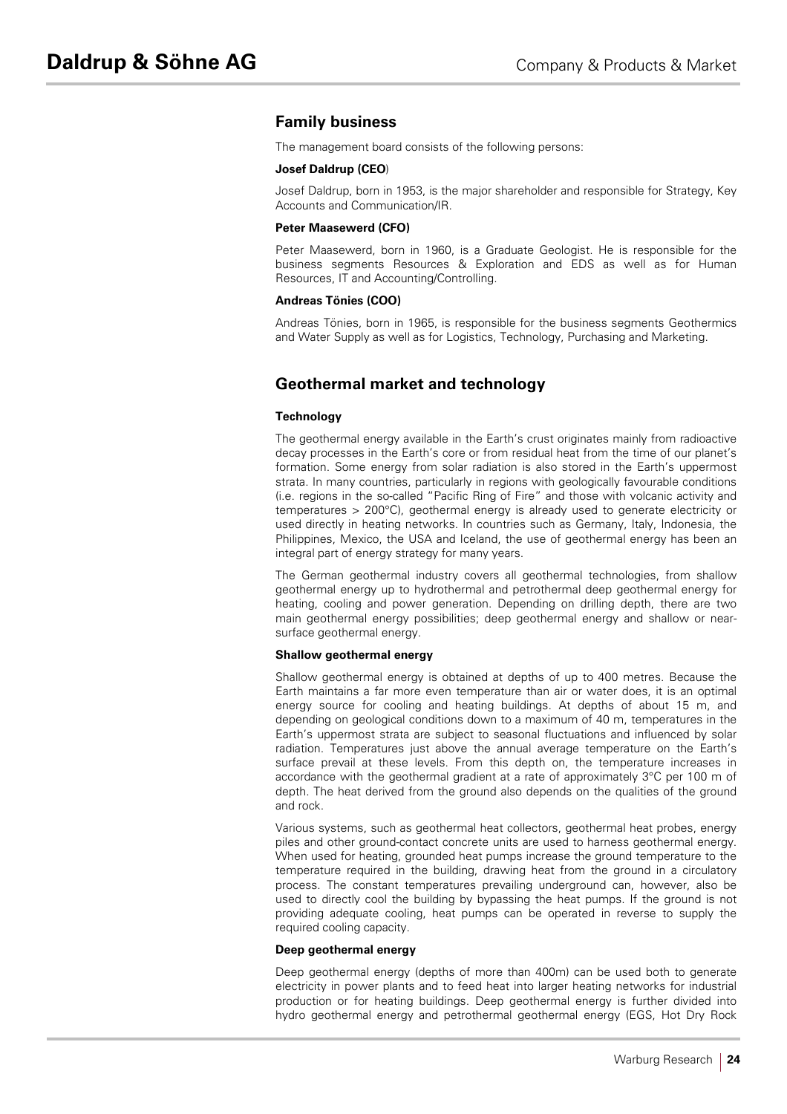# **Family business**

The management board consists of the following persons:

#### **Josef Daldrup (CEO**)

Josef Daldrup, born in 1953, is the major shareholder and responsible for Strategy, Key Accounts and Communication/IR.

#### **Peter Maasewerd (CFO)**

Peter Maasewerd, born in 1960, is a Graduate Geologist. He is responsible for the business segments Resources & Exploration and EDS as well as for Human Resources, IT and Accounting/Controlling.

#### **Andreas Tönies (COO)**

Andreas Tönies, born in 1965, is responsible for the business segments Geothermics and Water Supply as well as for Logistics, Technology, Purchasing and Marketing.

# **Geothermal market and technology**

#### **Technology**

The geothermal energy available in the Earth's crust originates mainly from radioactive decay processes in the Earth's core or from residual heat from the time of our planet's formation. Some energy from solar radiation is also stored in the Earth's uppermost strata. In many countries, particularly in regions with geologically favourable conditions (i.e. regions in the so-called "Pacific Ring of Fire" and those with volcanic activity and temperatures > 200°C), geothermal energy is already used to generate electricity or used directly in heating networks. In countries such as Germany, Italy, Indonesia, the Philippines, Mexico, the USA and Iceland, the use of geothermal energy has been an integral part of energy strategy for many years.

The German geothermal industry covers all geothermal technologies, from shallow geothermal energy up to hydrothermal and petrothermal deep geothermal energy for heating, cooling and power generation. Depending on drilling depth, there are two main geothermal energy possibilities; deep geothermal energy and shallow or nearsurface geothermal energy.

#### **Shallow geothermal energy**

Shallow geothermal energy is obtained at depths of up to 400 metres. Because the Earth maintains a far more even temperature than air or water does, it is an optimal energy source for cooling and heating buildings. At depths of about 15 m, and depending on geological conditions down to a maximum of 40 m, temperatures in the Earth's uppermost strata are subject to seasonal fluctuations and influenced by solar radiation. Temperatures just above the annual average temperature on the Earth's surface prevail at these levels. From this depth on, the temperature increases in accordance with the geothermal gradient at a rate of approximately 3°C per 100 m of depth. The heat derived from the ground also depends on the qualities of the ground and rock.

Various systems, such as geothermal heat collectors, geothermal heat probes, energy piles and other ground-contact concrete units are used to harness geothermal energy. When used for heating, grounded heat pumps increase the ground temperature to the temperature required in the building, drawing heat from the ground in a circulatory process. The constant temperatures prevailing underground can, however, also be used to directly cool the building by bypassing the heat pumps. If the ground is not providing adequate cooling, heat pumps can be operated in reverse to supply the required cooling capacity.

#### **Deep geothermal energy**

Deep geothermal energy (depths of more than 400m) can be used both to generate electricity in power plants and to feed heat into larger heating networks for industrial production or for heating buildings. Deep geothermal energy is further divided into hydro geothermal energy and petrothermal geothermal energy (EGS, Hot Dry Rock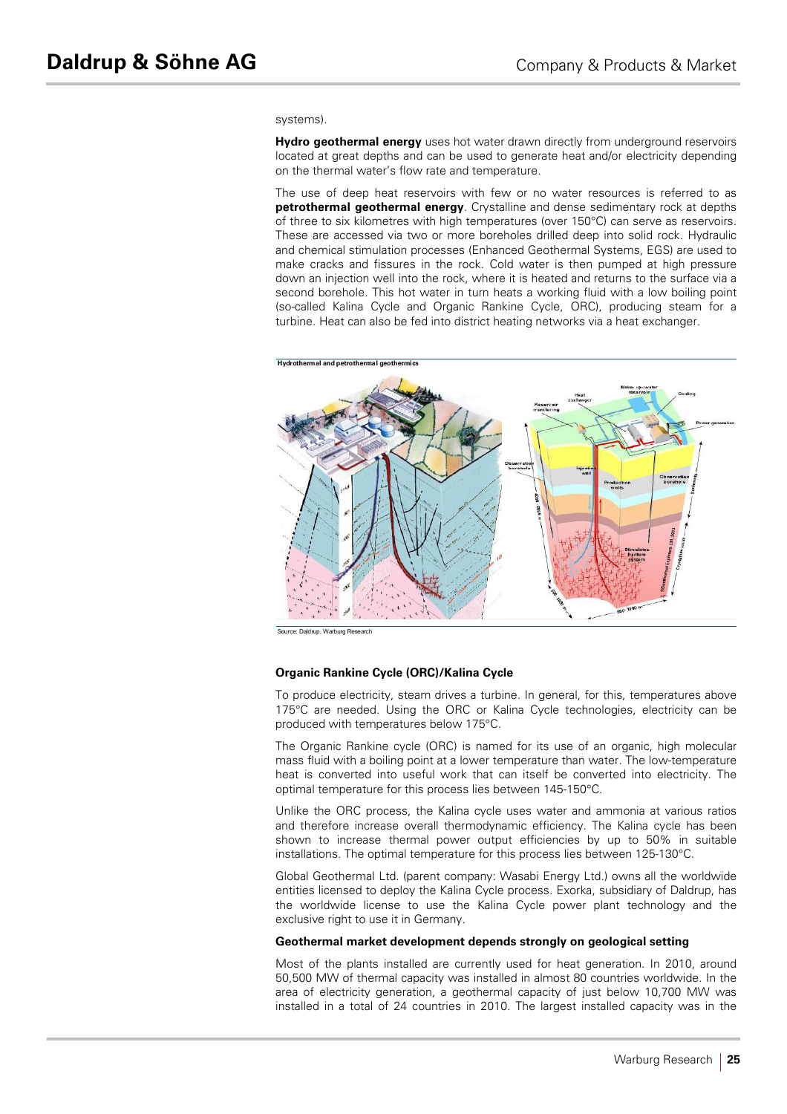#### systems).

**Hydro geothermal energy** uses hot water drawn directly from underground reservoirs located at great depths and can be used to generate heat and/or electricity depending on the thermal water's flow rate and temperature.

The use of deep heat reservoirs with few or no water resources is referred to as **petrothermal geothermal energy**. Crystalline and dense sedimentary rock at depths of three to six kilometres with high temperatures (over 150°C) can serve as reservoirs. These are accessed via two or more boreholes drilled deep into solid rock. Hydraulic and chemical stimulation processes (Enhanced Geothermal Systems, EGS) are used to make cracks and fissures in the rock. Cold water is then pumped at high pressure down an injection well into the rock, where it is heated and returns to the surface via a second borehole. This hot water in turn heats a working fluid with a low boiling point (so-called Kalina Cycle and Organic Rankine Cycle, ORC), producing steam for a turbine. Heat can also be fed into district heating networks via a heat exchanger.



Source: Dalage Research

### **Organic Rankine Cycle (ORC)/Kalina Cycle**

To produce electricity, steam drives a turbine. In general, for this, temperatures above 175°C are needed. Using the ORC or Kalina Cycle technologies, electricity can be produced with temperatures below 175°C.

The Organic Rankine cycle (ORC) is named for its use of an organic, high molecular mass fluid with a boiling point at a lower temperature than water. The low-temperature heat is converted into useful work that can itself be converted into electricity. The optimal temperature for this process lies between 145-150°C.

Unlike the ORC process, the Kalina cycle uses water and ammonia at various ratios and therefore increase overall thermodynamic efficiency. The Kalina cycle has been shown to increase thermal power output efficiencies by up to 50% in suitable installations. The optimal temperature for this process lies between 125-130°C.

Global Geothermal Ltd. (parent company: Wasabi Energy Ltd.) owns all the worldwide entities licensed to deploy the Kalina Cycle process. Exorka, subsidiary of Daldrup, has the worldwide license to use the Kalina Cycle power plant technology and the exclusive right to use it in Germany.

#### **Geothermal market development depends strongly on geological setting**

Most of the plants installed are currently used for heat generation. In 2010, around 50,500 MW of thermal capacity was installed in almost 80 countries worldwide. In the area of electricity generation, a geothermal capacity of just below 10,700 MW was installed in a total of 24 countries in 2010. The largest installed capacity was in the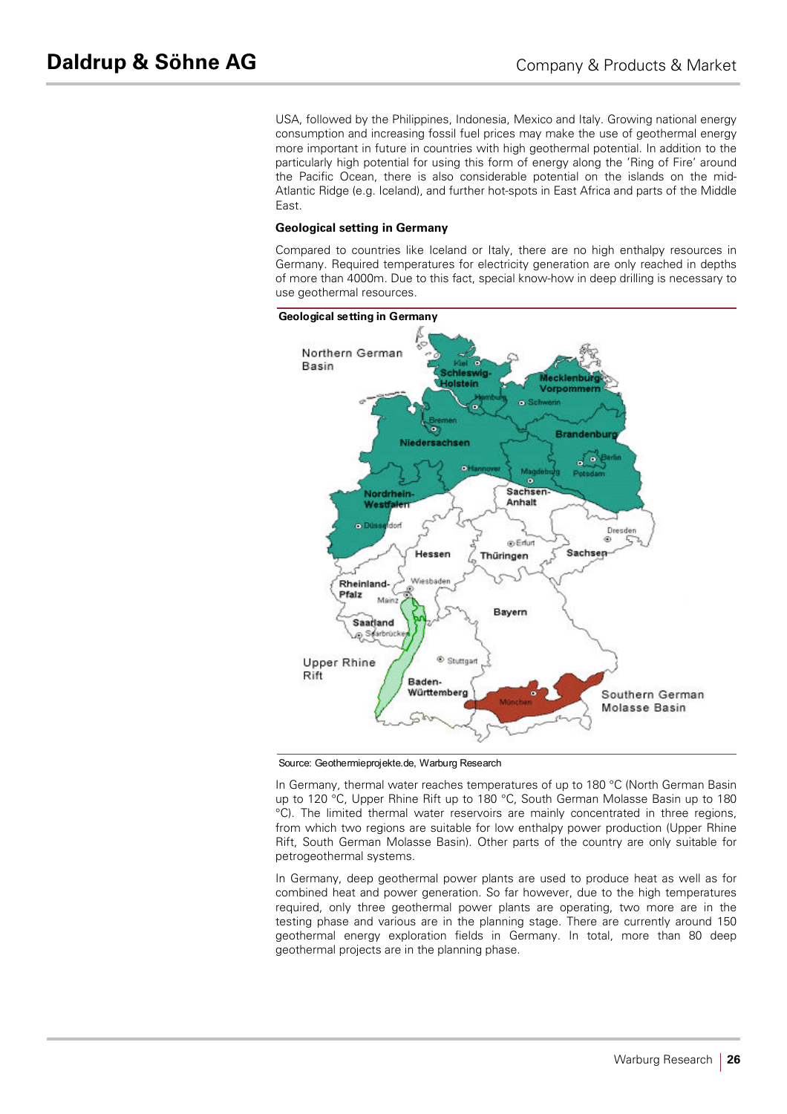USA, followed by the Philippines, Indonesia, Mexico and Italy. Growing national energy consumption and increasing fossil fuel prices may make the use of geothermal energy more important in future in countries with high geothermal potential. In addition to the particularly high potential for using this form of energy along the 'Ring of Fire' around the Pacific Ocean, there is also considerable potential on the islands on the mid-Atlantic Ridge (e.g. Iceland), and further hot-spots in East Africa and parts of the Middle East.

#### **Geological setting in Germany**

Compared to countries like Iceland or Italy, there are no high enthalpy resources in Germany. Required temperatures for electricity generation are only reached in depths of more than 4000m. Due to this fact, special know-how in deep drilling is necessary to use geothermal resources.



Source: Geothermieprojekte.de, Warburg Research

In Germany, thermal water reaches temperatures of up to 180 °C (North German Basin up to 120 °C, Upper Rhine Rift up to 180 °C, South German Molasse Basin up to 180 °C). The limited thermal water reservoirs are mainly concentrated in three regions, from which two regions are suitable for low enthalpy power production (Upper Rhine Rift, South German Molasse Basin). Other parts of the country are only suitable for petrogeothermal systems.

In Germany, deep geothermal power plants are used to produce heat as well as for combined heat and power generation. So far however, due to the high temperatures required, only three geothermal power plants are operating, two more are in the testing phase and various are in the planning stage. There are currently around 150 geothermal energy exploration fields in Germany. In total, more than 80 deep geothermal projects are in the planning phase.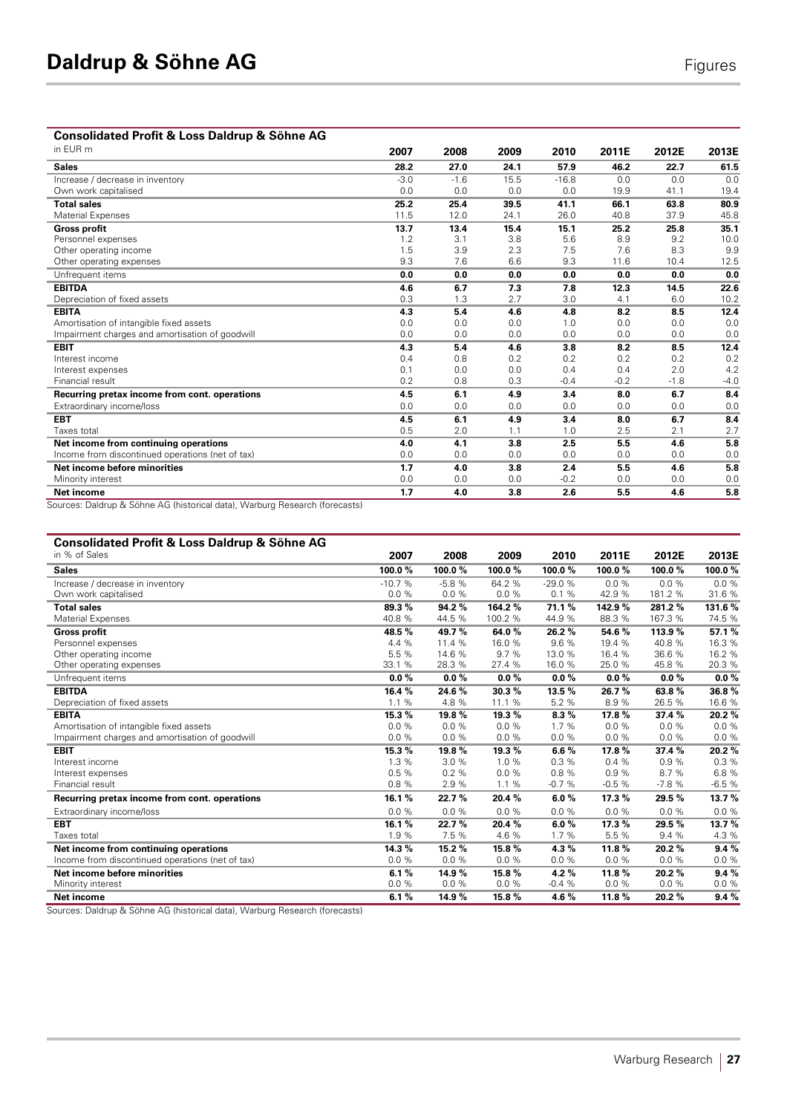# **Consolidated Profit & Loss Daldrup & Söhne AG**

| in EUR m                                                                                  | 2007   | 2008   | 2009 | 2010    | 2011E  | 2012E  | 2013E  |
|-------------------------------------------------------------------------------------------|--------|--------|------|---------|--------|--------|--------|
| <b>Sales</b>                                                                              | 28.2   | 27.0   | 24.1 | 57.9    | 46.2   | 22.7   | 61.5   |
| Increase / decrease in inventory                                                          | $-3.0$ | $-1.6$ | 15.5 | $-16.8$ | 0.0    | 0.0    | 0.0    |
| Own work capitalised                                                                      | 0.0    | 0.0    | 0.0  | 0.0     | 19.9   | 41.1   | 19.4   |
| <b>Total sales</b>                                                                        | 25.2   | 25.4   | 39.5 | 41.1    | 66.1   | 63.8   | 80.9   |
| Material Expenses                                                                         | 11.5   | 12.0   | 24.1 | 26.0    | 40.8   | 37.9   | 45.8   |
| <b>Gross profit</b>                                                                       | 13.7   | 13.4   | 15.4 | 15.1    | 25.2   | 25.8   | 35.1   |
| Personnel expenses                                                                        | 1.2    | 3.1    | 3.8  | 5.6     | 8.9    | 9.2    | 10.0   |
| Other operating income                                                                    | 1.5    | 3.9    | 2.3  | 7.5     | 7.6    | 8.3    | 9.9    |
| Other operating expenses                                                                  | 9.3    | 7.6    | 6.6  | 9.3     | 11.6   | 10.4   | 12.5   |
| Unfrequent items                                                                          | 0.0    | 0.0    | 0.0  | 0.0     | 0.0    | 0.0    | 0.0    |
| <b>EBITDA</b>                                                                             | 4.6    | 6.7    | 7.3  | 7.8     | 12.3   | 14.5   | 22.6   |
| Depreciation of fixed assets                                                              | 0.3    | 1.3    | 2.7  | 3.0     | 4.1    | 6.0    | 10.2   |
| <b>EBITA</b>                                                                              | 4.3    | 5.4    | 4.6  | 4.8     | 8.2    | 8.5    | 12.4   |
| Amortisation of intangible fixed assets                                                   | 0.0    | 0.0    | 0.0  | 1.0     | 0.0    | 0.0    | 0.0    |
| Impairment charges and amortisation of goodwill                                           | 0.0    | 0.0    | 0.0  | 0.0     | 0.0    | 0.0    | 0.0    |
| <b>EBIT</b>                                                                               | 4.3    | 5.4    | 4.6  | 3.8     | 8.2    | 8.5    | 12.4   |
| Interest income                                                                           | 0.4    | 0.8    | 0.2  | 0.2     | 0.2    | 0.2    | 0.2    |
| Interest expenses                                                                         | 0.1    | 0.0    | 0.0  | 0.4     | 0.4    | 2.0    | 4.2    |
| Financial result                                                                          | 0.2    | 0.8    | 0.3  | $-0.4$  | $-0.2$ | $-1.8$ | $-4.0$ |
| Recurring pretax income from cont. operations                                             | 4.5    | 6.1    | 4.9  | 3.4     | 8.0    | 6.7    | 8.4    |
| Extraordinary income/loss                                                                 | 0.0    | 0.0    | 0.0  | 0.0     | 0.0    | 0.0    | 0.0    |
| <b>EBT</b>                                                                                | 4.5    | 6.1    | 4.9  | 3.4     | 8.0    | 6.7    | 8.4    |
| Taxes total                                                                               | 0.5    | 2.0    | 1.1  | 1.0     | 2.5    | 2.1    | 2.7    |
| Net income from continuing operations                                                     | 4.0    | 4.1    | 3.8  | 2.5     | 5.5    | 4.6    | 5.8    |
| Income from discontinued operations (net of tax)                                          | 0.0    | 0.0    | 0.0  | 0.0     | 0.0    | 0.0    | 0.0    |
| Net income before minorities                                                              | 1.7    | 4.0    | 3.8  | 2.4     | 5.5    | 4.6    | 5.8    |
| Minority interest                                                                         | 0.0    | 0.0    | 0.0  | $-0.2$  | 0.0    | 0.0    | 0.0    |
| Net income<br>Courage: Deldrup 8, Cöbne AC (biotorical data) Warburg Pencesah (forecoata) | 1.7    | 4.0    | 3.8  | 2.6     | 5.5    | 4.6    | 5.8    |

Sources: Daldrup & Söhne AG (historical data), Warburg Research (forecasts)

## **Consolidated Profit & Loss Daldrup & Söhne AG**

| in % of Sales                                    | 2007     | 2008     | 2009    | 2010     | 2011E   | 2012E    | 2013E    |
|--------------------------------------------------|----------|----------|---------|----------|---------|----------|----------|
| <b>Sales</b>                                     | 100.0%   | 100.0%   | 100.0%  | 100.0%   | 100.0%  | 100.0%   | 100.0%   |
| Increase / decrease in inventory                 | $-10.7%$ | $-5.8%$  | 64.2 %  | $-29.0%$ | 0.0%    | 0.0%     | 0.0%     |
| Own work capitalised                             | 0.0%     | 0.0%     | 0.0%    | 0.1%     | 42.9%   | 181.2 %  | 31.6%    |
| <b>Total sales</b>                               | 89.3%    | 94.2%    | 164.2%  | 71.1%    | 142.9 % | 281.2%   | 131.6%   |
| Material Expenses                                | 40.8 %   | 44.5 %   | 100.2 % | 44.9%    | 88.3 %  | 167.3 %  | 74.5 %   |
| <b>Gross profit</b>                              | 48.5%    | 49.7%    | 64.0%   | 26.2%    | 54.6%   | 113.9%   | 57.1%    |
| Personnel expenses                               | 4.4 %    | 11.4 %   | 16.0%   | 9.6%     | 19.4 %  | 40.8%    | 16.3 %   |
| Other operating income                           | 5.5 %    | 14.6 %   | 9.7%    | 13.0 %   | 16.4 %  | 36.6 %   | 16.2 %   |
| Other operating expenses                         | 33.1 %   | 28.3 %   | 27.4 %  | 16.0%    | 25.0%   | 45.8 %   | 20.3 %   |
| Unfrequent items                                 | $0.0 \%$ | $0.0\%$  | 0.0%    | $0.0 \%$ | 0.0%    | $0.0 \%$ | $0.0 \%$ |
| <b>EBITDA</b>                                    | 16.4 %   | 24.6%    | 30.3%   | 13.5 %   | 26.7%   | 63.8%    | 36.8%    |
| Depreciation of fixed assets                     | 1.1%     | 4.8%     | 11.1 %  | 5.2 %    | 8.9%    | 26.5 %   | 16.6%    |
| <b>EBITA</b>                                     | 15.3%    | 19.8%    | 19.3%   | 8.3%     | 17.8%   | 37.4%    | 20.2%    |
| Amortisation of intangible fixed assets          | 0.0%     | 0.0%     | 0.0%    | 1.7 %    | 0.0%    | 0.0%     | 0.0%     |
| Impairment charges and amortisation of goodwill  | 0.0%     | 0.0%     | 0.0%    | 0.0%     | 0.0%    | 0.0%     | 0.0%     |
| <b>EBIT</b>                                      | 15.3%    | 19.8%    | 19.3%   | 6.6%     | 17.8%   | 37.4 %   | 20.2%    |
| Interest income                                  | 1.3%     | 3.0%     | 1.0%    | 0.3%     | 0.4%    | 0.9%     | 0.3%     |
| Interest expenses                                | 0.5%     | 0.2%     | 0.0%    | 0.8%     | 0.9%    | 8.7%     | 6.8%     |
| Financial result                                 | 0.8%     | 2.9%     | 1.1%    | $-0.7%$  | $-0.5%$ | $-7.8%$  | $-6.5%$  |
| Recurring pretax income from cont. operations    | 16.1%    | 22.7%    | 20.4 %  | 6.0%     | 17.3 %  | 29.5%    | 13.7%    |
| Extraordinary income/loss                        | 0.0%     | 0.0%     | 0.0%    | 0.0%     | 0.0%    | 0.0%     | 0.0%     |
| <b>EBT</b>                                       | 16.1%    | 22.7%    | 20.4 %  | 6.0%     | 17.3%   | 29.5 %   | 13.7%    |
| Taxes total                                      | 1.9%     | 7.5 %    | 4.6%    | 1.7 %    | 5.5 %   | 9.4 %    | 4.3 %    |
| Net income from continuing operations            | 14.3%    | 15.2%    | 15.8%   | 4.3%     | 11.8%   | 20.2%    | 9.4%     |
| Income from discontinued operations (net of tax) | $0.0 \%$ | $0.0 \%$ | 0.0%    | 0.0%     | 0.0%    | $0.0 \%$ | 0.0%     |
| Net income before minorities                     | 6.1%     | 14.9%    | 15.8%   | 4.2%     | 11.8%   | 20.2%    | 9.4%     |
| Minority interest                                | 0.0%     | $0.0 \%$ | 0.0%    | $-0.4%$  | 0.0%    | 0.0%     | 0.0%     |
| Net income                                       | 6.1%     | 14.9%    | 15.8%   | 4.6 $%$  | 11.8%   | 20.2%    | 9.4%     |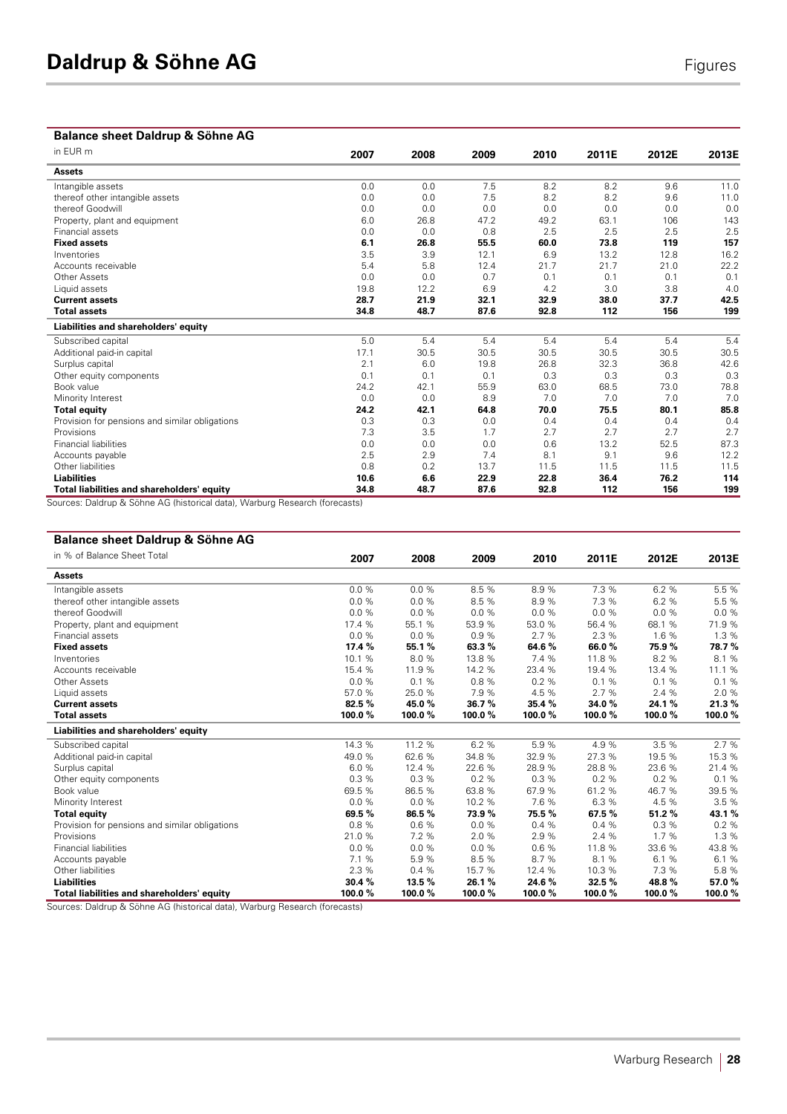# **Balance sheet Daldrup & Söhne AG**

| onour paraiab a<br>$\sim$<br>in EUR m          |      |      |      |      |       |       |       |
|------------------------------------------------|------|------|------|------|-------|-------|-------|
|                                                | 2007 | 2008 | 2009 | 2010 | 2011E | 2012E | 2013E |
| <b>Assets</b>                                  |      |      |      |      |       |       |       |
| Intangible assets                              | 0.0  | 0.0  | 7.5  | 8.2  | 8.2   | 9.6   | 11.0  |
| thereof other intangible assets                | 0.0  | 0.0  | 7.5  | 8.2  | 8.2   | 9.6   | 11.0  |
| thereof Goodwill                               | 0.0  | 0.0  | 0.0  | 0.0  | 0.0   | 0.0   | 0.0   |
| Property, plant and equipment                  | 6.0  | 26.8 | 47.2 | 49.2 | 63.1  | 106   | 143   |
| Financial assets                               | 0.0  | 0.0  | 0.8  | 2.5  | 2.5   | 2.5   | 2.5   |
| <b>Fixed assets</b>                            | 6.1  | 26.8 | 55.5 | 60.0 | 73.8  | 119   | 157   |
| Inventories                                    | 3.5  | 3.9  | 12.1 | 6.9  | 13.2  | 12.8  | 16.2  |
| Accounts receivable                            | 5.4  | 5.8  | 12.4 | 21.7 | 21.7  | 21.0  | 22.2  |
| Other Assets                                   | 0.0  | 0.0  | 0.7  | 0.1  | 0.1   | 0.1   | 0.1   |
| Liquid assets                                  | 19.8 | 12.2 | 6.9  | 4.2  | 3.0   | 3.8   | 4.0   |
| <b>Current assets</b>                          | 28.7 | 21.9 | 32.1 | 32.9 | 38.0  | 37.7  | 42.5  |
| <b>Total assets</b>                            | 34.8 | 48.7 | 87.6 | 92.8 | 112   | 156   | 199   |
| Liabilities and shareholders' equity           |      |      |      |      |       |       |       |
| Subscribed capital                             | 5.0  | 5.4  | 5.4  | 5.4  | 5.4   | 5.4   | 5.4   |
| Additional paid-in capital                     | 17.1 | 30.5 | 30.5 | 30.5 | 30.5  | 30.5  | 30.5  |
| Surplus capital                                | 2.1  | 6.0  | 19.8 | 26.8 | 32.3  | 36.8  | 42.6  |
| Other equity components                        | 0.1  | 0.1  | 0.1  | 0.3  | 0.3   | 0.3   | 0.3   |
| Book value                                     | 24.2 | 42.1 | 55.9 | 63.0 | 68.5  | 73.0  | 78.8  |
| Minority Interest                              | 0.0  | 0.0  | 8.9  | 7.0  | 7.0   | 7.0   | 7.0   |
| <b>Total equity</b>                            | 24.2 | 42.1 | 64.8 | 70.0 | 75.5  | 80.1  | 85.8  |
| Provision for pensions and similar obligations | 0.3  | 0.3  | 0.0  | 0.4  | 0.4   | 0.4   | 0.4   |
| Provisions                                     | 7.3  | 3.5  | 1.7  | 2.7  | 2.7   | 2.7   | 2.7   |
| <b>Financial liabilities</b>                   | 0.0  | 0.0  | 0.0  | 0.6  | 13.2  | 52.5  | 87.3  |
| Accounts payable                               | 2.5  | 2.9  | 7.4  | 8.1  | 9.1   | 9.6   | 12.2  |
| Other liabilities                              | 0.8  | 0.2  | 13.7 | 11.5 | 11.5  | 11.5  | 11.5  |
| <b>Liabilities</b>                             | 10.6 | 6.6  | 22.9 | 22.8 | 36.4  | 76.2  | 114   |
| Total liabilities and shareholders' equity     | 34.8 | 48.7 | 87.6 | 92.8 | 112   | 156   | 199   |

Sources: Daldrup & Söhne AG (historical data), Warburg Research (forecasts)

### **Balance sheet Daldrup & Söhne AG**

| in % of Balance Sheet Total                    | 2007   | 2008     | 2009   | 2010   | 2011E  | 2012E  | 2013E  |
|------------------------------------------------|--------|----------|--------|--------|--------|--------|--------|
| <b>Assets</b>                                  |        |          |        |        |        |        |        |
| Intangible assets                              | 0.0%   | $0.0 \%$ | 8.5 %  | 8.9%   | 7.3 %  | 6.2 %  | 5.5 %  |
| thereof other intangible assets                | 0.0%   | 0.0%     | 8.5 %  | 8.9%   | 7.3 %  | 6.2 %  | 5.5 %  |
| thereof Goodwill                               | 0.0%   | 0.0%     | 0.0%   | 0.0%   | 0.0%   | 0.0%   | 0.0%   |
| Property, plant and equipment                  | 17.4 % | 55.1 %   | 53.9 % | 53.0 % | 56.4 % | 68.1 % | 71.9%  |
| Financial assets                               | 0.0%   | 0.0%     | 0.9%   | 2.7%   | 2.3 %  | 1.6%   | 1.3 %  |
| <b>Fixed assets</b>                            | 17.4%  | 55.1%    | 63.3%  | 64.6%  | 66.0%  | 75.9%  | 78.7%  |
| Inventories                                    | 10.1 % | 8.0%     | 13.8 % | 7.4 %  | 11.8 % | 8.2 %  | 8.1%   |
| Accounts receivable                            | 15.4 % | 11.9 %   | 14.2 % | 23.4 % | 19.4 % | 13.4 % | 11.1 % |
| Other Assets                                   | 0.0%   | 0.1%     | 0.8 %  | 0.2%   | 0.1%   | 0.1%   | 0.1%   |
| Liquid assets                                  | 57.0%  | 25.0%    | 7.9%   | 4.5 %  | 2.7%   | 2.4 %  | 2.0%   |
| <b>Current assets</b>                          | 82.5 % | 45.0%    | 36.7%  | 35.4 % | 34.0%  | 24.1%  | 21.3%  |
| <b>Total assets</b>                            | 100.0% | 100.0%   | 100.0% | 100.0% | 100.0% | 100.0% | 100.0% |
| Liabilities and shareholders' equity           |        |          |        |        |        |        |        |
| Subscribed capital                             | 14.3 % | 11.2 %   | 6.2 %  | 5.9%   | 4.9%   | 3.5%   | 2.7 %  |
| Additional paid-in capital                     | 49.0 % | 62.6%    | 34.8 % | 32.9 % | 27.3 % | 19.5 % | 15.3 % |
| Surplus capital                                | 6.0%   | 12.4 %   | 22.6 % | 28.9%  | 28.8%  | 23.6 % | 21.4 % |
| Other equity components                        | 0.3%   | 0.3%     | 0.2%   | 0.3%   | 0.2%   | 0.2%   | 0.1%   |
| Book value                                     | 69.5 % | 86.5 %   | 63.8 % | 67.9%  | 61.2 % | 46.7%  | 39.5 % |
| Minority Interest                              | 0.0%   | 0.0%     | 10.2 % | 7.6 %  | 6.3 %  | 4.5 %  | 3.5%   |
| <b>Total equity</b>                            | 69.5 % | 86.5%    | 73.9%  | 75.5%  | 67.5%  | 51.2%  | 43.1%  |
| Provision for pensions and similar obligations | 0.8%   | 0.6%     | 0.0%   | 0.4%   | 0.4%   | 0.3%   | 0.2%   |
| Provisions                                     | 21.0%  | 7.2 %    | 2.0 %  | 2.9%   | 2.4 %  | 1.7%   | 1.3 %  |
| <b>Financial liabilities</b>                   | 0.0%   | 0.0%     | 0.0%   | 0.6%   | 11.8 % | 33.6 % | 43.8 % |
| Accounts payable                               | 7.1 %  | 5.9%     | 8.5 %  | 8.7%   | 8.1 %  | 6.1 %  | 6.1%   |
| Other liabilities                              | 2.3 %  | 0.4%     | 15.7 % | 12.4 % | 10.3 % | 7.3 %  | 5.8%   |
| <b>Liabilities</b>                             | 30.4%  | 13.5 %   | 26.1%  | 24.6%  | 32.5%  | 48.8%  | 57.0%  |
| Total liabilities and shareholders' equity     | 100.0% | 100.0%   | 100.0% | 100.0% | 100.0% | 100.0% | 100.0% |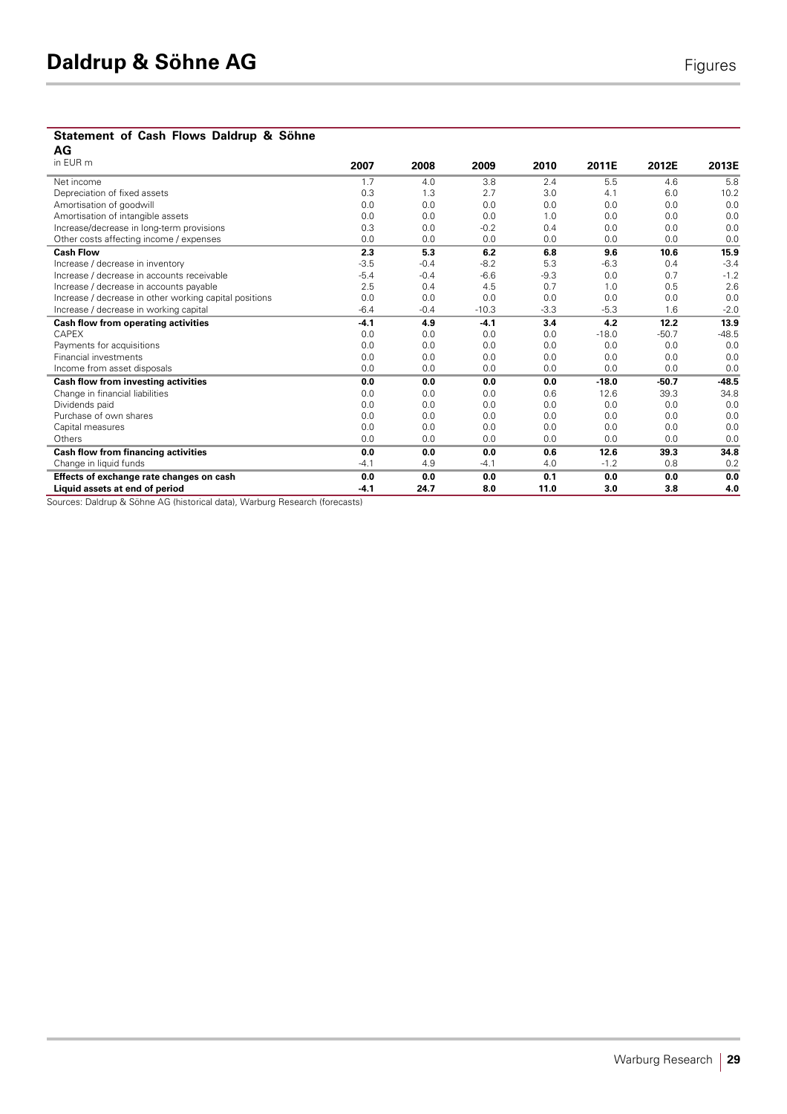# **Statement of Cash Flows Daldrup & Söhne**

| AG                                                     |        |        |         |        |         |         |         |
|--------------------------------------------------------|--------|--------|---------|--------|---------|---------|---------|
| in EUR m                                               | 2007   | 2008   | 2009    | 2010   | 2011E   | 2012E   | 2013E   |
| Net income                                             | 1.7    | 4.0    | 3.8     | 2.4    | 5.5     | 4.6     | 5.8     |
| Depreciation of fixed assets                           | 0.3    | 1.3    | 2.7     | 3.0    | 4.1     | 6.0     | 10.2    |
| Amortisation of goodwill                               | 0.0    | 0.0    | 0.0     | 0.0    | 0.0     | 0.0     | 0.0     |
| Amortisation of intangible assets                      | 0.0    | 0.0    | 0.0     | 1.0    | 0.0     | 0.0     | 0.0     |
| Increase/decrease in long-term provisions              | 0.3    | 0.0    | $-0.2$  | 0.4    | 0.0     | 0.0     | 0.0     |
| Other costs affecting income / expenses                | 0.0    | 0.0    | 0.0     | 0.0    | 0.0     | 0.0     | 0.0     |
| <b>Cash Flow</b>                                       | 2.3    | 5.3    | 6.2     | 6.8    | 9.6     | 10.6    | 15.9    |
| Increase / decrease in inventory                       | $-3.5$ | $-0.4$ | $-8.2$  | 5.3    | $-6.3$  | 0.4     | $-3.4$  |
| Increase / decrease in accounts receivable             | $-5.4$ | $-0.4$ | $-6.6$  | $-9.3$ | 0.0     | 0.7     | $-1.2$  |
| Increase / decrease in accounts payable                | 2.5    | 0.4    | 4.5     | 0.7    | 1.0     | 0.5     | 2.6     |
| Increase / decrease in other working capital positions | 0.0    | 0.0    | 0.0     | 0.0    | 0.0     | 0.0     | 0.0     |
| Increase / decrease in working capital                 | $-6.4$ | $-0.4$ | $-10.3$ | $-3.3$ | $-5.3$  | 1.6     | $-2.0$  |
| Cash flow from operating activities                    | $-4.1$ | 4.9    | $-4.1$  | 3.4    | 4.2     | 12.2    | 13.9    |
| CAPEX                                                  | 0.0    | 0.0    | 0.0     | 0.0    | $-18.0$ | $-50.7$ | $-48.5$ |
| Payments for acquisitions                              | 0.0    | 0.0    | 0.0     | 0.0    | 0.0     | 0.0     | 0.0     |
| <b>Financial investments</b>                           | 0.0    | 0.0    | 0.0     | 0.0    | 0.0     | 0.0     | 0.0     |
| Income from asset disposals                            | 0.0    | 0.0    | 0.0     | 0.0    | 0.0     | 0.0     | 0.0     |
| Cash flow from investing activities                    | 0.0    | 0.0    | 0.0     | 0.0    | $-18.0$ | $-50.7$ | $-48.5$ |
| Change in financial liabilities                        | 0.0    | 0.0    | 0.0     | 0.6    | 12.6    | 39.3    | 34.8    |
| Dividends paid                                         | 0.0    | 0.0    | 0.0     | 0.0    | 0.0     | 0.0     | 0.0     |
| Purchase of own shares                                 | 0.0    | 0.0    | 0.0     | 0.0    | 0.0     | 0.0     | 0.0     |
| Capital measures                                       | 0.0    | 0.0    | 0.0     | 0.0    | 0.0     | 0.0     | 0.0     |
| Others                                                 | 0.0    | 0.0    | 0.0     | 0.0    | 0.0     | 0.0     | 0.0     |
| Cash flow from financing activities                    | 0.0    | 0.0    | 0.0     | 0.6    | 12.6    | 39.3    | 34.8    |
| Change in liquid funds                                 | $-4.1$ | 4.9    | $-4.1$  | 4.0    | $-1.2$  | 0.8     | 0.2     |
| Effects of exchange rate changes on cash               | 0.0    | 0.0    | 0.0     | 0.1    | 0.0     | 0.0     | 0.0     |
| Liquid assets at end of period                         | $-4.1$ | 24.7   | 8.0     | 11.0   | 3.0     | 3.8     | 4.0     |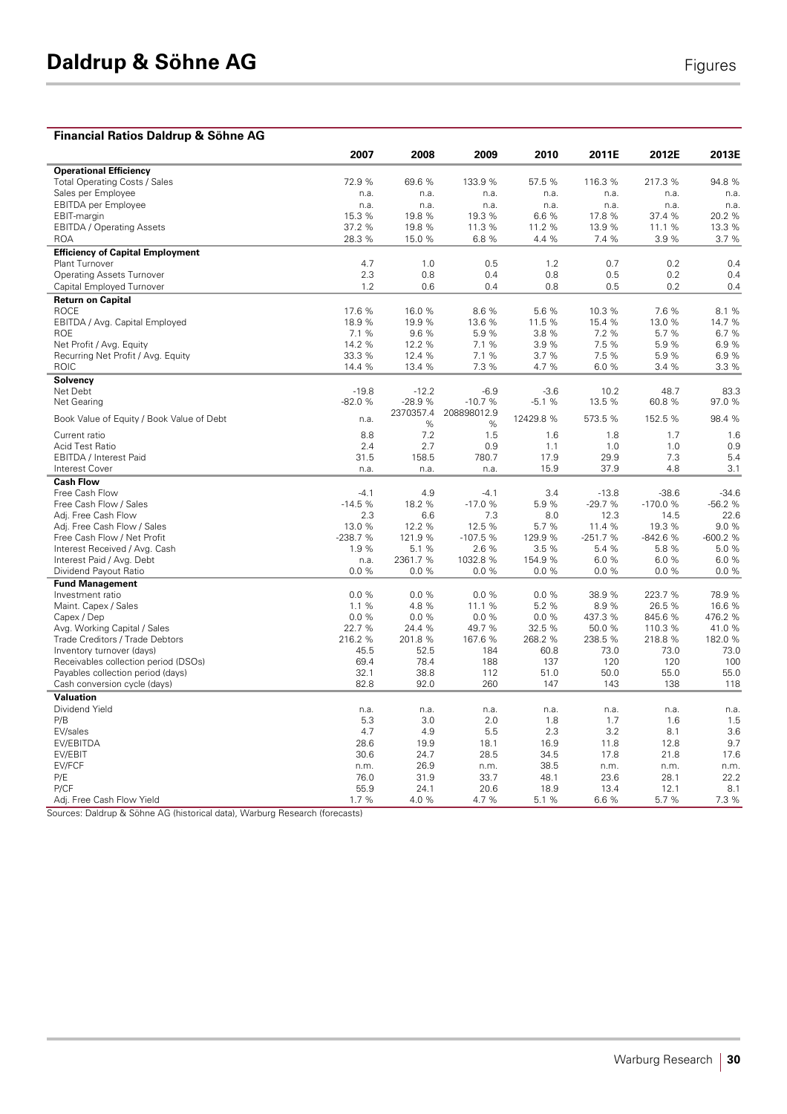#### **Financial Ratios Daldrup & Söhne AG 2007 2008 2009 2010 2011E 2012E 2013E Operational Efficiency**  Total Operating Costs / Sales 69.6 % 69.6 % 69.6 % 72.9 % 69.6 % 69.6 % 733.9 % 72.6 % 75.5 % 716.3 % 72.7.3 % Sales per Employee n.a. n.a. n.a. n.a. n.a. n.a. n.a. EBITDA per Employee n.a. n.a. n.a. n.a. n.a. n.a. n.a. EBIT-margin 15.3 % 19.8 % 19.3 % 6.6 % 17.8 % 37.4 % 20.2 % EBITDA / Operating Assets 28.3 % 19.8 % 11.3 % 11.2 % 13.9 % 13.3 % 13.3 % 15.0 % 16.8 % 16.8 % 14.4 % 28.3 % 15.0 % 28.3 % 15.0 % 28.3 % 15.0 % 28.3 % 15.0 % 14.4 % 15.0 % 14.4 % 15.0 % 14.4 % 15.0 % 15.0 % 15.0 % 15.0 % ROA 28.3 % 15.0 % 6.8 % 4.4 % 7.4 % 3.9 % 3.7 % **Efficiency of Capital Employment**  Plant Turnover 4.7 1.0 0.5 1.2 0.7 0.2 0.4 Operating Assets Turnover 2.3 0.8 0.4 0.8 0.5 0.2 0.4 Capital Employed Turnover **Return on Capital**  ROCE 17.6 % 16.0 % 8.6 % 5.6 % 10.3 % 7.6 % 8.1 % EBITDA / Avg. Capital Employed 18.9 % 19.9 % 13.6 % 11.5 % 15.4 % 13.0 % 14.7 % ROE 7.1 % 9.6 % 5.9 % 3.8 % 7.2 % 5.7 % 6.7 % Net Profit / Avg. Equity 14.2 % 12.2 % 7.1 % 3.9 % 7.5 % 5.9 % 6.9 % Recurring Net Profit / Avg. Equity  $33.3\%$  12.4 % 7.1 % 3.7 % 7.5 % 5.9 % 6.9 % 6.9 % 14.4 % 13.4 % 7.3 % 4.7 % 6.0 % 3.4 % 3.3 % ROIC 14.4 % 13.4 % 7.3 % 4.7 % 6.0 % 3.4 % 3.3 % **Solvency**  Net Debt -19.8 -12.2 -6.9 -3.6 10.2 48.7 83.3 Net Gearing -82.0 % -28.9 % -10.7 % -5.1 % 13.5 % 60.8 % 97.0 % Book Value of Equity / Book Value of Debt n.a. 2370357.4  $\frac{\%}{7.2}$ 208898012.9  $\frac{\%}{1.5}$ 12429.8 % 573.5 % 152.5 % 98.4 % Current ratio 8.8 7.2 1.5 1.6 1.8 1.7 1.6 Acid Test Ratio 2.4 2.7 0.9 1.1 1.0 1.0 0.9 EBITDA / Interest Paid **31.5** 158.5 780.7 17.9 29.9 7.3 5.4<br>
Interest Cover 18.9 20.9 4.8 3.1 Interest Cover n.a. n.a. n.a. 15.9 37.9 4.8 3.1 **Cash Flow**  Free Cash Flow -4.1 4.9 -4.1 3.4 -13.8 -38.6 -34.6 Free Cash Flow / Sales -14.5 % -14.5 % -14.5 % -17.0 % -5.9 % -29.7 % -170.0 % -56.2 % -66.2 % -56.2 % -66.2 %<br>Adj. Free Cash Flow -14.5 -12.6 % -170.0 % -170.0 % -170.0 % -56.2 % -14.5 % -14.5 % -14.5 % -14.5 % -14.5 % -Adj. Free Cash Flow Cash Flow Cash Control Cash Control Cash Control Cash Control Cash Control Cash Control Ca<br>Adj. Free Cash Flow / Sales Cash Control Cash Control Cash Control Cash Control Cash Control Cash Control Cash Adj. Free Cash Flow / Sales 13.0 % 12.2 % 12.5 % 5.7 % 11.4 % 19.3 % 9.0 % Free Cash Flow / Net Profit -238.7 % -238.7 % -107.5 % -209.9 % -251.7 % -842.6 % -600.2 % -842.6 % -600.2 % -<br>19 % -51 % -26 % -54 % -54 % -58 % -60 % -51 % -6.8 % -6.9 % -6.9 % -6.9 % -6.9 % -6.9 % -6.9 % -6.0 % -6.0 % Interest Received / Avg. Cash 1.9 % 5.1 % 2.6 % 3.5 % 5.4 % 5.8 % 5.0 % Interest Paid / Avg. Debt n.a. 2361.7 % 1032.8 % 154.9 % 6.0 % 6.0 % 6.0 % Dividend Payout Ratio **Fund Management**  Investment ratio 0.0 % 0.0 % 0.0 % 0.0 % 38.9 % 223.7 % 78.9 % Maint. Capex / Sales **1.1 % 4.8 % 11.1 % 5.2 % 8.9 % 26.5 % 16.6 %** 3.9 % 26.5 % 16.6 % 3.9 % 26.5 % 16.6 % 3.9 % 26.5 % 16.6 % 3.0 % 3.0 % 3.0 % 3.0 % 3.0 % 3.0 % 3.0 % 3.0 % 3.0 % 3.0 % 3.0 % 3.0 % 3.0 % 3.0 % 3.0 % 3.0 Capex / Dep 0.0 % 0.0 % 0.0 % 0.0 % 437.3 % 845.6 % 476.2 % Avg. Working Capital / Sales 22.7 % 24.4 % 49.7 % 32.5 % 50.0 % 110.3 % 41.0 % Trade Creditors / Trade Debtors 182.0 % 216.2 % 201.8 % 268.2 % 268.2 % 238.5 % 218.8 % 218.8 % 218.0 % 216.2 % 216.2 % 201.8 % 167.6 % 268.2 % 273.0 182.0 % 216.5 169 % 201.8 % 201.8 % 201.8 % 201.8 % 26.8 73.0 73.0 73.0 Inventory turnover (days) 45.5 52.5 184 60.8 73.0 73.0 73.0 Receivables collection period (DSOs) 78.4 188 177 120 120<br>Pavables collection period (davs) 32.1 38.8 112 51.0 50.0 55.0 Payables collection period (days) 32.1 38.8 112 51.0 50.0 55.0 55.0 Cash conversion cycle (days) 82.8 92.0 260 147 143 138 118 **Valuation**<br>Dividend Yield Dividend Yield n.a. n.a. n.a. n.a. n.a. n.a. n.a. P/B 5.3 5.3 3.0 2.0 1.8 1.7 1.6 1.5 EV/sales 4.7 4.9 5.5 2.3 3.2 8.1 3.6 EV/EBITDA 28.6 19.9 18.1 16.9 11.8 12.8 9.7 EV/EBIT 30.6 24.7 28.5 34.5 17.8 21.8 17.6 EV/FCF n.m. 26.9 n.m. 38.5 n.m. n.m. n.m. P/E 76.0 31.9 33.7 48.1 23.6 28.1 22.2 P/CF 55.9 24.1 20.6 18.9 13.4 12.1 8.1 Adj. Free Cash Flow Yield **1.7** % 4.0 % 4.0 % 5.1 % 6.6 % 5.7 % 7.3 %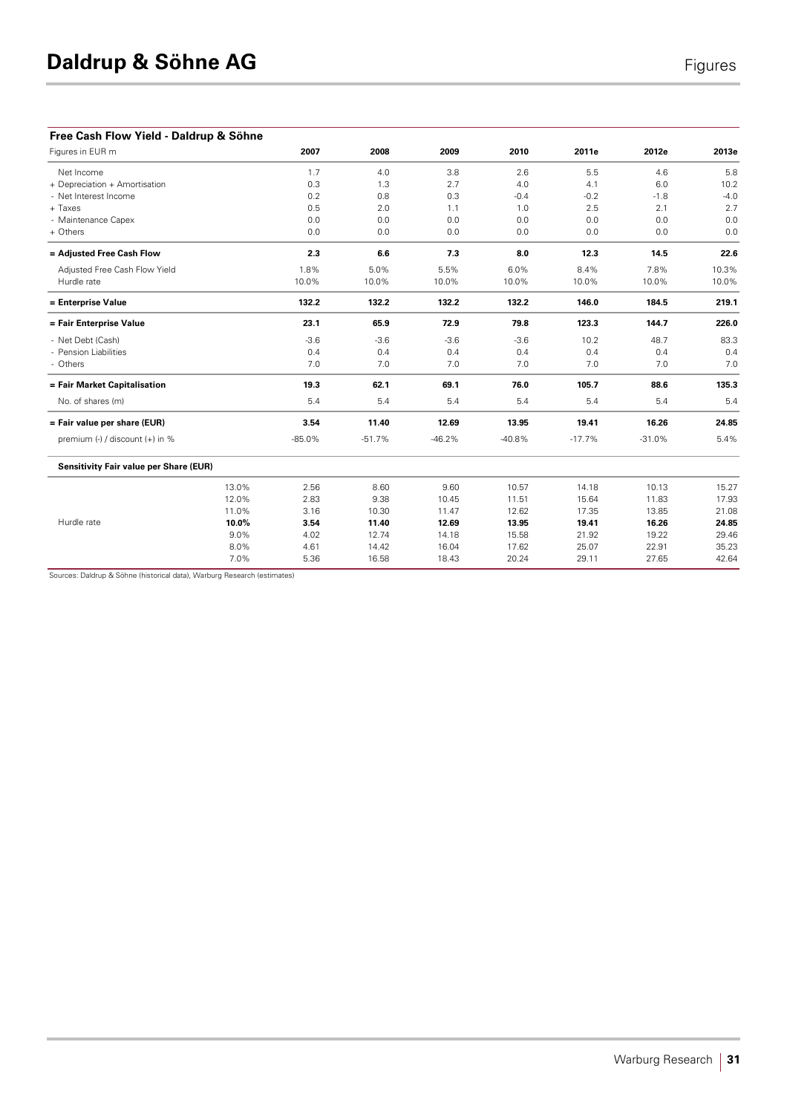| Free Cash Flow Yield - Daldrup & Söhne        |       |          |          |          |          |          |          |        |
|-----------------------------------------------|-------|----------|----------|----------|----------|----------|----------|--------|
| Figures in EUR m                              |       | 2007     | 2008     | 2009     | 2010     | 2011e    | 2012e    | 2013e  |
| Net Income                                    |       | 1.7      | 4.0      | 3.8      | 2.6      | 5.5      | 4.6      | 5.8    |
| + Depreciation + Amortisation                 |       | 0.3      | 1.3      | 2.7      | 4.0      | 4.1      | 6.0      | 10.2   |
| - Net Interest Income                         |       | 0.2      | 0.8      | 0.3      | $-0.4$   | $-0.2$   | $-1.8$   | $-4.0$ |
| + Taxes                                       |       | 0.5      | 2.0      | 1.1      | 1.0      | 2.5      | 2.1      | 2.7    |
| - Maintenance Capex                           |       | 0.0      | 0.0      | 0.0      | 0.0      | 0.0      | 0.0      | 0.0    |
| + Others                                      |       | $0.0$    | 0.0      | 0.0      | 0.0      | 0.0      | 0.0      | 0.0    |
| = Adjusted Free Cash Flow                     |       | 2.3      | 6.6      | 7.3      | 8.0      | 12.3     | 14.5     | 22.6   |
| Adjusted Free Cash Flow Yield                 |       | 1.8%     | 5.0%     | 5.5%     | 6.0%     | 8.4%     | 7.8%     | 10.3%  |
| Hurdle rate                                   |       | 10.0%    | 10.0%    | 10.0%    | 10.0%    | 10.0%    | 10.0%    | 10.0%  |
| = Enterprise Value                            |       | 132.2    | 132.2    | 132.2    | 132.2    | 146.0    | 184.5    | 219.1  |
| = Fair Enterprise Value                       |       | 23.1     | 65.9     | 72.9     | 79.8     | 123.3    | 144.7    | 226.0  |
| - Net Debt (Cash)                             |       | $-3.6$   | $-3.6$   | $-3.6$   | $-3.6$   | 10.2     | 48.7     | 83.3   |
| - Pension Liabilities                         |       | 0.4      | 0.4      | 0.4      | 0.4      | 0.4      | 0.4      | 0.4    |
| - Others                                      |       | 7.0      | 7.0      | 7.0      | 7.0      | 7.0      | 7.0      | 7.0    |
| = Fair Market Capitalisation                  |       | 19.3     | 62.1     | 69.1     | 76.0     | 105.7    | 88.6     | 135.3  |
| No. of shares (m)                             |       | 5.4      | 5.4      | 5.4      | 5.4      | 5.4      | 5.4      | 5.4    |
| = Fair value per share (EUR)                  |       | 3.54     | 11.40    | 12.69    | 13.95    | 19.41    | 16.26    | 24.85  |
| premium (-) / discount (+) in %               |       | $-85.0%$ | $-51.7%$ | $-46.2%$ | $-40.8%$ | $-17.7%$ | $-31.0%$ | 5.4%   |
| <b>Sensitivity Fair value per Share (EUR)</b> |       |          |          |          |          |          |          |        |
|                                               | 13.0% | 2.56     | 8.60     | 9.60     | 10.57    | 14.18    | 10.13    | 15.27  |
|                                               | 12.0% | 2.83     | 9.38     | 10.45    | 11.51    | 15.64    | 11.83    | 17.93  |
|                                               | 11.0% | 3.16     | 10.30    | 11.47    | 12.62    | 17.35    | 13.85    | 21.08  |
| Hurdle rate                                   | 10.0% | 3.54     | 11.40    | 12.69    | 13.95    | 19.41    | 16.26    | 24.85  |
|                                               | 9.0%  | 4.02     | 12.74    | 14.18    | 15.58    | 21.92    | 19.22    | 29.46  |
|                                               | 8.0%  | 4.61     | 14.42    | 16.04    | 17.62    | 25.07    | 22.91    | 35.23  |
|                                               | 7.0%  | 5.36     | 16.58    | 18.43    | 20.24    | 29.11    | 27.65    | 42.64  |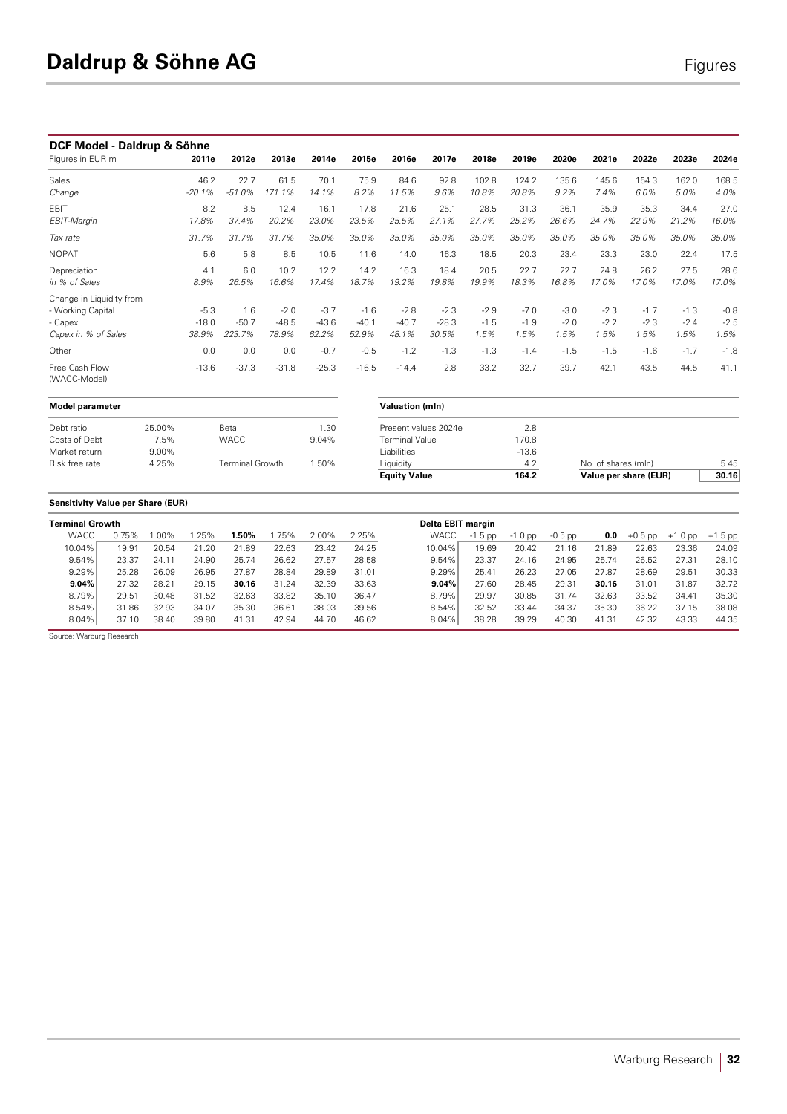#### **DCF Model - Daldrup & Söhne**

| ייטעיויי יש<br><b>PURTUP &amp; PUTTIN</b><br>Figures in EUR m                   | 2011e                      | 2012e                    | 2013e                      | 2014e                      | 2015e                      | 2016e                      | 2017e                      | 2018e                    | 2019e                    | 2020e                    | 2021e                    | 2022e                    | 2023e                    | 2024e                    |
|---------------------------------------------------------------------------------|----------------------------|--------------------------|----------------------------|----------------------------|----------------------------|----------------------------|----------------------------|--------------------------|--------------------------|--------------------------|--------------------------|--------------------------|--------------------------|--------------------------|
| Sales<br>Change                                                                 | 46.2<br>$-20.1%$           | 22.7<br>$-51.0%$         | 61.5<br>171.1%             | 70.1<br>14.1%              | 75.9<br>8.2%               | 84.6<br>11.5%              | 92.8<br>9.6%               | 102.8<br>10.8%           | 124.2<br>20.8%           | 135.6<br>9.2%            | 145.6<br>7.4%            | 154.3<br>6.0%            | 162.0<br>5.0%            | 168.5<br>4.0%            |
| EBIT<br>EBIT-Margin                                                             | 8.2<br>17.8%               | 8.5<br>37.4%             | 12.4<br>20.2%              | 16.1<br>23.0%              | 17.8<br>23.5%              | 21.6<br>25.5%              | 25.1<br>27.1%              | 28.5<br>27.7%            | 31.3<br>25.2%            | 36.1<br>26.6%            | 35.9<br>24.7%            | 35.3<br>22.9%            | 34.4<br>21.2%            | 27.0<br>16.0%            |
| Tax rate                                                                        | 31.7%                      | 31.7%                    | 31.7%                      | 35.0%                      | 35.0%                      | 35.0%                      | 35.0%                      | 35.0%                    | 35.0%                    | 35.0%                    | 35.0%                    | 35.0%                    | 35.0%                    | 35.0%                    |
| <b>NOPAT</b>                                                                    | 5.6                        | 5.8                      | 8.5                        | 10.5                       | 11.6                       | 14.0                       | 16.3                       | 18.5                     | 20.3                     | 23.4                     | 23.3                     | 23.0                     | 22.4                     | 17.5                     |
| Depreciation<br>in % of Sales                                                   | 4.1<br>8.9%                | 6.0<br>26.5%             | 10.2<br>16.6%              | 12.2<br>17.4%              | 14.2<br>18.7%              | 16.3<br>19.2%              | 18.4<br>19.8%              | 20.5<br>19.9%            | 22.7<br>18.3%            | 22.7<br>16.8%            | 24.8<br>17.0%            | 26.2<br>17.0%            | 27.5<br>17.0%            | 28.6<br>17.0%            |
| Change in Liquidity from<br>- Working Capital<br>- Capex<br>Capex in % of Sales | $-5.3$<br>$-18.0$<br>38.9% | 1.6<br>$-50.7$<br>223.7% | $-2.0$<br>$-48.5$<br>78.9% | $-3.7$<br>$-43.6$<br>62.2% | $-1.6$<br>$-40.1$<br>52.9% | $-2.8$<br>$-40.7$<br>48.1% | $-2.3$<br>$-28.3$<br>30.5% | $-2.9$<br>$-1.5$<br>1.5% | $-7.0$<br>$-1.9$<br>1.5% | $-3.0$<br>$-2.0$<br>1.5% | $-2.3$<br>$-2.2$<br>1.5% | $-1.7$<br>$-2.3$<br>1.5% | $-1.3$<br>$-2.4$<br>1.5% | $-0.8$<br>$-2.5$<br>1.5% |
| Other                                                                           | 0.0                        | 0.0                      | 0.0                        | $-0.7$                     | $-0.5$                     | $-1.2$                     | $-1.3$                     | $-1.3$                   | $-1.4$                   | $-1.5$                   | $-1.5$                   | $-1.6$                   | $-1.7$                   | $-1.8$                   |
| Free Cash Flow<br>(WACC-Model)                                                  | $-13.6$                    | $-37.3$                  | $-31.8$                    | $-25.3$                    | $-16.5$                    | $-14.4$                    | 2.8                        | 33.2                     | 32.7                     | 39.7                     | 42.1                     | 43.5                     | 44.5                     | 41.1                     |

| <b>Model parameter</b> |          |                 | Valuation (mln) |                       |         |
|------------------------|----------|-----------------|-----------------|-----------------------|---------|
| Debt ratio             | 25.00%   | Beta            | 1.30            | Present values 2024e  | 2.8     |
| Costs of Debt          | 7.5%     | <b>WACC</b>     | 9.04%           | <b>Terminal Value</b> | 170.8   |
| Market return          | $9.00\%$ |                 |                 | Liabilities           | $-13.6$ |
| Risk free rate         | 4.25%    | Terminal Growth | 1.50%           | Liquidity             | 4.2     |
|                        |          |                 |                 | .                     |         |

| Model parameter |        |                 |       | <b>Valuation (mln)</b> |         |                       |       |  |
|-----------------|--------|-----------------|-------|------------------------|---------|-----------------------|-------|--|
| Debt ratio      | 25.00% | Beta            | .30   | Present values 2024e   | 2.8     |                       |       |  |
| Costs of Debt   | 7.5%   | <b>WACC</b>     | 9.04% | <b>Terminal Value</b>  | 170.8   |                       |       |  |
| Market return   | 9.00%  |                 |       | Liabilities            | $-13.6$ |                       |       |  |
| Risk free rate  | 4.25%  | Terminal Growth | .50%  | Liquidity              | 4.2     | No. of shares (mln)   | 5.45  |  |
|                 |        |                 |       | <b>Equity Value</b>    | 164.2   | Value per share (EUR) | 30.16 |  |
|                 |        |                 |       |                        |         |                       |       |  |

### **Sensitivity Value per Share (EUR)**

| <b>Terminal Growth</b> |       |         |       |       |       |       |       | Delta EBIT margin |            |           |           |       |           |           |           |
|------------------------|-------|---------|-------|-------|-------|-------|-------|-------------------|------------|-----------|-----------|-------|-----------|-----------|-----------|
| <b>WACC</b>            | 0.75% | $.00\%$ | .25%  | .50%  | .75%  | 2.00% | 2.25% | <b>WACC</b>       | $-1.5$ pp. | $-1.0$ pp | $-0.5$ pp | 0.0   | $+0.5$ pp | $+1.0$ pp | $+1.5$ pp |
| 10.04%                 | 19.91 | 20.54   | 21.20 | 21.89 | 22.63 | 23.42 | 24.25 | 10.04%            | 19.69      | 20.42     | 21.16     | 21.89 | 22.63     | 23.36     | 24.09     |
| 9.54%                  | 23.37 | 24.11   | 24.90 | 25.74 | 26.62 | 27.57 | 28.58 | 9.54%             | 23.37      | 24.16     | 24.95     | 25.74 | 26.52     | 27.31     | 28.10     |
| 9.29%                  | 25.28 | 26.09   | 26.95 | 27.87 | 28.84 | 29.89 | 31.01 | 9.29%             | 25.41      | 26.23     | 27.05     | 27.87 | 28.69     | 29.51     | 30.33     |
| $9.04\%$               | 27.32 | 28.21   | 29.15 | 30.16 | 31.24 | 32.39 | 33.63 | 9.04%             | 27.60      | 28.45     | 29.31     | 30.16 | 31.01     | 31.87     | 32.72     |
| 8.79%                  | 29.51 | 30.48   | 31.52 | 32.63 | 33.82 | 35.10 | 36.47 | 8.79%             | 29.97      | 30.85     | 31.74     | 32.63 | 33.52     | 34.41     | 35.30     |
| 8.54%                  | 31.86 | 32.93   | 34.07 | 35.30 | 36.61 | 38.03 | 39.56 | 8.54%             | 32.52      | 33.44     | 34.37     | 35.30 | 36.22     | 37.15     | 38.08     |
| 8.04%                  | 37.10 | 38.40   | 39.80 | 41.31 | 42.94 | 44.70 | 46.62 | 8.04%             | 38.28      | 39.29     | 40.30     | 41.31 | 42.32     | 43.33     | 44.35     |

Source: Warburg Research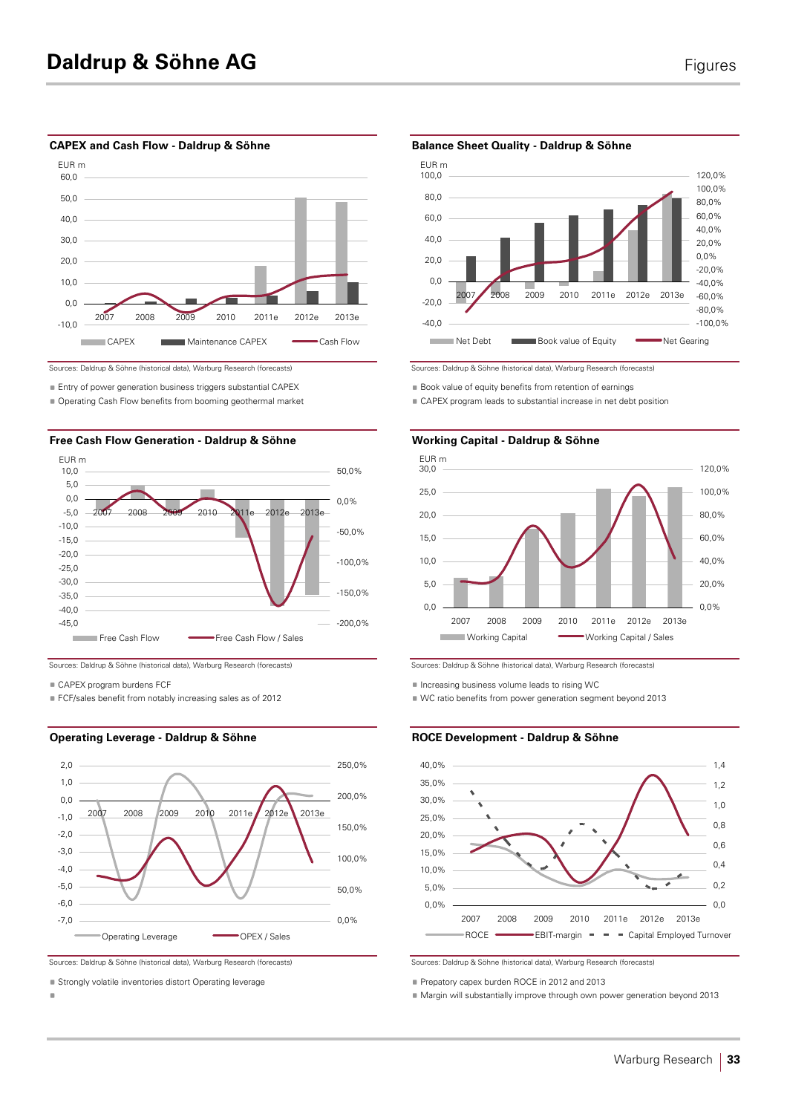#### CAPEX and Cash Flow - Daldrup & Söhne Balance Sheet Quality - Daldrup & Söhne



Sources: Daldrup & Söhne (historical data), Warburg Research (forecasts) Sources: Daldrup & Söhne (historical data), Warburg Research (forecasts)

■ Operating Cash Flow benefits from booming geothermal market





■ CAPEX program burdens ECE

■ FCF/sales benefit from notably increasing sales as of 2012





■ Strongly volatile inventories distort Operating leverage **Prepared Prepatory capex burden ROCE** in 2012 and 2013

§ §



**Entry of power generation business triggers substantial CAPEX** Book value of equity benefits from retention of earnings

CAPEX program leads to substantial increase in net debt position



Sources: Daldrup & Söhne (historical data), Warburg Research (forecasts) Sources: Daldrup & Söhne (historical data), Warburg Research (forecasts)

 $\blacksquare$  Increasing business volume leads to rising WC

VC ratio benefits from power generation segment beyond 2013

### **Operating Leverage - Daldrup & Söhne ROCE Development - Daldrup & Söhne**



Margin will substantially improve through own power generation beyond 2013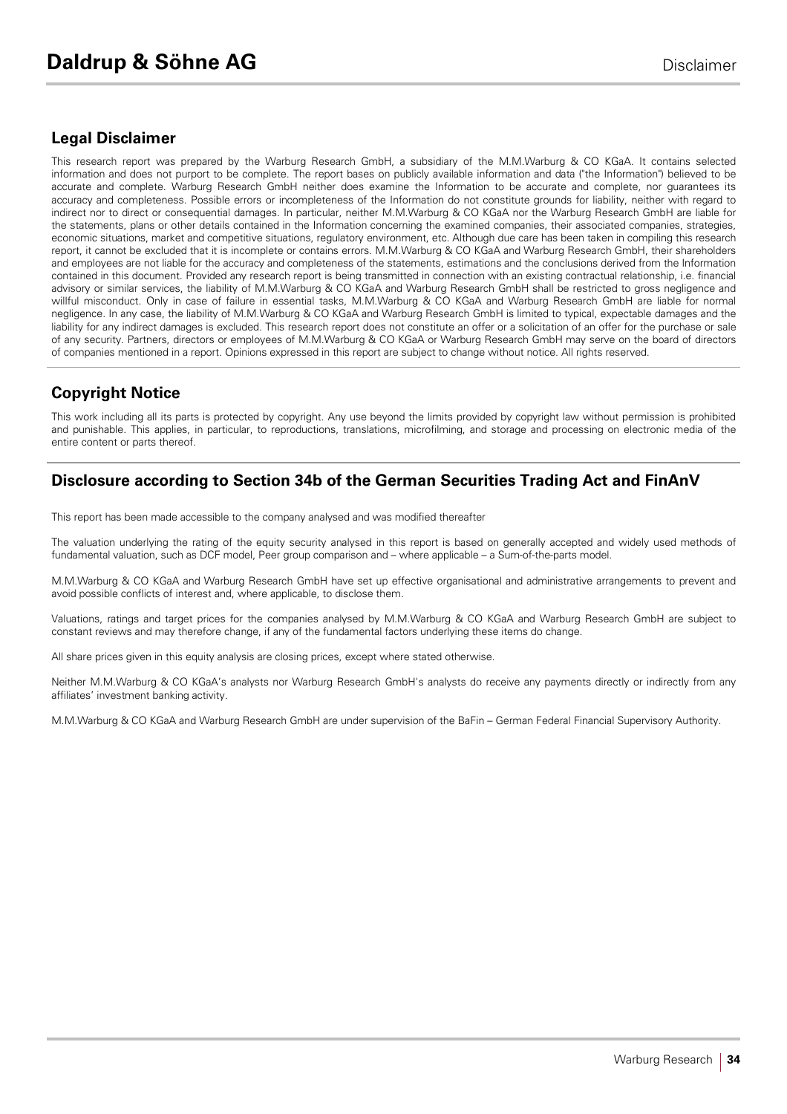# **Legal Disclaimer**

This research report was prepared by the Warburg Research GmbH, a subsidiary of the M.M.Warburg & CO KGaA. It contains selected information and does not purport to be complete. The report bases on publicly available information and data ("the Information") believed to be accurate and complete. Warburg Research GmbH neither does examine the Information to be accurate and complete, nor guarantees its accuracy and completeness. Possible errors or incompleteness of the Information do not constitute grounds for liability, neither with regard to indirect nor to direct or consequential damages. In particular, neither M.M.Warburg & CO KGaA nor the Warburg Research GmbH are liable for the statements, plans or other details contained in the Information concerning the examined companies, their associated companies, strategies, economic situations, market and competitive situations, regulatory environment, etc. Although due care has been taken in compiling this research report, it cannot be excluded that it is incomplete or contains errors. M.M.Warburg & CO KGaA and Warburg Research GmbH, their shareholders and employees are not liable for the accuracy and completeness of the statements, estimations and the conclusions derived from the Information contained in this document. Provided any research report is being transmitted in connection with an existing contractual relationship, i.e. financial advisory or similar services, the liability of M.M.Warburg & CO KGaA and Warburg Research GmbH shall be restricted to gross negligence and willful misconduct. Only in case of failure in essential tasks, M.M.Warburg & CO KGaA and Warburg Research GmbH are liable for normal negligence. In any case, the liability of M.M.Warburg & CO KGaA and Warburg Research GmbH is limited to typical, expectable damages and the liability for any indirect damages is excluded. This research report does not constitute an offer or a solicitation of an offer for the purchase or sale of any security. Partners, directors or employees of M.M.Warburg & CO KGaA or Warburg Research GmbH may serve on the board of directors of companies mentioned in a report. Opinions expressed in this report are subject to change without notice. All rights reserved.

# **Copyright Notice**

This work including all its parts is protected by copyright. Any use beyond the limits provided by copyright law without permission is prohibited and punishable. This applies, in particular, to reproductions, translations, microfilming, and storage and processing on electronic media of the entire content or parts thereof.

# **Disclosure according to Section 34b of the German Securities Trading Act and FinAnV**

This report has been made accessible to the company analysed and was modified thereafter

The valuation underlying the rating of the equity security analysed in this report is based on generally accepted and widely used methods of fundamental valuation, such as DCF model, Peer group comparison and – where applicable – a Sum-of-the-parts model.

M.M.Warburg & CO KGaA and Warburg Research GmbH have set up effective organisational and administrative arrangements to prevent and avoid possible conflicts of interest and, where applicable, to disclose them.

Valuations, ratings and target prices for the companies analysed by M.M.Warburg & CO KGaA and Warburg Research GmbH are subject to constant reviews and may therefore change, if any of the fundamental factors underlying these items do change.

All share prices given in this equity analysis are closing prices, except where stated otherwise.

Neither M.M.Warburg & CO KGaA's analysts nor Warburg Research GmbH's analysts do receive any payments directly or indirectly from any affiliates' investment banking activity.

M.M.Warburg & CO KGaA and Warburg Research GmbH are under supervision of the BaFin – German Federal Financial Supervisory Authority.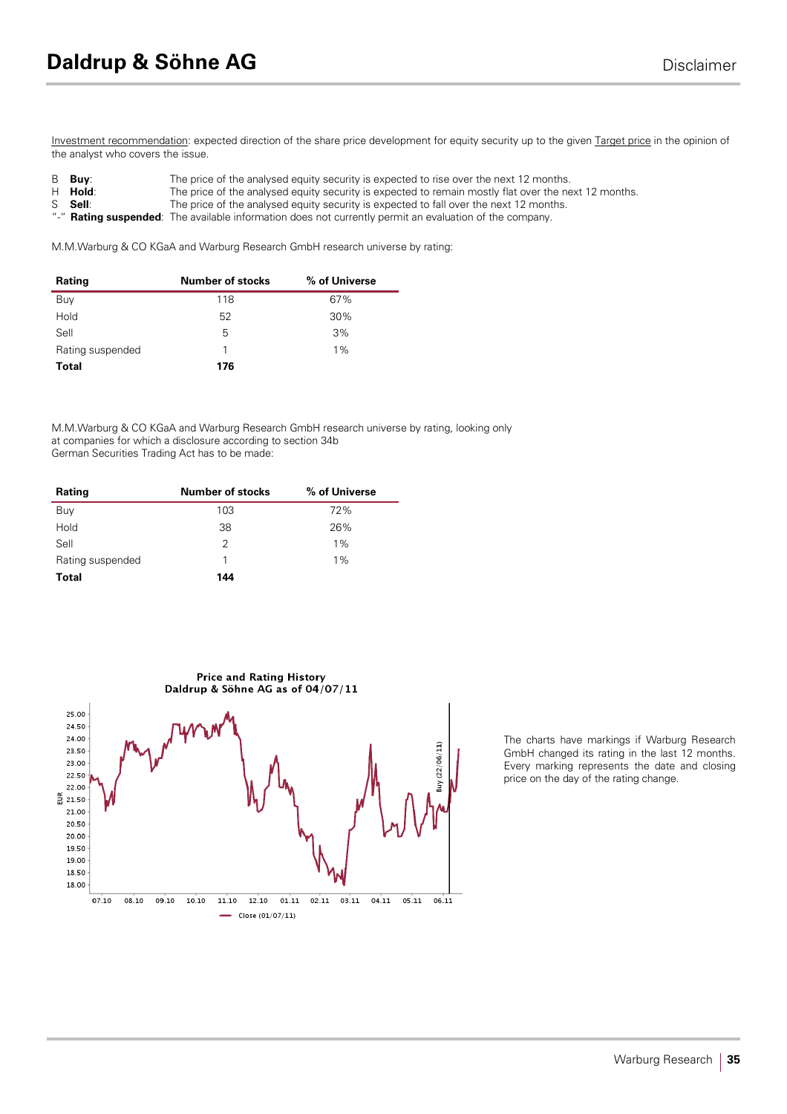Investment recommendation: expected direction of the share price development for equity security up to the given Target price in the opinion of the analyst who covers the issue.

- **Buy:** The price of the analysed equity security is expected to rise over the next 12 months.<br> **H Hold:** The price of the analysed equity security is expected to remain mostly flat over the ne
	- **Hold**: The price of the analysed equity security is expected to remain mostly flat over the next 12 months.<br> **Sell:** The price of the analysed equity security is expected to fall over the next 12 months.
- S **Sell:** The price of the analysed equity security is expected to fall over the next 12 months.<br>"-" **Pating suspended:** The available information does not currently permit an evaluation of the company
- Rating suspended: The available information does not currently permit an evaluation of the company.

M.M.Warburg & CO KGaA and Warburg Research GmbH research universe by rating:

| Rating           | <b>Number of stocks</b> | % of Universe |
|------------------|-------------------------|---------------|
| Buy              | 118                     | 67%           |
| Hold             | 52                      | 30%           |
| Sell             | 5                       | 3%            |
| Rating suspended |                         | $1\%$         |
| <b>Total</b>     | 176                     |               |

M.M.Warburg & CO KGaA and Warburg Research GmbH research universe by rating, looking only at companies for which a disclosure according to section 34b German Securities Trading Act has to be made:

| Rating           | <b>Number of stocks</b> | % of Universe |
|------------------|-------------------------|---------------|
| Buy              | 103                     | 72%           |
| Hold             | 38                      | 26%           |
| Sell             | 2                       | $1\%$         |
| Rating suspended | 1                       | $1\%$         |
| <b>Total</b>     | 144                     |               |



The charts have markings if Warburg Research GmbH changed its rating in the last 12 months. Every marking represents the date and closing price on the day of the rating change.